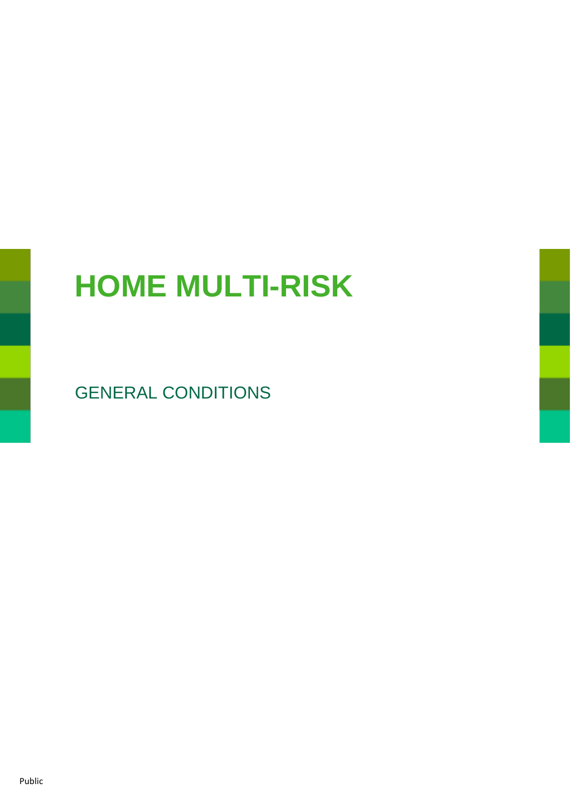# **HOME MULTI-RISK**

GENERAL CONDITIONS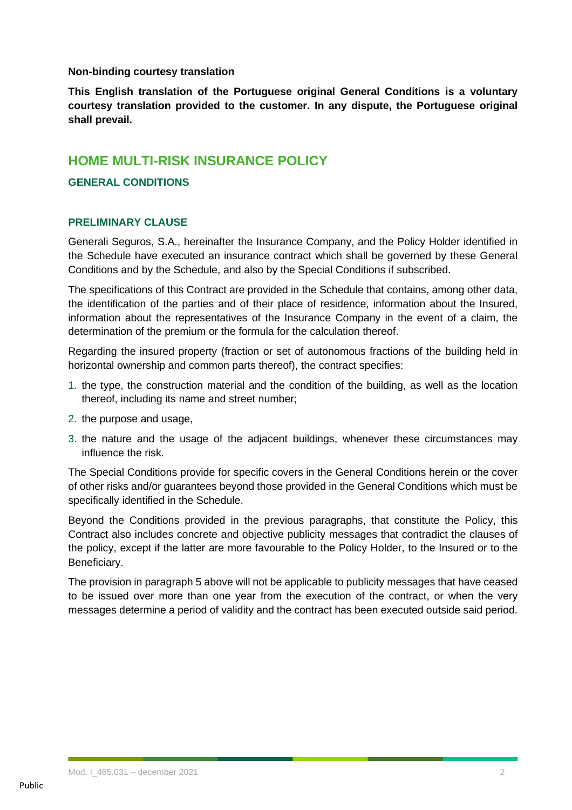#### **Non-binding courtesy translation**

**This English translation of the Portuguese original General Conditions is a voluntary courtesy translation provided to the customer. In any dispute, the Portuguese original shall prevail.**

# **HOME MULTI-RISK INSURANCE POLICY**

## **GENERAL CONDITIONS**

#### **PRELIMINARY CLAUSE**

Generali Seguros, S.A., hereinafter the Insurance Company, and the Policy Holder identified in the Schedule have executed an insurance contract which shall be governed by these General Conditions and by the Schedule, and also by the Special Conditions if subscribed.

The specifications of this Contract are provided in the Schedule that contains, among other data, the identification of the parties and of their place of residence, information about the Insured, information about the representatives of the Insurance Company in the event of a claim, the determination of the premium or the formula for the calculation thereof.

Regarding the insured property (fraction or set of autonomous fractions of the building held in horizontal ownership and common parts thereof), the contract specifies:

- 1. the type, the construction material and the condition of the building, as well as the location thereof, including its name and street number;
- 2. the purpose and usage,
- 3. the nature and the usage of the adjacent buildings, whenever these circumstances may influence the risk.

The Special Conditions provide for specific covers in the General Conditions herein or the cover of other risks and/or guarantees beyond those provided in the General Conditions which must be specifically identified in the Schedule.

Beyond the Conditions provided in the previous paragraphs, that constitute the Policy, this Contract also includes concrete and objective publicity messages that contradict the clauses of the policy, except if the latter are more favourable to the Policy Holder, to the Insured or to the Beneficiary.

The provision in paragraph 5 above will not be applicable to publicity messages that have ceased to be issued over more than one year from the execution of the contract, or when the very messages determine a period of validity and the contract has been executed outside said period.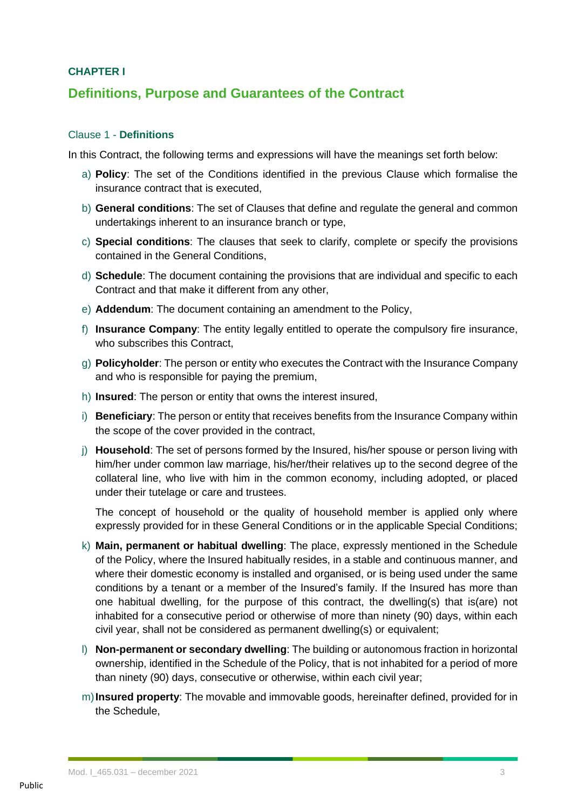## **CHAPTER I**

# **Definitions, Purpose and Guarantees of the Contract**

#### Clause 1 - **Definitions**

In this Contract, the following terms and expressions will have the meanings set forth below:

- a) **Policy**: The set of the Conditions identified in the previous Clause which formalise the insurance contract that is executed,
- b) **General conditions**: The set of Clauses that define and regulate the general and common undertakings inherent to an insurance branch or type,
- c) **Special conditions**: The clauses that seek to clarify, complete or specify the provisions contained in the General Conditions,
- d) **Schedule**: The document containing the provisions that are individual and specific to each Contract and that make it different from any other,
- e) **Addendum**: The document containing an amendment to the Policy,
- f) **Insurance Company**: The entity legally entitled to operate the compulsory fire insurance, who subscribes this Contract,
- g) **Policyholder**: The person or entity who executes the Contract with the Insurance Company and who is responsible for paying the premium,
- h) **Insured**: The person or entity that owns the interest insured,
- i) **Beneficiary**: The person or entity that receives benefits from the Insurance Company within the scope of the cover provided in the contract,
- j) **Household**: The set of persons formed by the Insured, his/her spouse or person living with him/her under common law marriage, his/her/their relatives up to the second degree of the collateral line, who live with him in the common economy, including adopted, or placed under their tutelage or care and trustees.

The concept of household or the quality of household member is applied only where expressly provided for in these General Conditions or in the applicable Special Conditions;

- k) **Main, permanent or habitual dwelling**: The place, expressly mentioned in the Schedule of the Policy, where the Insured habitually resides, in a stable and continuous manner, and where their domestic economy is installed and organised, or is being used under the same conditions by a tenant or a member of the Insured's family. If the Insured has more than one habitual dwelling, for the purpose of this contract, the dwelling(s) that is(are) not inhabited for a consecutive period or otherwise of more than ninety (90) days, within each civil year, shall not be considered as permanent dwelling(s) or equivalent;
- l) **Non-permanent or secondary dwelling**: The building or autonomous fraction in horizontal ownership, identified in the Schedule of the Policy, that is not inhabited for a period of more than ninety (90) days, consecutive or otherwise, within each civil year;
- m)**Insured property**: The movable and immovable goods, hereinafter defined, provided for in the Schedule,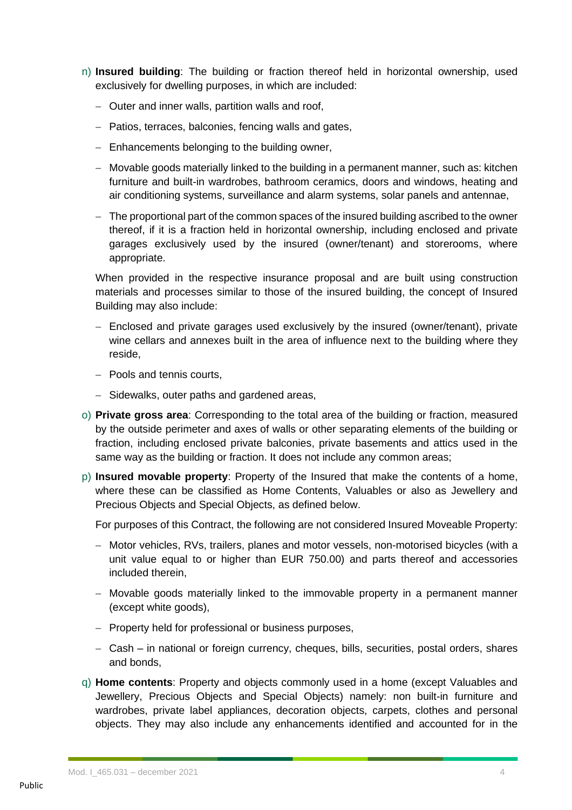- n) **Insured building**: The building or fraction thereof held in horizontal ownership, used exclusively for dwelling purposes, in which are included:
	- − Outer and inner walls, partition walls and roof,
	- − Patios, terraces, balconies, fencing walls and gates,
	- − Enhancements belonging to the building owner,
	- − Movable goods materially linked to the building in a permanent manner, such as: kitchen furniture and built-in wardrobes, bathroom ceramics, doors and windows, heating and air conditioning systems, surveillance and alarm systems, solar panels and antennae,
	- − The proportional part of the common spaces of the insured building ascribed to the owner thereof, if it is a fraction held in horizontal ownership, including enclosed and private garages exclusively used by the insured (owner/tenant) and storerooms, where appropriate.

When provided in the respective insurance proposal and are built using construction materials and processes similar to those of the insured building, the concept of Insured Building may also include:

- − Enclosed and private garages used exclusively by the insured (owner/tenant), private wine cellars and annexes built in the area of influence next to the building where they reside,
- − Pools and tennis courts,
- − Sidewalks, outer paths and gardened areas,
- o) **Private gross area**: Corresponding to the total area of the building or fraction, measured by the outside perimeter and axes of walls or other separating elements of the building or fraction, including enclosed private balconies, private basements and attics used in the same way as the building or fraction. It does not include any common areas;
- p) **Insured movable property**: Property of the Insured that make the contents of a home, where these can be classified as Home Contents, Valuables or also as Jewellery and Precious Objects and Special Objects, as defined below.

For purposes of this Contract, the following are not considered Insured Moveable Property:

- − Motor vehicles, RVs, trailers, planes and motor vessels, non-motorised bicycles (with a unit value equal to or higher than EUR 750.00) and parts thereof and accessories included therein,
- − Movable goods materially linked to the immovable property in a permanent manner (except white goods),
- − Property held for professional or business purposes,
- − Cash in national or foreign currency, cheques, bills, securities, postal orders, shares and bonds,
- q) **Home contents**: Property and objects commonly used in a home (except Valuables and Jewellery, Precious Objects and Special Objects) namely: non built-in furniture and wardrobes, private label appliances, decoration objects, carpets, clothes and personal objects. They may also include any enhancements identified and accounted for in the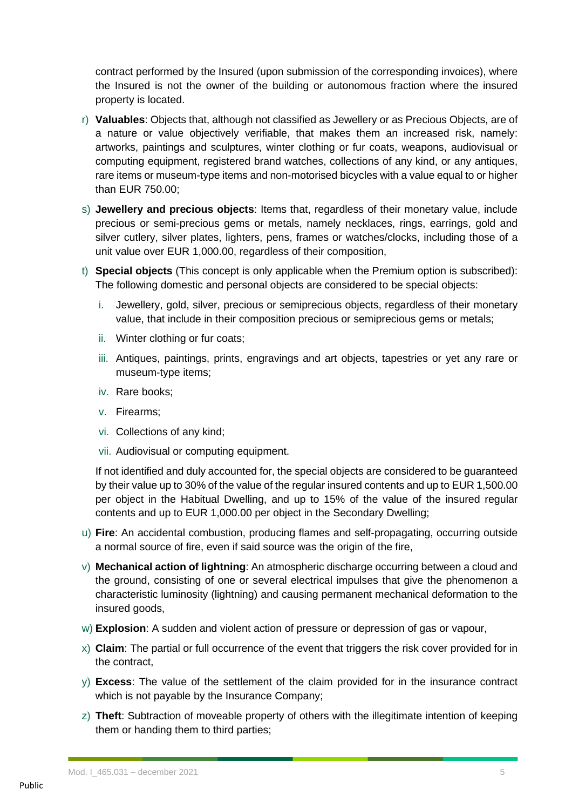contract performed by the Insured (upon submission of the corresponding invoices), where the Insured is not the owner of the building or autonomous fraction where the insured property is located.

- r) **Valuables**: Objects that, although not classified as Jewellery or as Precious Objects, are of a nature or value objectively verifiable, that makes them an increased risk, namely: artworks, paintings and sculptures, winter clothing or fur coats, weapons, audiovisual or computing equipment, registered brand watches, collections of any kind, or any antiques, rare items or museum-type items and non-motorised bicycles with a value equal to or higher than EUR 750.00;
- s) **Jewellery and precious objects**: Items that, regardless of their monetary value, include precious or semi-precious gems or metals, namely necklaces, rings, earrings, gold and silver cutlery, silver plates, lighters, pens, frames or watches/clocks, including those of a unit value over EUR 1,000.00, regardless of their composition,
- t) **Special objects** (This concept is only applicable when the Premium option is subscribed): The following domestic and personal objects are considered to be special objects:
	- i. Jewellery, gold, silver, precious or semiprecious objects, regardless of their monetary value, that include in their composition precious or semiprecious gems or metals;
	- ii. Winter clothing or fur coats;
	- iii. Antiques, paintings, prints, engravings and art objects, tapestries or yet any rare or museum-type items;
	- iv. Rare books;
	- v. Firearms;
	- vi. Collections of any kind;
	- vii. Audiovisual or computing equipment.

If not identified and duly accounted for, the special objects are considered to be guaranteed by their value up to 30% of the value of the regular insured contents and up to EUR 1,500.00 per object in the Habitual Dwelling, and up to 15% of the value of the insured regular contents and up to EUR 1,000.00 per object in the Secondary Dwelling;

- u) **Fire**: An accidental combustion, producing flames and self-propagating, occurring outside a normal source of fire, even if said source was the origin of the fire,
- v) **Mechanical action of lightning**: An atmospheric discharge occurring between a cloud and the ground, consisting of one or several electrical impulses that give the phenomenon a characteristic luminosity (lightning) and causing permanent mechanical deformation to the insured goods,
- w) **Explosion**: A sudden and violent action of pressure or depression of gas or vapour,
- x) **Claim**: The partial or full occurrence of the event that triggers the risk cover provided for in the contract,
- y) **Excess**: The value of the settlement of the claim provided for in the insurance contract which is not payable by the Insurance Company;
- z) **Theft**: Subtraction of moveable property of others with the illegitimate intention of keeping them or handing them to third parties;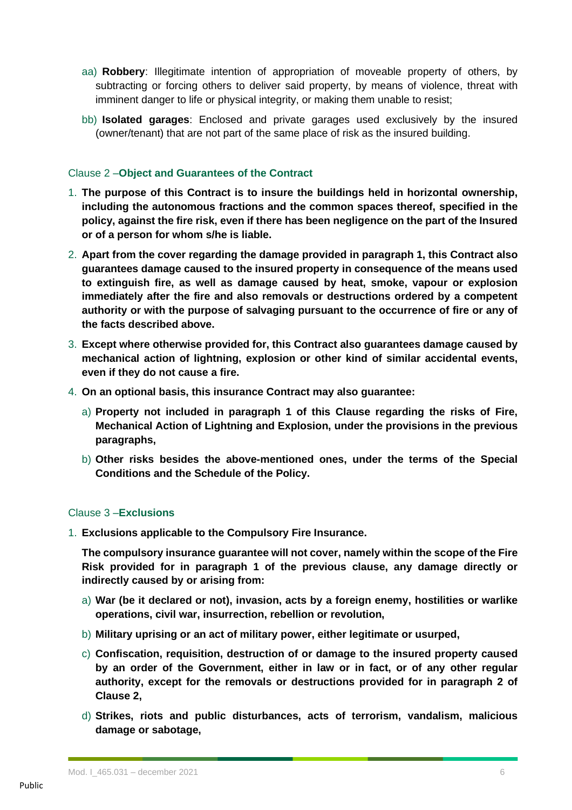- aa) **Robbery**: Illegitimate intention of appropriation of moveable property of others, by subtracting or forcing others to deliver said property, by means of violence, threat with imminent danger to life or physical integrity, or making them unable to resist;
- bb) **Isolated garages**: Enclosed and private garages used exclusively by the insured (owner/tenant) that are not part of the same place of risk as the insured building.

#### Clause 2 –**Object and Guarantees of the Contract**

- 1. **The purpose of this Contract is to insure the buildings held in horizontal ownership, including the autonomous fractions and the common spaces thereof, specified in the policy, against the fire risk, even if there has been negligence on the part of the Insured or of a person for whom s/he is liable.**
- 2. **Apart from the cover regarding the damage provided in paragraph 1, this Contract also guarantees damage caused to the insured property in consequence of the means used to extinguish fire, as well as damage caused by heat, smoke, vapour or explosion immediately after the fire and also removals or destructions ordered by a competent authority or with the purpose of salvaging pursuant to the occurrence of fire or any of the facts described above.**
- 3. **Except where otherwise provided for, this Contract also guarantees damage caused by mechanical action of lightning, explosion or other kind of similar accidental events, even if they do not cause a fire.**
- 4. **On an optional basis, this insurance Contract may also guarantee:**
	- a) **Property not included in paragraph 1 of this Clause regarding the risks of Fire, Mechanical Action of Lightning and Explosion, under the provisions in the previous paragraphs,**
	- b) **Other risks besides the above-mentioned ones, under the terms of the Special Conditions and the Schedule of the Policy.**

#### Clause 3 –**Exclusions**

1. **Exclusions applicable to the Compulsory Fire Insurance.**

**The compulsory insurance guarantee will not cover, namely within the scope of the Fire Risk provided for in paragraph 1 of the previous clause, any damage directly or indirectly caused by or arising from:**

- a) **War (be it declared or not), invasion, acts by a foreign enemy, hostilities or warlike operations, civil war, insurrection, rebellion or revolution,**
- b) **Military uprising or an act of military power, either legitimate or usurped,**
- c) **Confiscation, requisition, destruction of or damage to the insured property caused by an order of the Government, either in law or in fact, or of any other regular authority, except for the removals or destructions provided for in paragraph 2 of Clause 2,**
- d) **Strikes, riots and public disturbances, acts of terrorism, vandalism, malicious damage or sabotage,**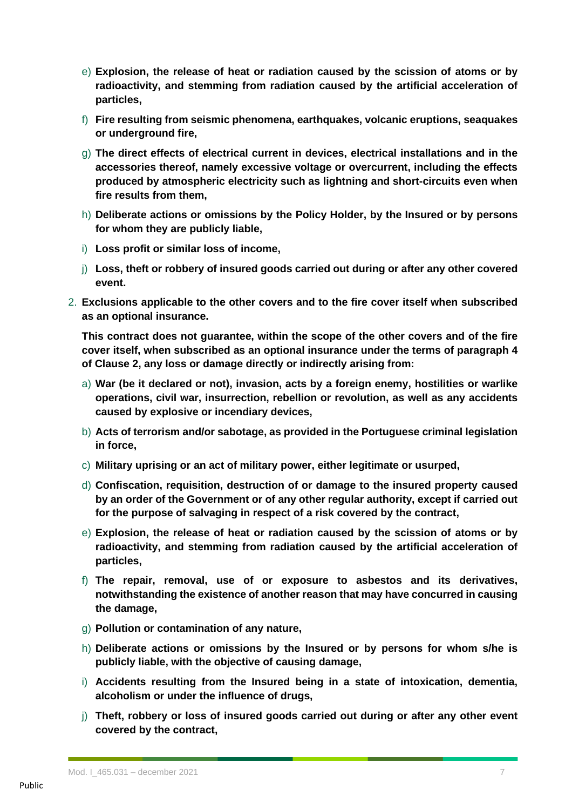- e) **Explosion, the release of heat or radiation caused by the scission of atoms or by radioactivity, and stemming from radiation caused by the artificial acceleration of particles,**
- f) **Fire resulting from seismic phenomena, earthquakes, volcanic eruptions, seaquakes or underground fire,**
- g) **The direct effects of electrical current in devices, electrical installations and in the accessories thereof, namely excessive voltage or overcurrent, including the effects produced by atmospheric electricity such as lightning and short-circuits even when fire results from them,**
- h) **Deliberate actions or omissions by the Policy Holder, by the Insured or by persons for whom they are publicly liable,**
- i) **Loss profit or similar loss of income,**
- j) **Loss, theft or robbery of insured goods carried out during or after any other covered event.**
- 2. **Exclusions applicable to the other covers and to the fire cover itself when subscribed as an optional insurance.**

**This contract does not guarantee, within the scope of the other covers and of the fire cover itself, when subscribed as an optional insurance under the terms of paragraph 4 of Clause 2, any loss or damage directly or indirectly arising from:**

- a) **War (be it declared or not), invasion, acts by a foreign enemy, hostilities or warlike operations, civil war, insurrection, rebellion or revolution, as well as any accidents caused by explosive or incendiary devices,**
- b) **Acts of terrorism and/or sabotage, as provided in the Portuguese criminal legislation in force,**
- c) **Military uprising or an act of military power, either legitimate or usurped,**
- d) **Confiscation, requisition, destruction of or damage to the insured property caused by an order of the Government or of any other regular authority, except if carried out for the purpose of salvaging in respect of a risk covered by the contract,**
- e) **Explosion, the release of heat or radiation caused by the scission of atoms or by radioactivity, and stemming from radiation caused by the artificial acceleration of particles,**
- f) **The repair, removal, use of or exposure to asbestos and its derivatives, notwithstanding the existence of another reason that may have concurred in causing the damage,**
- g) **Pollution or contamination of any nature,**
- h) **Deliberate actions or omissions by the Insured or by persons for whom s/he is publicly liable, with the objective of causing damage,**
- i) **Accidents resulting from the Insured being in a state of intoxication, dementia, alcoholism or under the influence of drugs,**
- j) **Theft, robbery or loss of insured goods carried out during or after any other event covered by the contract,**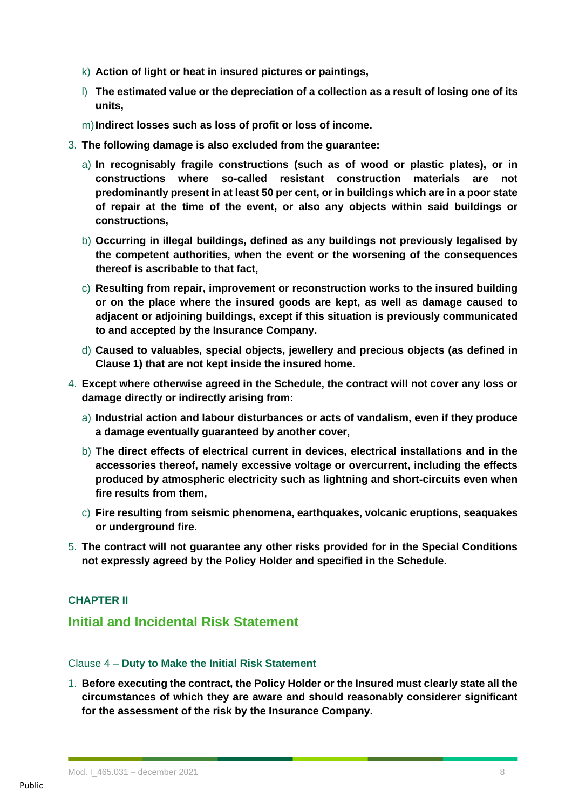- k) **Action of light or heat in insured pictures or paintings,**
- l) **The estimated value or the depreciation of a collection as a result of losing one of its units,**
- m)**Indirect losses such as loss of profit or loss of income.**
- 3. **The following damage is also excluded from the guarantee:**
	- a) **In recognisably fragile constructions (such as of wood or plastic plates), or in constructions where so-called resistant construction materials are not predominantly present in at least 50 per cent, or in buildings which are in a poor state of repair at the time of the event, or also any objects within said buildings or constructions,**
	- b) **Occurring in illegal buildings, defined as any buildings not previously legalised by the competent authorities, when the event or the worsening of the consequences thereof is ascribable to that fact,**
	- c) **Resulting from repair, improvement or reconstruction works to the insured building or on the place where the insured goods are kept, as well as damage caused to adjacent or adjoining buildings, except if this situation is previously communicated to and accepted by the Insurance Company.**
	- d) **Caused to valuables, special objects, jewellery and precious objects (as defined in Clause 1) that are not kept inside the insured home.**
- 4. **Except where otherwise agreed in the Schedule, the contract will not cover any loss or damage directly or indirectly arising from:**
	- a) **Industrial action and labour disturbances or acts of vandalism, even if they produce a damage eventually guaranteed by another cover,**
	- b) **The direct effects of electrical current in devices, electrical installations and in the accessories thereof, namely excessive voltage or overcurrent, including the effects produced by atmospheric electricity such as lightning and short-circuits even when fire results from them,**
	- c) **Fire resulting from seismic phenomena, earthquakes, volcanic eruptions, seaquakes or underground fire.**
- 5. **The contract will not guarantee any other risks provided for in the Special Conditions not expressly agreed by the Policy Holder and specified in the Schedule.**

## **CHAPTER II**

# **Initial and Incidental Risk Statement**

#### Clause 4 – **Duty to Make the Initial Risk Statement**

1. **Before executing the contract, the Policy Holder or the Insured must clearly state all the circumstances of which they are aware and should reasonably considerer significant for the assessment of the risk by the Insurance Company.**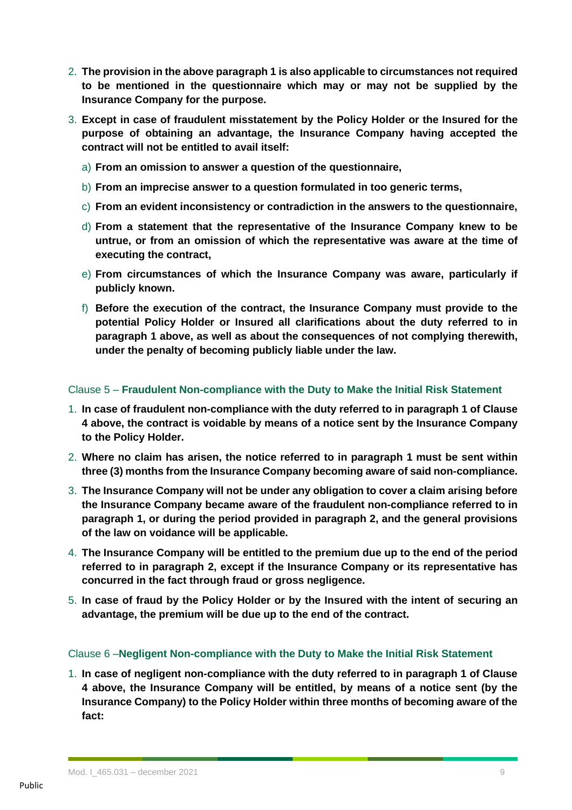- 2. **The provision in the above paragraph 1 is also applicable to circumstances not required to be mentioned in the questionnaire which may or may not be supplied by the Insurance Company for the purpose.**
- 3. **Except in case of fraudulent misstatement by the Policy Holder or the Insured for the purpose of obtaining an advantage, the Insurance Company having accepted the contract will not be entitled to avail itself:**
	- a) **From an omission to answer a question of the questionnaire,**
	- b) **From an imprecise answer to a question formulated in too generic terms,**
	- c) **From an evident inconsistency or contradiction in the answers to the questionnaire,**
	- d) **From a statement that the representative of the Insurance Company knew to be untrue, or from an omission of which the representative was aware at the time of executing the contract,**
	- e) **From circumstances of which the Insurance Company was aware, particularly if publicly known.**
	- f) **Before the execution of the contract, the Insurance Company must provide to the potential Policy Holder or Insured all clarifications about the duty referred to in paragraph 1 above, as well as about the consequences of not complying therewith, under the penalty of becoming publicly liable under the law.**

#### Clause 5 – **Fraudulent Non-compliance with the Duty to Make the Initial Risk Statement**

- 1. **In case of fraudulent non-compliance with the duty referred to in paragraph 1 of Clause 4 above, the contract is voidable by means of a notice sent by the Insurance Company to the Policy Holder.**
- 2. **Where no claim has arisen, the notice referred to in paragraph 1 must be sent within three (3) months from the Insurance Company becoming aware of said non-compliance.**
- 3. **The Insurance Company will not be under any obligation to cover a claim arising before the Insurance Company became aware of the fraudulent non-compliance referred to in paragraph 1, or during the period provided in paragraph 2, and the general provisions of the law on voidance will be applicable.**
- 4. **The Insurance Company will be entitled to the premium due up to the end of the period referred to in paragraph 2, except if the Insurance Company or its representative has concurred in the fact through fraud or gross negligence.**
- 5. **In case of fraud by the Policy Holder or by the Insured with the intent of securing an advantage, the premium will be due up to the end of the contract.**

#### Clause 6 –**Negligent Non-compliance with the Duty to Make the Initial Risk Statement**

1. **In case of negligent non-compliance with the duty referred to in paragraph 1 of Clause 4 above, the Insurance Company will be entitled, by means of a notice sent (by the Insurance Company) to the Policy Holder within three months of becoming aware of the fact:**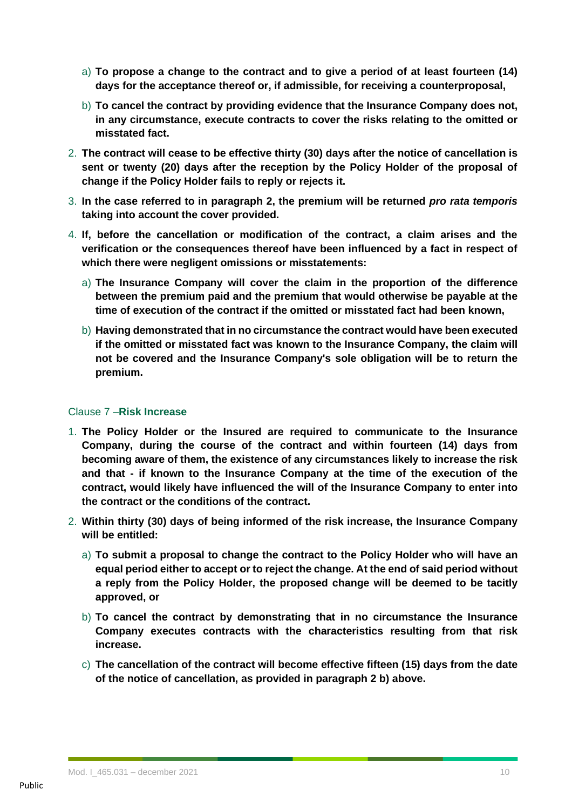- a) **To propose a change to the contract and to give a period of at least fourteen (14) days for the acceptance thereof or, if admissible, for receiving a counterproposal,**
- b) **To cancel the contract by providing evidence that the Insurance Company does not, in any circumstance, execute contracts to cover the risks relating to the omitted or misstated fact.**
- 2. **The contract will cease to be effective thirty (30) days after the notice of cancellation is sent or twenty (20) days after the reception by the Policy Holder of the proposal of change if the Policy Holder fails to reply or rejects it.**
- 3. **In the case referred to in paragraph 2, the premium will be returned** *pro rata temporis* **taking into account the cover provided.**
- 4. **If, before the cancellation or modification of the contract, a claim arises and the verification or the consequences thereof have been influenced by a fact in respect of which there were negligent omissions or misstatements:**
	- a) **The Insurance Company will cover the claim in the proportion of the difference between the premium paid and the premium that would otherwise be payable at the time of execution of the contract if the omitted or misstated fact had been known,**
	- b) **Having demonstrated that in no circumstance the contract would have been executed if the omitted or misstated fact was known to the Insurance Company, the claim will not be covered and the Insurance Company's sole obligation will be to return the premium.**

#### Clause 7 –**Risk Increase**

- 1. **The Policy Holder or the Insured are required to communicate to the Insurance Company, during the course of the contract and within fourteen (14) days from becoming aware of them, the existence of any circumstances likely to increase the risk and that - if known to the Insurance Company at the time of the execution of the contract, would likely have influenced the will of the Insurance Company to enter into the contract or the conditions of the contract.**
- 2. **Within thirty (30) days of being informed of the risk increase, the Insurance Company will be entitled:**
	- a) **To submit a proposal to change the contract to the Policy Holder who will have an equal period either to accept or to reject the change. At the end of said period without a reply from the Policy Holder, the proposed change will be deemed to be tacitly approved, or**
	- b) **To cancel the contract by demonstrating that in no circumstance the Insurance Company executes contracts with the characteristics resulting from that risk increase.**
	- c) **The cancellation of the contract will become effective fifteen (15) days from the date of the notice of cancellation, as provided in paragraph 2 b) above.**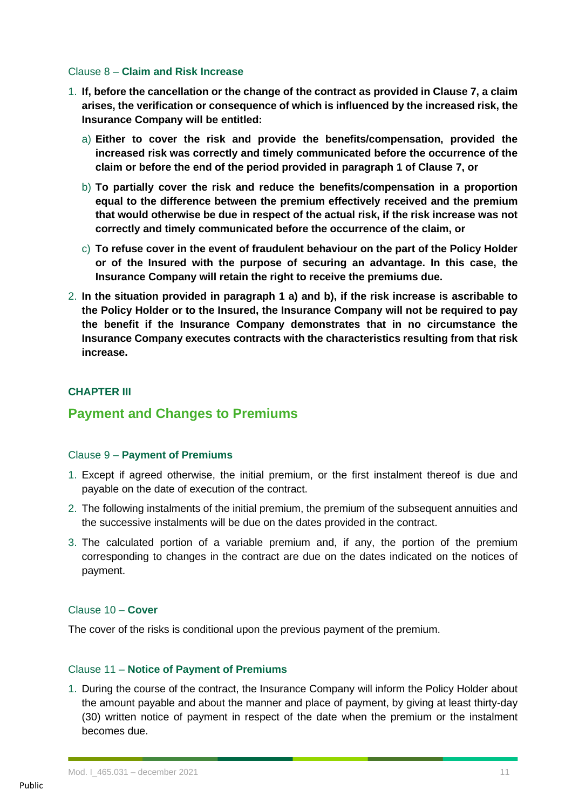#### Clause 8 – **Claim and Risk Increase**

- 1. **If, before the cancellation or the change of the contract as provided in Clause 7, a claim arises, the verification or consequence of which is influenced by the increased risk, the Insurance Company will be entitled:**
	- a) **Either to cover the risk and provide the benefits/compensation, provided the increased risk was correctly and timely communicated before the occurrence of the claim or before the end of the period provided in paragraph 1 of Clause 7, or**
	- b) **To partially cover the risk and reduce the benefits/compensation in a proportion equal to the difference between the premium effectively received and the premium that would otherwise be due in respect of the actual risk, if the risk increase was not correctly and timely communicated before the occurrence of the claim, or**
	- c) **To refuse cover in the event of fraudulent behaviour on the part of the Policy Holder or of the Insured with the purpose of securing an advantage. In this case, the Insurance Company will retain the right to receive the premiums due.**
- 2. **In the situation provided in paragraph 1 a) and b), if the risk increase is ascribable to the Policy Holder or to the Insured, the Insurance Company will not be required to pay the benefit if the Insurance Company demonstrates that in no circumstance the Insurance Company executes contracts with the characteristics resulting from that risk increase.**

#### **CHAPTER III**

# **Payment and Changes to Premiums**

#### Clause 9 – **Payment of Premiums**

- 1. Except if agreed otherwise, the initial premium, or the first instalment thereof is due and payable on the date of execution of the contract.
- 2. The following instalments of the initial premium, the premium of the subsequent annuities and the successive instalments will be due on the dates provided in the contract.
- 3. The calculated portion of a variable premium and, if any, the portion of the premium corresponding to changes in the contract are due on the dates indicated on the notices of payment.

#### Clause 10 – **Cover**

The cover of the risks is conditional upon the previous payment of the premium.

#### Clause 11 – **Notice of Payment of Premiums**

1. During the course of the contract, the Insurance Company will inform the Policy Holder about the amount payable and about the manner and place of payment, by giving at least thirty-day (30) written notice of payment in respect of the date when the premium or the instalment becomes due.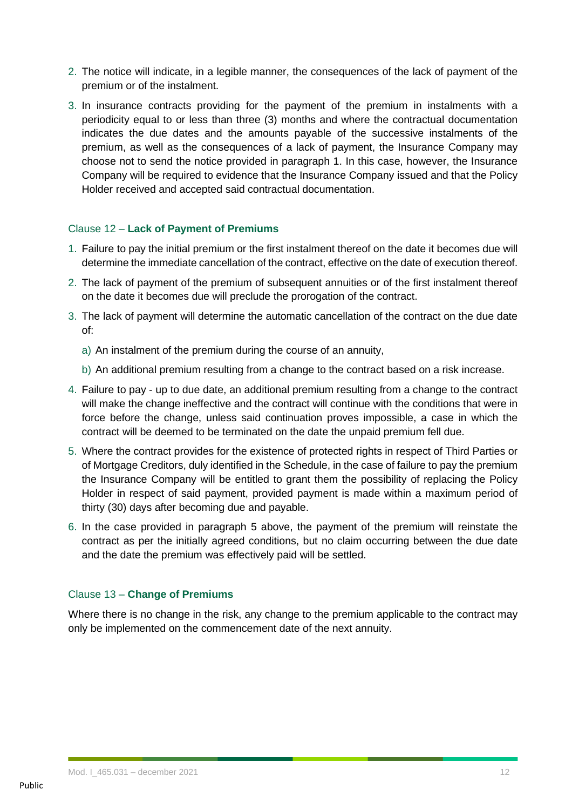- 2. The notice will indicate, in a legible manner, the consequences of the lack of payment of the premium or of the instalment.
- 3. In insurance contracts providing for the payment of the premium in instalments with a periodicity equal to or less than three (3) months and where the contractual documentation indicates the due dates and the amounts payable of the successive instalments of the premium, as well as the consequences of a lack of payment, the Insurance Company may choose not to send the notice provided in paragraph 1. In this case, however, the Insurance Company will be required to evidence that the Insurance Company issued and that the Policy Holder received and accepted said contractual documentation.

## Clause 12 – **Lack of Payment of Premiums**

- 1. Failure to pay the initial premium or the first instalment thereof on the date it becomes due will determine the immediate cancellation of the contract, effective on the date of execution thereof.
- 2. The lack of payment of the premium of subsequent annuities or of the first instalment thereof on the date it becomes due will preclude the prorogation of the contract.
- 3. The lack of payment will determine the automatic cancellation of the contract on the due date of:
	- a) An instalment of the premium during the course of an annuity,
	- b) An additional premium resulting from a change to the contract based on a risk increase.
- 4. Failure to pay up to due date, an additional premium resulting from a change to the contract will make the change ineffective and the contract will continue with the conditions that were in force before the change, unless said continuation proves impossible, a case in which the contract will be deemed to be terminated on the date the unpaid premium fell due.
- 5. Where the contract provides for the existence of protected rights in respect of Third Parties or of Mortgage Creditors, duly identified in the Schedule, in the case of failure to pay the premium the Insurance Company will be entitled to grant them the possibility of replacing the Policy Holder in respect of said payment, provided payment is made within a maximum period of thirty (30) days after becoming due and payable.
- 6. In the case provided in paragraph 5 above, the payment of the premium will reinstate the contract as per the initially agreed conditions, but no claim occurring between the due date and the date the premium was effectively paid will be settled.

#### Clause 13 – **Change of Premiums**

Where there is no change in the risk, any change to the premium applicable to the contract may only be implemented on the commencement date of the next annuity.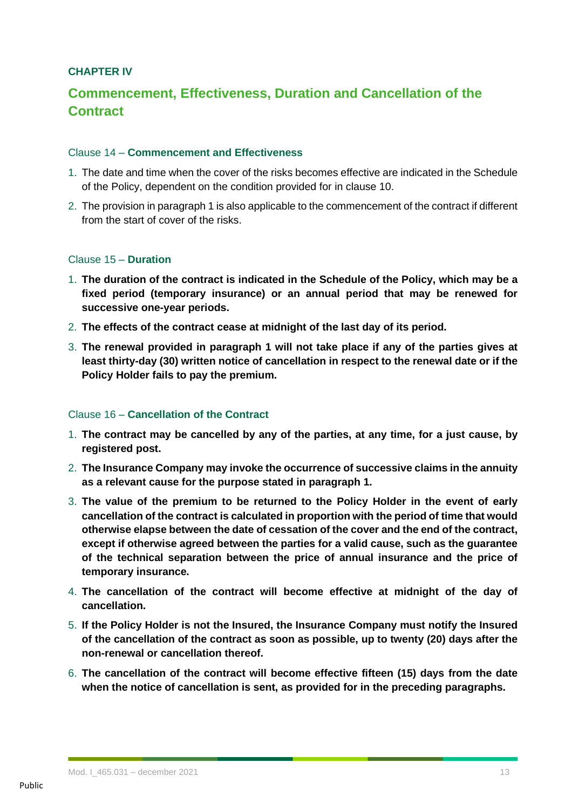## **CHAPTER IV**

# **Commencement, Effectiveness, Duration and Cancellation of the Contract**

### Clause 14 – **Commencement and Effectiveness**

- 1. The date and time when the cover of the risks becomes effective are indicated in the Schedule of the Policy, dependent on the condition provided for in clause 10.
- 2. The provision in paragraph 1 is also applicable to the commencement of the contract if different from the start of cover of the risks.

#### Clause 15 – **Duration**

- 1. **The duration of the contract is indicated in the Schedule of the Policy, which may be a fixed period (temporary insurance) or an annual period that may be renewed for successive one-year periods.**
- 2. **The effects of the contract cease at midnight of the last day of its period.**
- 3. **The renewal provided in paragraph 1 will not take place if any of the parties gives at least thirty-day (30) written notice of cancellation in respect to the renewal date or if the Policy Holder fails to pay the premium.**

#### Clause 16 – **Cancellation of the Contract**

- 1. **The contract may be cancelled by any of the parties, at any time, for a just cause, by registered post.**
- 2. **The Insurance Company may invoke the occurrence of successive claims in the annuity as a relevant cause for the purpose stated in paragraph 1.**
- 3. **The value of the premium to be returned to the Policy Holder in the event of early cancellation of the contract is calculated in proportion with the period of time that would otherwise elapse between the date of cessation of the cover and the end of the contract, except if otherwise agreed between the parties for a valid cause, such as the guarantee of the technical separation between the price of annual insurance and the price of temporary insurance.**
- 4. **The cancellation of the contract will become effective at midnight of the day of cancellation.**
- 5. **If the Policy Holder is not the Insured, the Insurance Company must notify the Insured of the cancellation of the contract as soon as possible, up to twenty (20) days after the non-renewal or cancellation thereof.**
- 6. **The cancellation of the contract will become effective fifteen (15) days from the date when the notice of cancellation is sent, as provided for in the preceding paragraphs.**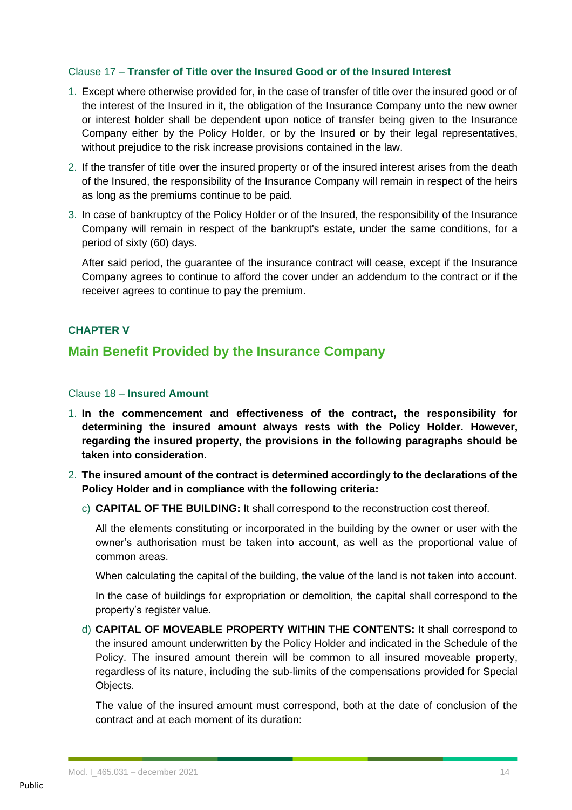### Clause 17 – **Transfer of Title over the Insured Good or of the Insured Interest**

- 1. Except where otherwise provided for, in the case of transfer of title over the insured good or of the interest of the Insured in it, the obligation of the Insurance Company unto the new owner or interest holder shall be dependent upon notice of transfer being given to the Insurance Company either by the Policy Holder, or by the Insured or by their legal representatives, without prejudice to the risk increase provisions contained in the law.
- 2. If the transfer of title over the insured property or of the insured interest arises from the death of the Insured, the responsibility of the Insurance Company will remain in respect of the heirs as long as the premiums continue to be paid.
- 3. In case of bankruptcy of the Policy Holder or of the Insured, the responsibility of the Insurance Company will remain in respect of the bankrupt's estate, under the same conditions, for a period of sixty (60) days.

After said period, the guarantee of the insurance contract will cease, except if the Insurance Company agrees to continue to afford the cover under an addendum to the contract or if the receiver agrees to continue to pay the premium.

## **CHAPTER V**

## **Main Benefit Provided by the Insurance Company**

#### Clause 18 – **Insured Amount**

- 1. **In the commencement and effectiveness of the contract, the responsibility for determining the insured amount always rests with the Policy Holder. However, regarding the insured property, the provisions in the following paragraphs should be taken into consideration.**
- 2. **The insured amount of the contract is determined accordingly to the declarations of the Policy Holder and in compliance with the following criteria:**
	- c) **CAPITAL OF THE BUILDING:** It shall correspond to the reconstruction cost thereof.

All the elements constituting or incorporated in the building by the owner or user with the owner's authorisation must be taken into account, as well as the proportional value of common areas.

When calculating the capital of the building, the value of the land is not taken into account.

In the case of buildings for expropriation or demolition, the capital shall correspond to the property's register value.

d) **CAPITAL OF MOVEABLE PROPERTY WITHIN THE CONTENTS:** It shall correspond to the insured amount underwritten by the Policy Holder and indicated in the Schedule of the Policy. The insured amount therein will be common to all insured moveable property, regardless of its nature, including the sub-limits of the compensations provided for Special Objects.

The value of the insured amount must correspond, both at the date of conclusion of the contract and at each moment of its duration: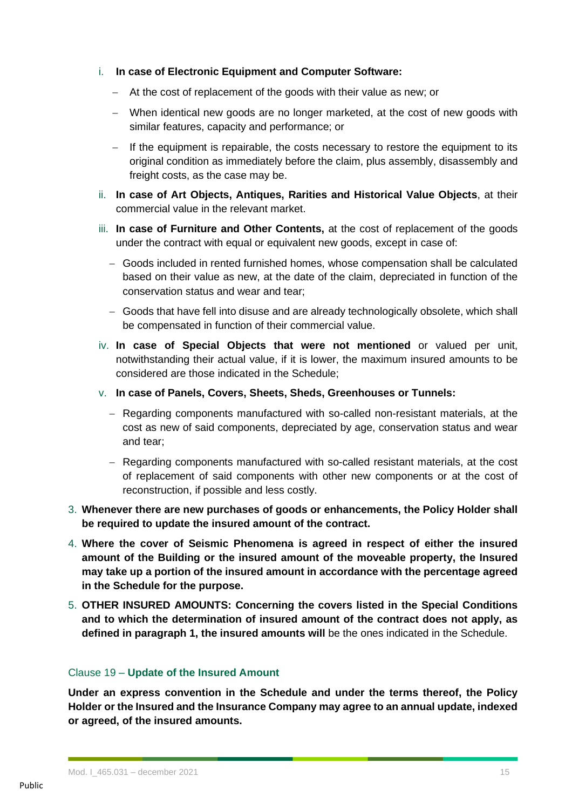#### i. **In case of Electronic Equipment and Computer Software:**

- − At the cost of replacement of the goods with their value as new; or
- − When identical new goods are no longer marketed, at the cost of new goods with similar features, capacity and performance; or
- − If the equipment is repairable, the costs necessary to restore the equipment to its original condition as immediately before the claim, plus assembly, disassembly and freight costs, as the case may be.
- ii. **In case of Art Objects, Antiques, Rarities and Historical Value Objects**, at their commercial value in the relevant market.
- iii. **In case of Furniture and Other Contents,** at the cost of replacement of the goods under the contract with equal or equivalent new goods, except in case of:
	- − Goods included in rented furnished homes, whose compensation shall be calculated based on their value as new, at the date of the claim, depreciated in function of the conservation status and wear and tear;
	- − Goods that have fell into disuse and are already technologically obsolete, which shall be compensated in function of their commercial value.
- iv. **In case of Special Objects that were not mentioned** or valued per unit, notwithstanding their actual value, if it is lower, the maximum insured amounts to be considered are those indicated in the Schedule;
- v. **In case of Panels, Covers, Sheets, Sheds, Greenhouses or Tunnels:**
	- − Regarding components manufactured with so-called non-resistant materials, at the cost as new of said components, depreciated by age, conservation status and wear and tear;
	- − Regarding components manufactured with so-called resistant materials, at the cost of replacement of said components with other new components or at the cost of reconstruction, if possible and less costly.
- 3. **Whenever there are new purchases of goods or enhancements, the Policy Holder shall be required to update the insured amount of the contract.**
- 4. **Where the cover of Seismic Phenomena is agreed in respect of either the insured amount of the Building or the insured amount of the moveable property, the Insured may take up a portion of the insured amount in accordance with the percentage agreed in the Schedule for the purpose.**
- 5. **OTHER INSURED AMOUNTS: Concerning the covers listed in the Special Conditions and to which the determination of insured amount of the contract does not apply, as defined in paragraph 1, the insured amounts will** be the ones indicated in the Schedule.

## Clause 19 – **Update of the Insured Amount**

**Under an express convention in the Schedule and under the terms thereof, the Policy Holder or the Insured and the Insurance Company may agree to an annual update, indexed or agreed, of the insured amounts.**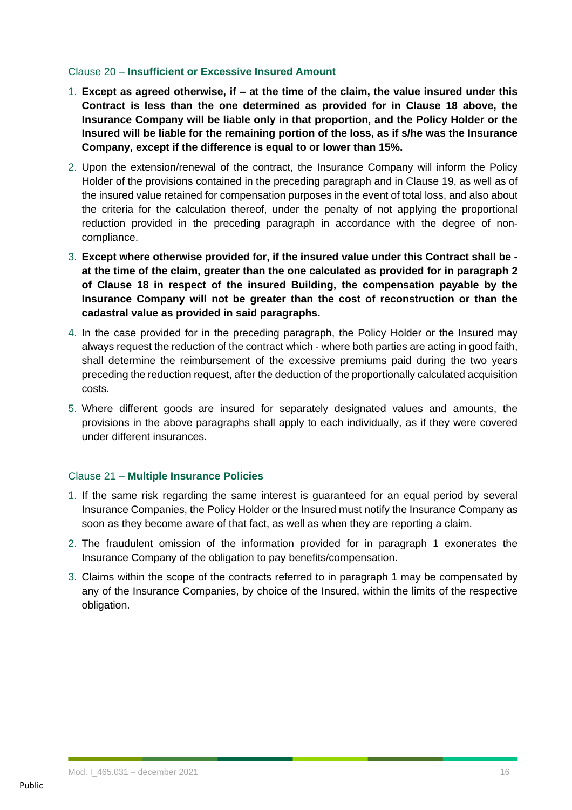#### Clause 20 – **Insufficient or Excessive Insured Amount**

- 1. **Except as agreed otherwise, if – at the time of the claim, the value insured under this Contract is less than the one determined as provided for in Clause 18 above, the Insurance Company will be liable only in that proportion, and the Policy Holder or the Insured will be liable for the remaining portion of the loss, as if s/he was the Insurance Company, except if the difference is equal to or lower than 15%.**
- 2. Upon the extension/renewal of the contract, the Insurance Company will inform the Policy Holder of the provisions contained in the preceding paragraph and in Clause 19, as well as of the insured value retained for compensation purposes in the event of total loss, and also about the criteria for the calculation thereof, under the penalty of not applying the proportional reduction provided in the preceding paragraph in accordance with the degree of noncompliance.
- 3. **Except where otherwise provided for, if the insured value under this Contract shall be at the time of the claim, greater than the one calculated as provided for in paragraph 2 of Clause 18 in respect of the insured Building, the compensation payable by the Insurance Company will not be greater than the cost of reconstruction or than the cadastral value as provided in said paragraphs.**
- 4. In the case provided for in the preceding paragraph, the Policy Holder or the Insured may always request the reduction of the contract which - where both parties are acting in good faith, shall determine the reimbursement of the excessive premiums paid during the two years preceding the reduction request, after the deduction of the proportionally calculated acquisition costs.
- 5. Where different goods are insured for separately designated values and amounts, the provisions in the above paragraphs shall apply to each individually, as if they were covered under different insurances.

#### Clause 21 – **Multiple Insurance Policies**

- 1. If the same risk regarding the same interest is guaranteed for an equal period by several Insurance Companies, the Policy Holder or the Insured must notify the Insurance Company as soon as they become aware of that fact, as well as when they are reporting a claim.
- 2. The fraudulent omission of the information provided for in paragraph 1 exonerates the Insurance Company of the obligation to pay benefits/compensation.
- 3. Claims within the scope of the contracts referred to in paragraph 1 may be compensated by any of the Insurance Companies, by choice of the Insured, within the limits of the respective obligation.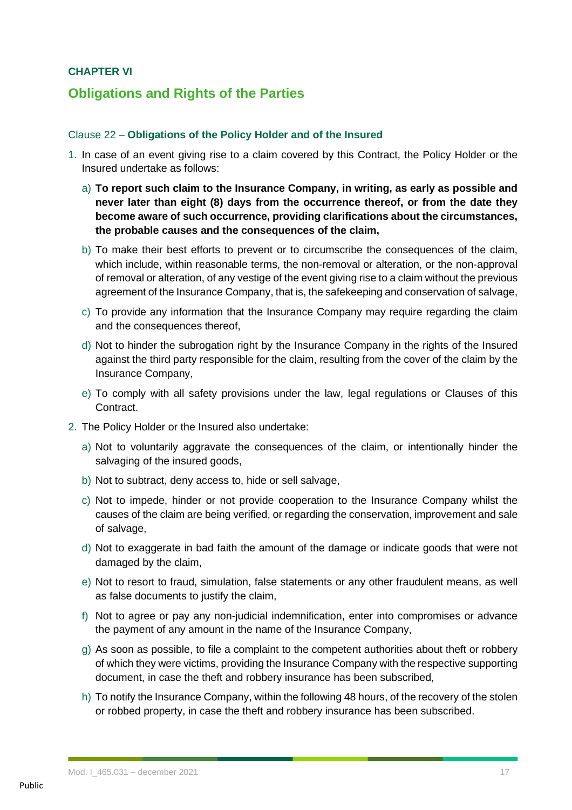## **CHAPTER VI**

# **Obligations and Rights of the Parties**

#### Clause 22 – **Obligations of the Policy Holder and of the Insured**

- 1. In case of an event giving rise to a claim covered by this Contract, the Policy Holder or the Insured undertake as follows:
	- a) **To report such claim to the Insurance Company, in writing, as early as possible and never later than eight (8) days from the occurrence thereof, or from the date they become aware of such occurrence, providing clarifications about the circumstances, the probable causes and the consequences of the claim,**
	- b) To make their best efforts to prevent or to circumscribe the consequences of the claim, which include, within reasonable terms, the non-removal or alteration, or the non-approval of removal or alteration, of any vestige of the event giving rise to a claim without the previous agreement of the Insurance Company, that is, the safekeeping and conservation of salvage,
	- c) To provide any information that the Insurance Company may require regarding the claim and the consequences thereof,
	- d) Not to hinder the subrogation right by the Insurance Company in the rights of the Insured against the third party responsible for the claim, resulting from the cover of the claim by the Insurance Company,
	- e) To comply with all safety provisions under the law, legal regulations or Clauses of this Contract.
- 2. The Policy Holder or the Insured also undertake:
	- a) Not to voluntarily aggravate the consequences of the claim, or intentionally hinder the salvaging of the insured goods,
	- b) Not to subtract, deny access to, hide or sell salvage,
	- c) Not to impede, hinder or not provide cooperation to the Insurance Company whilst the causes of the claim are being verified, or regarding the conservation, improvement and sale of salvage,
	- d) Not to exaggerate in bad faith the amount of the damage or indicate goods that were not damaged by the claim,
	- e) Not to resort to fraud, simulation, false statements or any other fraudulent means, as well as false documents to justify the claim,
	- f) Not to agree or pay any non-judicial indemnification, enter into compromises or advance the payment of any amount in the name of the Insurance Company,
	- g) As soon as possible, to file a complaint to the competent authorities about theft or robbery of which they were victims, providing the Insurance Company with the respective supporting document, in case the theft and robbery insurance has been subscribed,
	- h) To notify the Insurance Company, within the following 48 hours, of the recovery of the stolen or robbed property, in case the theft and robbery insurance has been subscribed.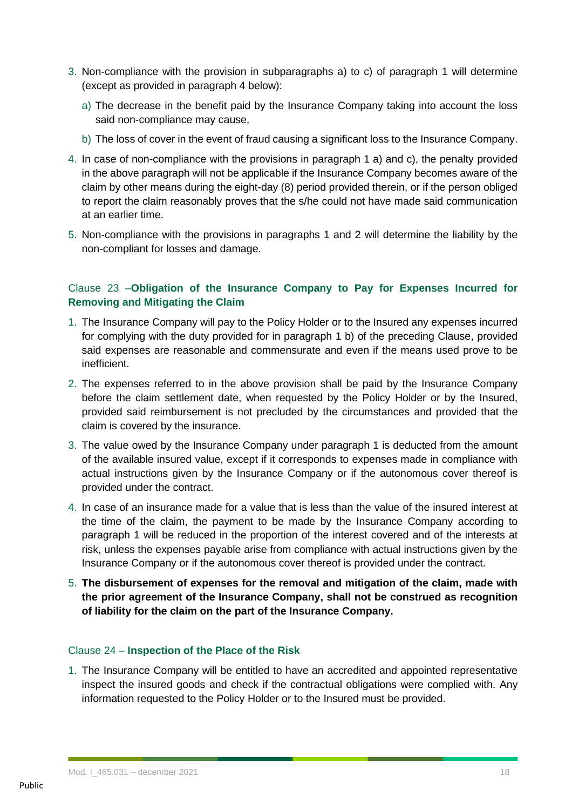- 3. Non-compliance with the provision in subparagraphs a) to c) of paragraph 1 will determine (except as provided in paragraph 4 below):
	- a) The decrease in the benefit paid by the Insurance Company taking into account the loss said non-compliance may cause,
	- b) The loss of cover in the event of fraud causing a significant loss to the Insurance Company.
- 4. In case of non-compliance with the provisions in paragraph 1 a) and c), the penalty provided in the above paragraph will not be applicable if the Insurance Company becomes aware of the claim by other means during the eight-day (8) period provided therein, or if the person obliged to report the claim reasonably proves that the s/he could not have made said communication at an earlier time.
- 5. Non-compliance with the provisions in paragraphs 1 and 2 will determine the liability by the non-compliant for losses and damage.

## Clause 23 –**Obligation of the Insurance Company to Pay for Expenses Incurred for Removing and Mitigating the Claim**

- 1. The Insurance Company will pay to the Policy Holder or to the Insured any expenses incurred for complying with the duty provided for in paragraph 1 b) of the preceding Clause, provided said expenses are reasonable and commensurate and even if the means used prove to be inefficient.
- 2. The expenses referred to in the above provision shall be paid by the Insurance Company before the claim settlement date, when requested by the Policy Holder or by the Insured, provided said reimbursement is not precluded by the circumstances and provided that the claim is covered by the insurance.
- 3. The value owed by the Insurance Company under paragraph 1 is deducted from the amount of the available insured value, except if it corresponds to expenses made in compliance with actual instructions given by the Insurance Company or if the autonomous cover thereof is provided under the contract.
- 4. In case of an insurance made for a value that is less than the value of the insured interest at the time of the claim, the payment to be made by the Insurance Company according to paragraph 1 will be reduced in the proportion of the interest covered and of the interests at risk, unless the expenses payable arise from compliance with actual instructions given by the Insurance Company or if the autonomous cover thereof is provided under the contract.
- 5. **The disbursement of expenses for the removal and mitigation of the claim, made with the prior agreement of the Insurance Company, shall not be construed as recognition of liability for the claim on the part of the Insurance Company.**

#### Clause 24 – **Inspection of the Place of the Risk**

1. The Insurance Company will be entitled to have an accredited and appointed representative inspect the insured goods and check if the contractual obligations were complied with. Any information requested to the Policy Holder or to the Insured must be provided.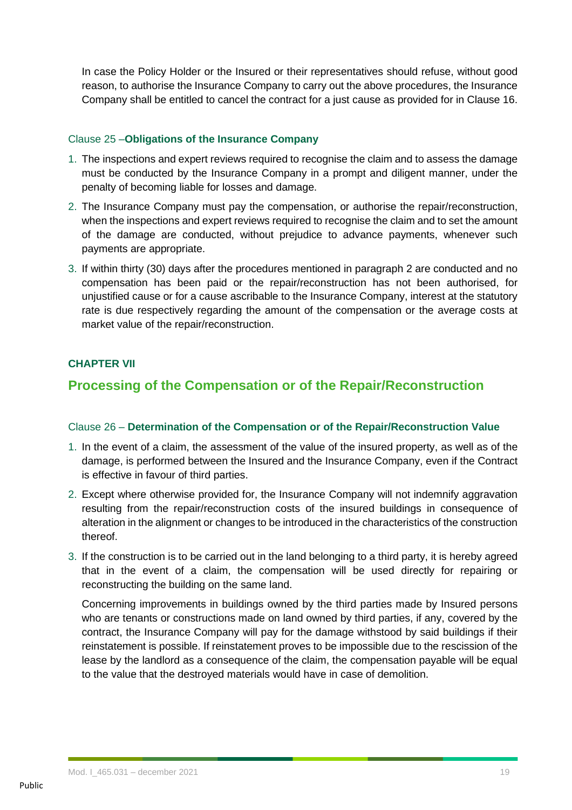In case the Policy Holder or the Insured or their representatives should refuse, without good reason, to authorise the Insurance Company to carry out the above procedures, the Insurance Company shall be entitled to cancel the contract for a just cause as provided for in Clause 16.

#### Clause 25 –**Obligations of the Insurance Company**

- 1. The inspections and expert reviews required to recognise the claim and to assess the damage must be conducted by the Insurance Company in a prompt and diligent manner, under the penalty of becoming liable for losses and damage.
- 2. The Insurance Company must pay the compensation, or authorise the repair/reconstruction, when the inspections and expert reviews required to recognise the claim and to set the amount of the damage are conducted, without prejudice to advance payments, whenever such payments are appropriate.
- 3. If within thirty (30) days after the procedures mentioned in paragraph 2 are conducted and no compensation has been paid or the repair/reconstruction has not been authorised, for unjustified cause or for a cause ascribable to the Insurance Company, interest at the statutory rate is due respectively regarding the amount of the compensation or the average costs at market value of the repair/reconstruction.

## **CHAPTER VII**

# **Processing of the Compensation or of the Repair/Reconstruction**

#### Clause 26 – **Determination of the Compensation or of the Repair/Reconstruction Value**

- 1. In the event of a claim, the assessment of the value of the insured property, as well as of the damage, is performed between the Insured and the Insurance Company, even if the Contract is effective in favour of third parties.
- 2. Except where otherwise provided for, the Insurance Company will not indemnify aggravation resulting from the repair/reconstruction costs of the insured buildings in consequence of alteration in the alignment or changes to be introduced in the characteristics of the construction thereof.
- 3. If the construction is to be carried out in the land belonging to a third party, it is hereby agreed that in the event of a claim, the compensation will be used directly for repairing or reconstructing the building on the same land.

Concerning improvements in buildings owned by the third parties made by Insured persons who are tenants or constructions made on land owned by third parties, if any, covered by the contract, the Insurance Company will pay for the damage withstood by said buildings if their reinstatement is possible. If reinstatement proves to be impossible due to the rescission of the lease by the landlord as a consequence of the claim, the compensation payable will be equal to the value that the destroyed materials would have in case of demolition.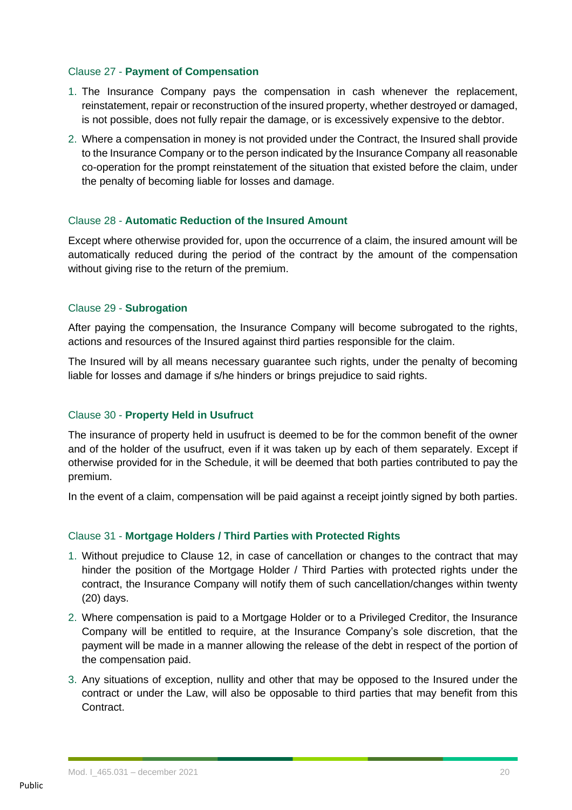#### Clause 27 - **Payment of Compensation**

- 1. The Insurance Company pays the compensation in cash whenever the replacement, reinstatement, repair or reconstruction of the insured property, whether destroyed or damaged, is not possible, does not fully repair the damage, or is excessively expensive to the debtor.
- 2. Where a compensation in money is not provided under the Contract, the Insured shall provide to the Insurance Company or to the person indicated by the Insurance Company all reasonable co-operation for the prompt reinstatement of the situation that existed before the claim, under the penalty of becoming liable for losses and damage.

#### Clause 28 - **Automatic Reduction of the Insured Amount**

Except where otherwise provided for, upon the occurrence of a claim, the insured amount will be automatically reduced during the period of the contract by the amount of the compensation without giving rise to the return of the premium.

#### Clause 29 - **Subrogation**

After paying the compensation, the Insurance Company will become subrogated to the rights, actions and resources of the Insured against third parties responsible for the claim.

The Insured will by all means necessary guarantee such rights, under the penalty of becoming liable for losses and damage if s/he hinders or brings prejudice to said rights.

#### Clause 30 - **Property Held in Usufruct**

The insurance of property held in usufruct is deemed to be for the common benefit of the owner and of the holder of the usufruct, even if it was taken up by each of them separately. Except if otherwise provided for in the Schedule, it will be deemed that both parties contributed to pay the premium.

In the event of a claim, compensation will be paid against a receipt jointly signed by both parties.

#### Clause 31 - **Mortgage Holders / Third Parties with Protected Rights**

- 1. Without prejudice to Clause 12, in case of cancellation or changes to the contract that may hinder the position of the Mortgage Holder / Third Parties with protected rights under the contract, the Insurance Company will notify them of such cancellation/changes within twenty (20) days.
- 2. Where compensation is paid to a Mortgage Holder or to a Privileged Creditor, the Insurance Company will be entitled to require, at the Insurance Company's sole discretion, that the payment will be made in a manner allowing the release of the debt in respect of the portion of the compensation paid.
- 3. Any situations of exception, nullity and other that may be opposed to the Insured under the contract or under the Law, will also be opposable to third parties that may benefit from this Contract.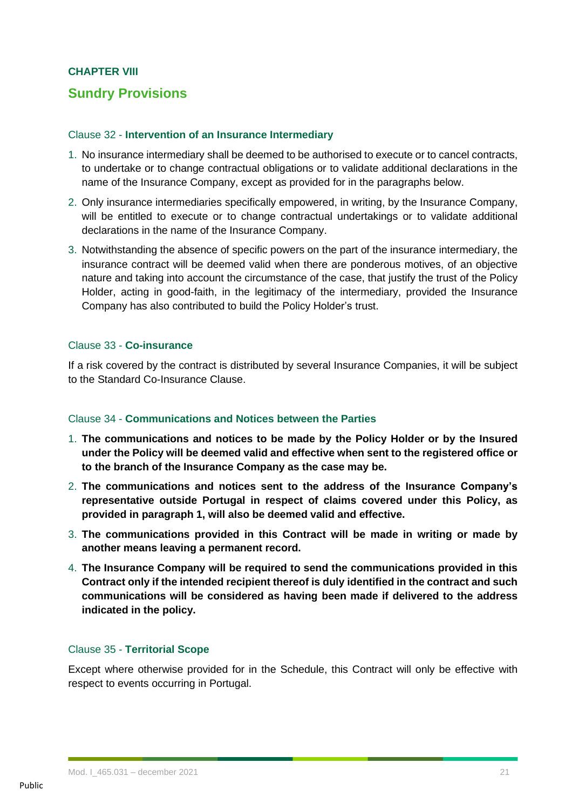## **CHAPTER VIII**

# **Sundry Provisions**

#### Clause 32 - **Intervention of an Insurance Intermediary**

- 1. No insurance intermediary shall be deemed to be authorised to execute or to cancel contracts, to undertake or to change contractual obligations or to validate additional declarations in the name of the Insurance Company, except as provided for in the paragraphs below.
- 2. Only insurance intermediaries specifically empowered, in writing, by the Insurance Company, will be entitled to execute or to change contractual undertakings or to validate additional declarations in the name of the Insurance Company.
- 3. Notwithstanding the absence of specific powers on the part of the insurance intermediary, the insurance contract will be deemed valid when there are ponderous motives, of an objective nature and taking into account the circumstance of the case, that justify the trust of the Policy Holder, acting in good-faith, in the legitimacy of the intermediary, provided the Insurance Company has also contributed to build the Policy Holder's trust.

#### Clause 33 - **Co-insurance**

If a risk covered by the contract is distributed by several Insurance Companies, it will be subject to the Standard Co-Insurance Clause.

#### Clause 34 - **Communications and Notices between the Parties**

- 1. **The communications and notices to be made by the Policy Holder or by the Insured under the Policy will be deemed valid and effective when sent to the registered office or to the branch of the Insurance Company as the case may be.**
- 2. **The communications and notices sent to the address of the Insurance Company's representative outside Portugal in respect of claims covered under this Policy, as provided in paragraph 1, will also be deemed valid and effective.**
- 3. **The communications provided in this Contract will be made in writing or made by another means leaving a permanent record.**
- 4. **The Insurance Company will be required to send the communications provided in this Contract only if the intended recipient thereof is duly identified in the contract and such communications will be considered as having been made if delivered to the address indicated in the policy.**

#### Clause 35 - **Territorial Scope**

Except where otherwise provided for in the Schedule, this Contract will only be effective with respect to events occurring in Portugal.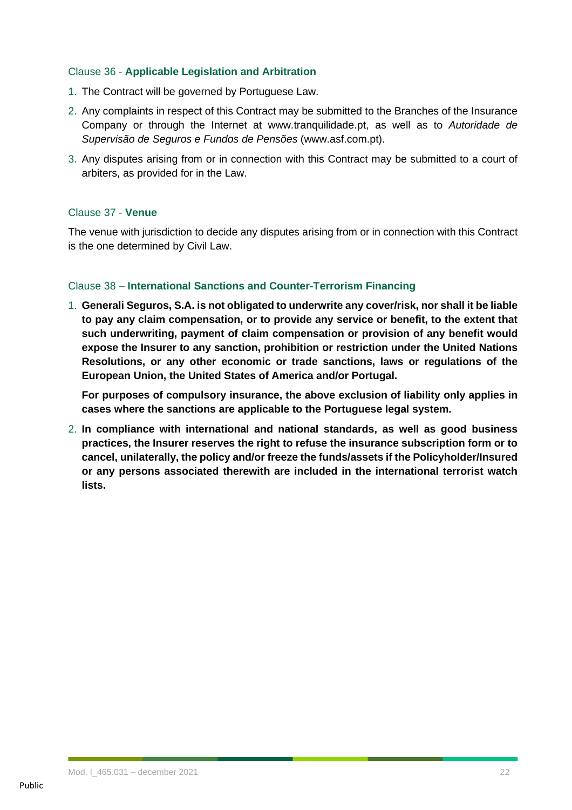#### Clause 36 - **Applicable Legislation and Arbitration**

- 1. The Contract will be governed by Portuguese Law.
- 2. Any complaints in respect of this Contract may be submitted to the Branches of the Insurance Company or through the Internet at www.tranquilidade.pt, as well as to *Autoridade de Supervisão de Seguros e Fundos de Pensões* (www.asf.com.pt).
- 3. Any disputes arising from or in connection with this Contract may be submitted to a court of arbiters, as provided for in the Law.

#### Clause 37 - **Venue**

The venue with jurisdiction to decide any disputes arising from or in connection with this Contract is the one determined by Civil Law.

#### Clause 38 – **International Sanctions and Counter-Terrorism Financing**

1. **Generali Seguros, S.A. is not obligated to underwrite any cover/risk, nor shall it be liable to pay any claim compensation, or to provide any service or benefit, to the extent that such underwriting, payment of claim compensation or provision of any benefit would expose the Insurer to any sanction, prohibition or restriction under the United Nations Resolutions, or any other economic or trade sanctions, laws or regulations of the European Union, the United States of America and/or Portugal.**

**For purposes of compulsory insurance, the above exclusion of liability only applies in cases where the sanctions are applicable to the Portuguese legal system.**

2. **In compliance with international and national standards, as well as good business practices, the Insurer reserves the right to refuse the insurance subscription form or to cancel, unilaterally, the policy and/or freeze the funds/assets if the Policyholder/Insured or any persons associated therewith are included in the international terrorist watch lists.**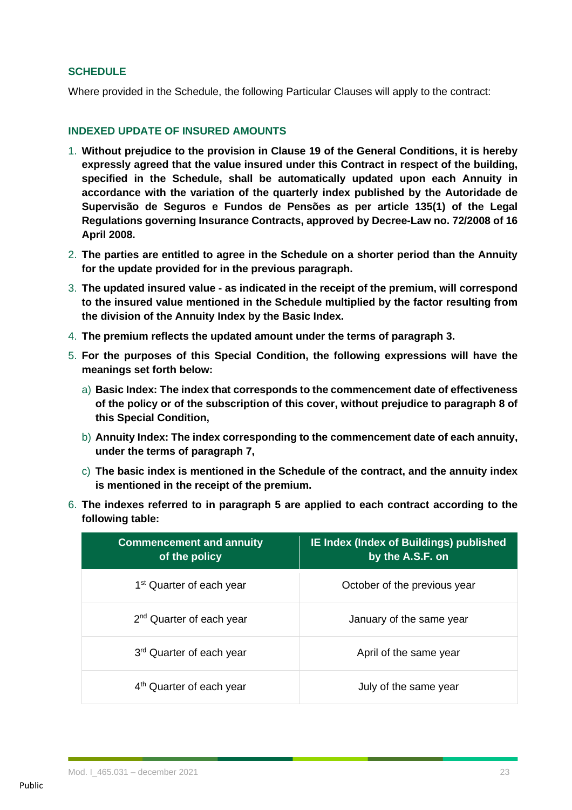## **SCHEDULE**

Where provided in the Schedule, the following Particular Clauses will apply to the contract:

## **INDEXED UPDATE OF INSURED AMOUNTS**

- 1. **Without prejudice to the provision in Clause 19 of the General Conditions, it is hereby expressly agreed that the value insured under this Contract in respect of the building, specified in the Schedule, shall be automatically updated upon each Annuity in accordance with the variation of the quarterly index published by the Autoridade de Supervisão de Seguros e Fundos de Pensões as per article 135(1) of the Legal Regulations governing Insurance Contracts, approved by Decree-Law no. 72/2008 of 16 April 2008.**
- 2. **The parties are entitled to agree in the Schedule on a shorter period than the Annuity for the update provided for in the previous paragraph.**
- 3. **The updated insured value - as indicated in the receipt of the premium, will correspond to the insured value mentioned in the Schedule multiplied by the factor resulting from the division of the Annuity Index by the Basic Index.**
- 4. **The premium reflects the updated amount under the terms of paragraph 3.**
- 5. **For the purposes of this Special Condition, the following expressions will have the meanings set forth below:**
	- a) **Basic Index: The index that corresponds to the commencement date of effectiveness of the policy or of the subscription of this cover, without prejudice to paragraph 8 of this Special Condition,**
	- b) **Annuity Index: The index corresponding to the commencement date of each annuity, under the terms of paragraph 7,**
	- c) **The basic index is mentioned in the Schedule of the contract, and the annuity index is mentioned in the receipt of the premium.**
- 6. **The indexes referred to in paragraph 5 are applied to each contract according to the following table:**

| <b>Commencement and annuity</b><br>of the policy | IE Index (Index of Buildings) published<br>by the A.S.F. on |
|--------------------------------------------------|-------------------------------------------------------------|
| 1 <sup>st</sup> Quarter of each year             | October of the previous year                                |
| 2 <sup>nd</sup> Quarter of each year             | January of the same year                                    |
| 3rd Quarter of each year                         | April of the same year                                      |
| 4 <sup>th</sup> Quarter of each year             | July of the same year                                       |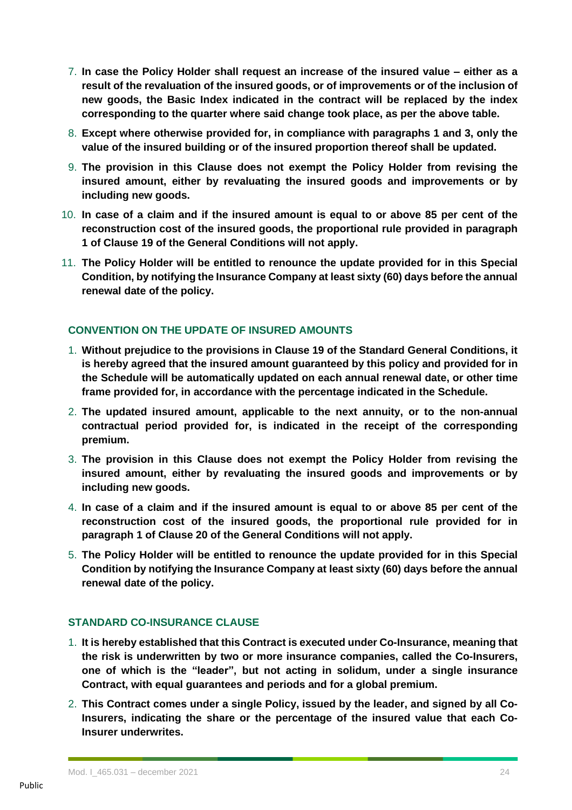- 7. **In case the Policy Holder shall request an increase of the insured value – either as a result of the revaluation of the insured goods, or of improvements or of the inclusion of new goods, the Basic Index indicated in the contract will be replaced by the index corresponding to the quarter where said change took place, as per the above table.**
- 8. **Except where otherwise provided for, in compliance with paragraphs 1 and 3, only the value of the insured building or of the insured proportion thereof shall be updated.**
- 9. **The provision in this Clause does not exempt the Policy Holder from revising the insured amount, either by revaluating the insured goods and improvements or by including new goods.**
- 10. In case of a claim and if the insured amount is equal to or above 85 per cent of the **reconstruction cost of the insured goods, the proportional rule provided in paragraph 1 of Clause 19 of the General Conditions will not apply.**
- 11. **The Policy Holder will be entitled to renounce the update provided for in this Special Condition, by notifying the Insurance Company at least sixty (60) days before the annual renewal date of the policy.**

## **CONVENTION ON THE UPDATE OF INSURED AMOUNTS**

- 1. **Without prejudice to the provisions in Clause 19 of the Standard General Conditions, it is hereby agreed that the insured amount guaranteed by this policy and provided for in the Schedule will be automatically updated on each annual renewal date, or other time frame provided for, in accordance with the percentage indicated in the Schedule.**
- 2. **The updated insured amount, applicable to the next annuity, or to the non-annual contractual period provided for, is indicated in the receipt of the corresponding premium.**
- 3. **The provision in this Clause does not exempt the Policy Holder from revising the insured amount, either by revaluating the insured goods and improvements or by including new goods.**
- 4. In case of a claim and if the insured amount is equal to or above 85 per cent of the **reconstruction cost of the insured goods, the proportional rule provided for in paragraph 1 of Clause 20 of the General Conditions will not apply.**
- 5. **The Policy Holder will be entitled to renounce the update provided for in this Special Condition by notifying the Insurance Company at least sixty (60) days before the annual renewal date of the policy.**

#### **STANDARD CO-INSURANCE CLAUSE**

- 1. **It is hereby established that this Contract is executed under Co-Insurance, meaning that the risk is underwritten by two or more insurance companies, called the Co-Insurers, one of which is the "leader", but not acting in solidum, under a single insurance Contract, with equal guarantees and periods and for a global premium.**
- 2. **This Contract comes under a single Policy, issued by the leader, and signed by all Co-Insurers, indicating the share or the percentage of the insured value that each Co-Insurer underwrites.**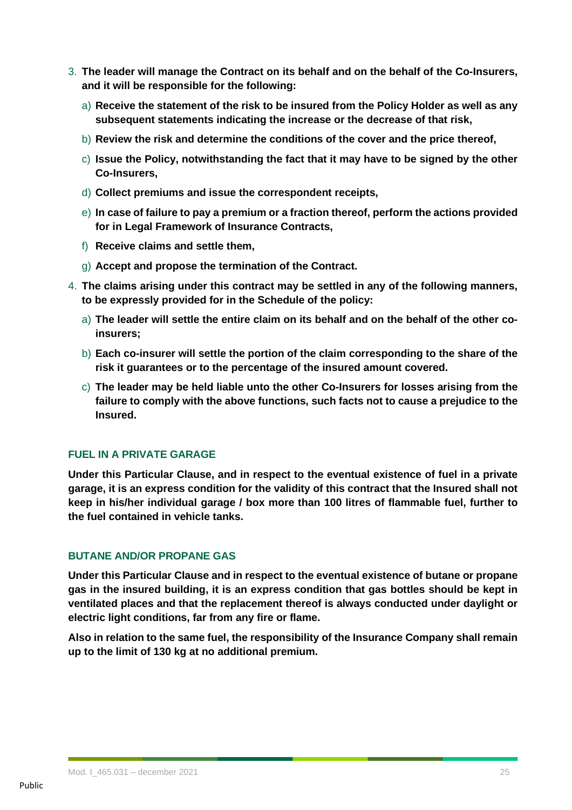- 3. **The leader will manage the Contract on its behalf and on the behalf of the Co-Insurers, and it will be responsible for the following:**
	- a) **Receive the statement of the risk to be insured from the Policy Holder as well as any subsequent statements indicating the increase or the decrease of that risk,**
	- b) **Review the risk and determine the conditions of the cover and the price thereof,**
	- c) **Issue the Policy, notwithstanding the fact that it may have to be signed by the other Co-Insurers,**
	- d) **Collect premiums and issue the correspondent receipts,**
	- e) **In case of failure to pay a premium or a fraction thereof, perform the actions provided for in Legal Framework of Insurance Contracts,**
	- f) **Receive claims and settle them,**
	- g) **Accept and propose the termination of the Contract.**
- 4. **The claims arising under this contract may be settled in any of the following manners, to be expressly provided for in the Schedule of the policy:**
	- a) **The leader will settle the entire claim on its behalf and on the behalf of the other coinsurers;**
	- b) **Each co-insurer will settle the portion of the claim corresponding to the share of the risk it guarantees or to the percentage of the insured amount covered.**
	- c) **The leader may be held liable unto the other Co-Insurers for losses arising from the failure to comply with the above functions, such facts not to cause a prejudice to the Insured.**

## **FUEL IN A PRIVATE GARAGE**

**Under this Particular Clause, and in respect to the eventual existence of fuel in a private garage, it is an express condition for the validity of this contract that the Insured shall not keep in his/her individual garage / box more than 100 litres of flammable fuel, further to the fuel contained in vehicle tanks.**

## **BUTANE AND/OR PROPANE GAS**

**Under this Particular Clause and in respect to the eventual existence of butane or propane gas in the insured building, it is an express condition that gas bottles should be kept in ventilated places and that the replacement thereof is always conducted under daylight or electric light conditions, far from any fire or flame.**

**Also in relation to the same fuel, the responsibility of the Insurance Company shall remain up to the limit of 130 kg at no additional premium.**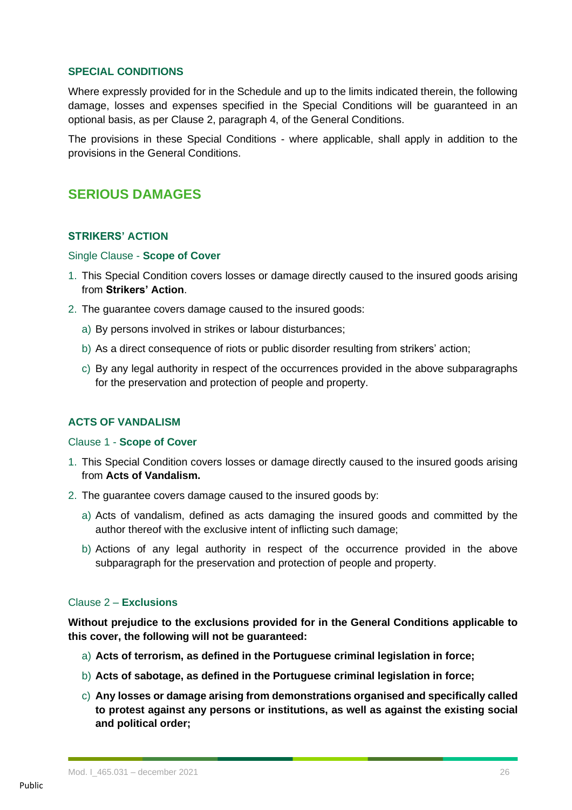## **SPECIAL CONDITIONS**

Where expressly provided for in the Schedule and up to the limits indicated therein, the following damage, losses and expenses specified in the Special Conditions will be guaranteed in an optional basis, as per Clause 2, paragraph 4, of the General Conditions.

The provisions in these Special Conditions - where applicable, shall apply in addition to the provisions in the General Conditions.

# **SERIOUS DAMAGES**

#### **STRIKERS' ACTION**

#### Single Clause - **Scope of Cover**

- 1. This Special Condition covers losses or damage directly caused to the insured goods arising from **Strikers' Action**.
- 2. The guarantee covers damage caused to the insured goods:
	- a) By persons involved in strikes or labour disturbances;
	- b) As a direct consequence of riots or public disorder resulting from strikers' action;
	- c) By any legal authority in respect of the occurrences provided in the above subparagraphs for the preservation and protection of people and property.

#### **ACTS OF VANDALISM**

#### Clause 1 - **Scope of Cover**

- 1. This Special Condition covers losses or damage directly caused to the insured goods arising from **Acts of Vandalism.**
- 2. The guarantee covers damage caused to the insured goods by:
	- a) Acts of vandalism, defined as acts damaging the insured goods and committed by the author thereof with the exclusive intent of inflicting such damage;
	- b) Actions of any legal authority in respect of the occurrence provided in the above subparagraph for the preservation and protection of people and property.

#### Clause 2 – **Exclusions**

**Without prejudice to the exclusions provided for in the General Conditions applicable to this cover, the following will not be guaranteed:**

- a) **Acts of terrorism, as defined in the Portuguese criminal legislation in force;**
- b) **Acts of sabotage, as defined in the Portuguese criminal legislation in force;**
- c) **Any losses or damage arising from demonstrations organised and specifically called to protest against any persons or institutions, as well as against the existing social and political order;**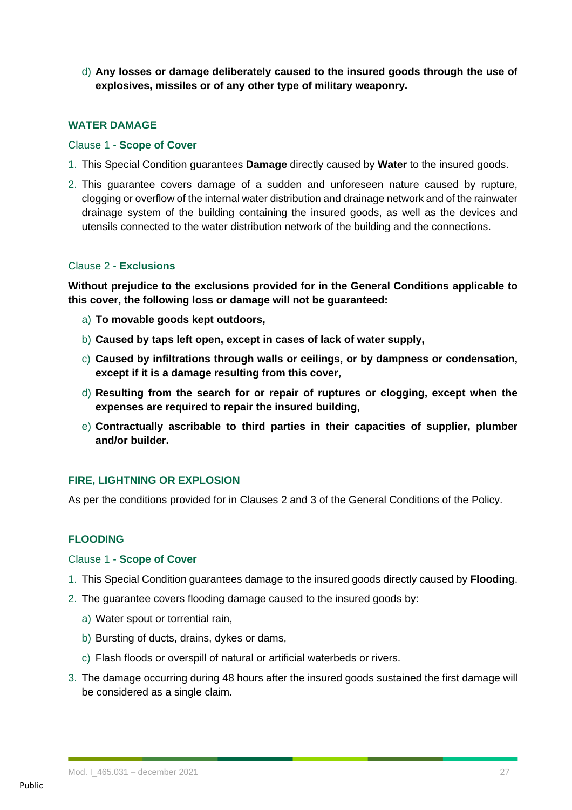d) **Any losses or damage deliberately caused to the insured goods through the use of explosives, missiles or of any other type of military weaponry.**

### **WATER DAMAGE**

#### Clause 1 - **Scope of Cover**

- 1. This Special Condition guarantees **Damage** directly caused by **Water** to the insured goods.
- 2. This guarantee covers damage of a sudden and unforeseen nature caused by rupture, clogging or overflow of the internal water distribution and drainage network and of the rainwater drainage system of the building containing the insured goods, as well as the devices and utensils connected to the water distribution network of the building and the connections.

#### Clause 2 - **Exclusions**

**Without prejudice to the exclusions provided for in the General Conditions applicable to this cover, the following loss or damage will not be guaranteed:**

- a) **To movable goods kept outdoors,**
- b) **Caused by taps left open, except in cases of lack of water supply,**
- c) **Caused by infiltrations through walls or ceilings, or by dampness or condensation, except if it is a damage resulting from this cover,**
- d) **Resulting from the search for or repair of ruptures or clogging, except when the expenses are required to repair the insured building,**
- e) **Contractually ascribable to third parties in their capacities of supplier, plumber and/or builder.**

#### **FIRE, LIGHTNING OR EXPLOSION**

As per the conditions provided for in Clauses 2 and 3 of the General Conditions of the Policy.

#### **FLOODING**

#### Clause 1 - **Scope of Cover**

- 1. This Special Condition guarantees damage to the insured goods directly caused by **Flooding**.
- 2. The guarantee covers flooding damage caused to the insured goods by:
	- a) Water spout or torrential rain,
	- b) Bursting of ducts, drains, dykes or dams,
	- c) Flash floods or overspill of natural or artificial waterbeds or rivers.
- 3. The damage occurring during 48 hours after the insured goods sustained the first damage will be considered as a single claim.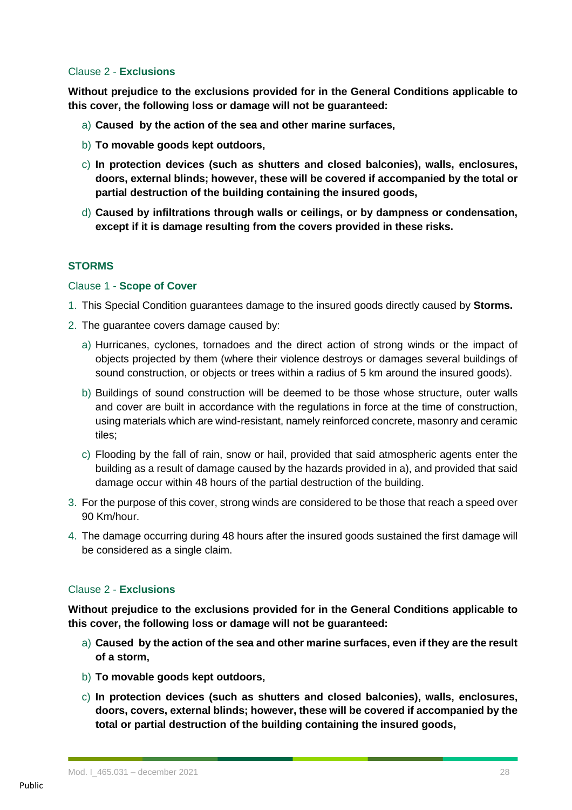#### Clause 2 - **Exclusions**

**Without prejudice to the exclusions provided for in the General Conditions applicable to this cover, the following loss or damage will not be guaranteed:**

- a) **Caused by the action of the sea and other marine surfaces,**
- b) **To movable goods kept outdoors,**
- c) **In protection devices (such as shutters and closed balconies), walls, enclosures, doors, external blinds; however, these will be covered if accompanied by the total or partial destruction of the building containing the insured goods,**
- d) **Caused by infiltrations through walls or ceilings, or by dampness or condensation, except if it is damage resulting from the covers provided in these risks.**

#### **STORMS**

#### Clause 1 - **Scope of Cover**

- 1. This Special Condition guarantees damage to the insured goods directly caused by **Storms.**
- 2. The guarantee covers damage caused by:
	- a) Hurricanes, cyclones, tornadoes and the direct action of strong winds or the impact of objects projected by them (where their violence destroys or damages several buildings of sound construction, or objects or trees within a radius of 5 km around the insured goods).
	- b) Buildings of sound construction will be deemed to be those whose structure, outer walls and cover are built in accordance with the regulations in force at the time of construction, using materials which are wind-resistant, namely reinforced concrete, masonry and ceramic tiles;
	- c) Flooding by the fall of rain, snow or hail, provided that said atmospheric agents enter the building as a result of damage caused by the hazards provided in a), and provided that said damage occur within 48 hours of the partial destruction of the building.
- 3. For the purpose of this cover, strong winds are considered to be those that reach a speed over 90 Km/hour.
- 4. The damage occurring during 48 hours after the insured goods sustained the first damage will be considered as a single claim.

#### Clause 2 - **Exclusions**

**Without prejudice to the exclusions provided for in the General Conditions applicable to this cover, the following loss or damage will not be guaranteed:**

- a) **Caused by the action of the sea and other marine surfaces, even if they are the result of a storm,**
- b) **To movable goods kept outdoors,**
- c) **In protection devices (such as shutters and closed balconies), walls, enclosures, doors, covers, external blinds; however, these will be covered if accompanied by the total or partial destruction of the building containing the insured goods,**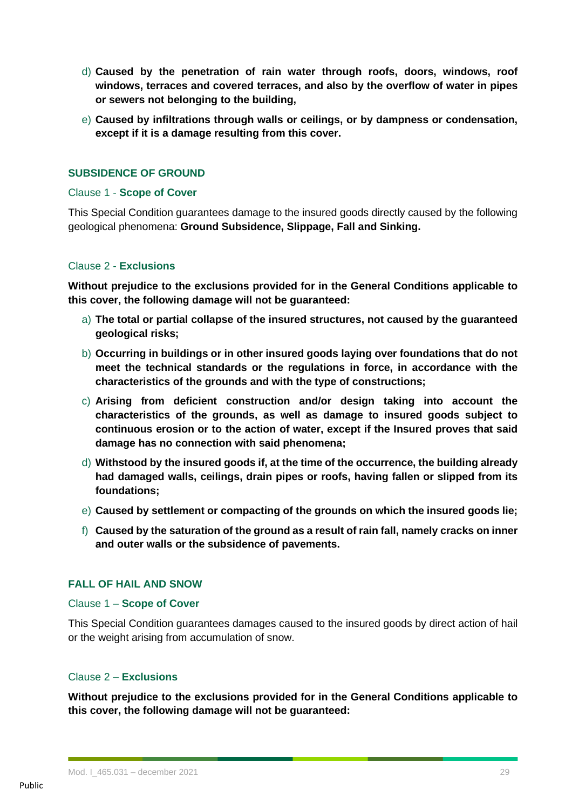- d) **Caused by the penetration of rain water through roofs, doors, windows, roof windows, terraces and covered terraces, and also by the overflow of water in pipes or sewers not belonging to the building,**
- e) **Caused by infiltrations through walls or ceilings, or by dampness or condensation, except if it is a damage resulting from this cover.**

#### **SUBSIDENCE OF GROUND**

#### Clause 1 - **Scope of Cover**

This Special Condition guarantees damage to the insured goods directly caused by the following geological phenomena: **Ground Subsidence, Slippage, Fall and Sinking.**

#### Clause 2 - **Exclusions**

**Without prejudice to the exclusions provided for in the General Conditions applicable to this cover, the following damage will not be guaranteed:**

- a) **The total or partial collapse of the insured structures, not caused by the guaranteed geological risks;**
- b) **Occurring in buildings or in other insured goods laying over foundations that do not meet the technical standards or the regulations in force, in accordance with the characteristics of the grounds and with the type of constructions;**
- c) **Arising from deficient construction and/or design taking into account the characteristics of the grounds, as well as damage to insured goods subject to continuous erosion or to the action of water, except if the Insured proves that said damage has no connection with said phenomena;**
- d) **Withstood by the insured goods if, at the time of the occurrence, the building already had damaged walls, ceilings, drain pipes or roofs, having fallen or slipped from its foundations;**
- e) **Caused by settlement or compacting of the grounds on which the insured goods lie;**
- f) **Caused by the saturation of the ground as a result of rain fall, namely cracks on inner and outer walls or the subsidence of pavements.**

## **FALL OF HAIL AND SNOW**

#### Clause 1 – **Scope of Cover**

This Special Condition guarantees damages caused to the insured goods by direct action of hail or the weight arising from accumulation of snow.

#### Clause 2 – **Exclusions**

**Without prejudice to the exclusions provided for in the General Conditions applicable to this cover, the following damage will not be guaranteed:**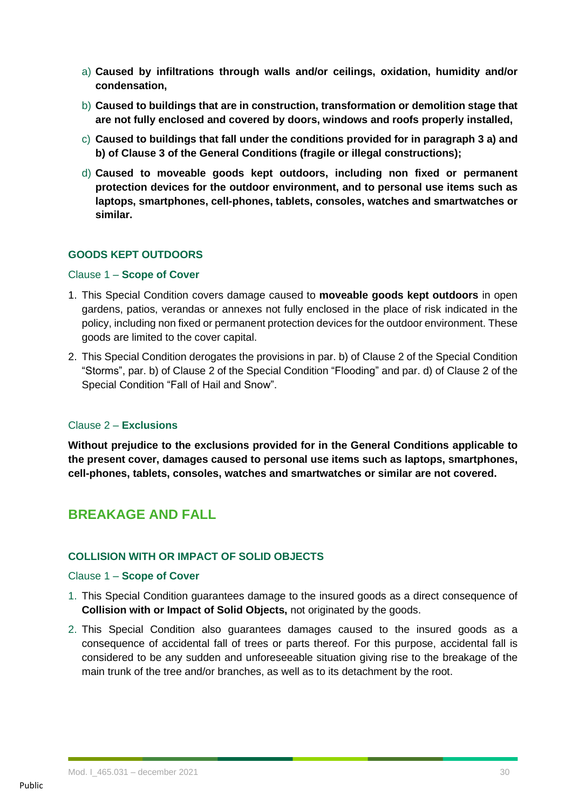- a) **Caused by infiltrations through walls and/or ceilings, oxidation, humidity and/or condensation,**
- b) **Caused to buildings that are in construction, transformation or demolition stage that are not fully enclosed and covered by doors, windows and roofs properly installed,**
- c) **Caused to buildings that fall under the conditions provided for in paragraph 3 a) and b) of Clause 3 of the General Conditions (fragile or illegal constructions);**
- d) **Caused to moveable goods kept outdoors, including non fixed or permanent protection devices for the outdoor environment, and to personal use items such as laptops, smartphones, cell-phones, tablets, consoles, watches and smartwatches or similar.**

## **GOODS KEPT OUTDOORS**

#### Clause 1 – **Scope of Cover**

- 1. This Special Condition covers damage caused to **moveable goods kept outdoors** in open gardens, patios, verandas or annexes not fully enclosed in the place of risk indicated in the policy, including non fixed or permanent protection devices for the outdoor environment. These goods are limited to the cover capital.
- 2. This Special Condition derogates the provisions in par. b) of Clause 2 of the Special Condition "Storms", par. b) of Clause 2 of the Special Condition "Flooding" and par. d) of Clause 2 of the Special Condition "Fall of Hail and Snow".

#### Clause 2 – **Exclusions**

**Without prejudice to the exclusions provided for in the General Conditions applicable to the present cover, damages caused to personal use items such as laptops, smartphones, cell-phones, tablets, consoles, watches and smartwatches or similar are not covered.**

# **BREAKAGE AND FALL**

## **COLLISION WITH OR IMPACT OF SOLID OBJECTS**

#### Clause 1 – **Scope of Cover**

- 1. This Special Condition guarantees damage to the insured goods as a direct consequence of **Collision with or Impact of Solid Objects,** not originated by the goods.
- 2. This Special Condition also guarantees damages caused to the insured goods as a consequence of accidental fall of trees or parts thereof. For this purpose, accidental fall is considered to be any sudden and unforeseeable situation giving rise to the breakage of the main trunk of the tree and/or branches, as well as to its detachment by the root.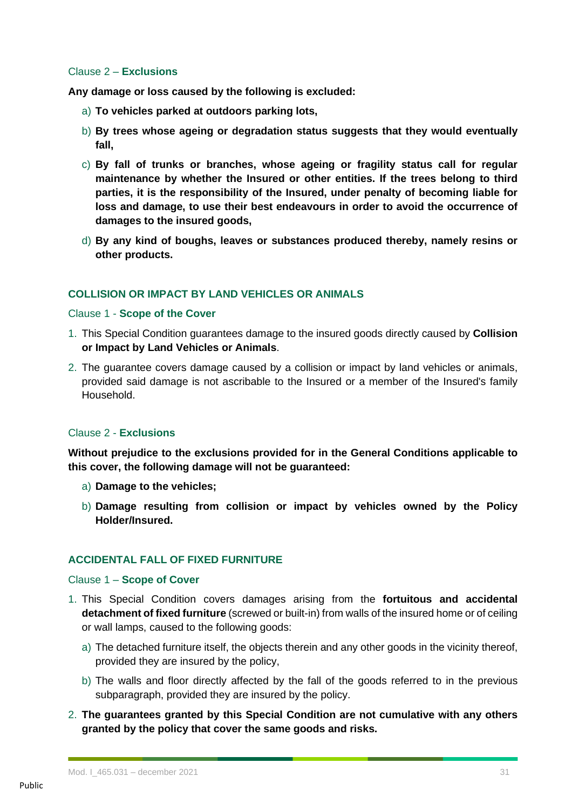#### Clause 2 – **Exclusions**

**Any damage or loss caused by the following is excluded:**

- a) **To vehicles parked at outdoors parking lots,**
- b) **By trees whose ageing or degradation status suggests that they would eventually fall,**
- c) **By fall of trunks or branches, whose ageing or fragility status call for regular maintenance by whether the Insured or other entities. If the trees belong to third parties, it is the responsibility of the Insured, under penalty of becoming liable for loss and damage, to use their best endeavours in order to avoid the occurrence of damages to the insured goods,**
- d) **By any kind of boughs, leaves or substances produced thereby, namely resins or other products.**

## **COLLISION OR IMPACT BY LAND VEHICLES OR ANIMALS**

#### Clause 1 - **Scope of the Cover**

- 1. This Special Condition guarantees damage to the insured goods directly caused by **Collision or Impact by Land Vehicles or Animals**.
- 2. The guarantee covers damage caused by a collision or impact by land vehicles or animals, provided said damage is not ascribable to the Insured or a member of the Insured's family Household.

#### Clause 2 - **Exclusions**

**Without prejudice to the exclusions provided for in the General Conditions applicable to this cover, the following damage will not be guaranteed:**

- a) **Damage to the vehicles;**
- b) **Damage resulting from collision or impact by vehicles owned by the Policy Holder/Insured.**

#### **ACCIDENTAL FALL OF FIXED FURNITURE**

#### Clause 1 – **Scope of Cover**

- 1. This Special Condition covers damages arising from the **fortuitous and accidental detachment of fixed furniture** (screwed or built-in) from walls of the insured home or of ceiling or wall lamps, caused to the following goods:
	- a) The detached furniture itself, the objects therein and any other goods in the vicinity thereof, provided they are insured by the policy,
	- b) The walls and floor directly affected by the fall of the goods referred to in the previous subparagraph, provided they are insured by the policy.
- 2. **The guarantees granted by this Special Condition are not cumulative with any others granted by the policy that cover the same goods and risks.**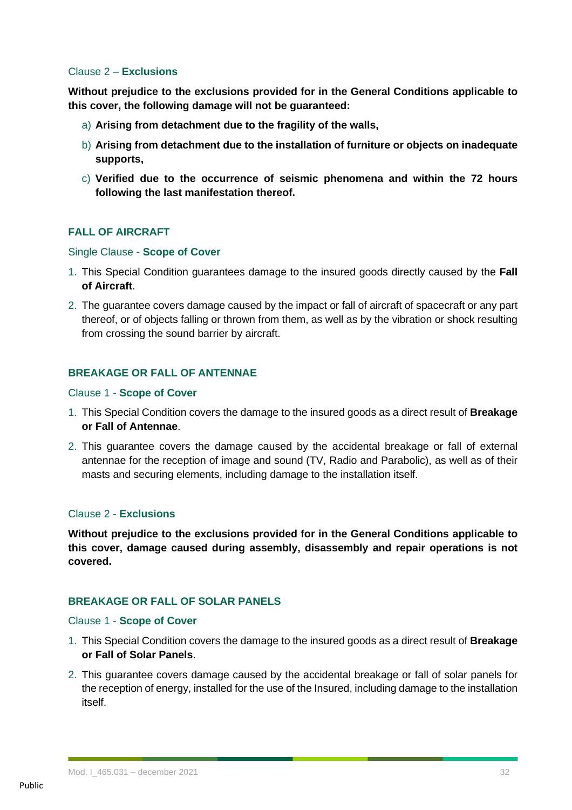#### Clause 2 – **Exclusions**

**Without prejudice to the exclusions provided for in the General Conditions applicable to this cover, the following damage will not be guaranteed:**

- a) **Arising from detachment due to the fragility of the walls,**
- b) **Arising from detachment due to the installation of furniture or objects on inadequate supports,**
- c) **Verified due to the occurrence of seismic phenomena and within the 72 hours following the last manifestation thereof.**

## **FALL OF AIRCRAFT**

#### Single Clause - **Scope of Cover**

- 1. This Special Condition guarantees damage to the insured goods directly caused by the **Fall of Aircraft**.
- 2. The guarantee covers damage caused by the impact or fall of aircraft of spacecraft or any part thereof, or of objects falling or thrown from them, as well as by the vibration or shock resulting from crossing the sound barrier by aircraft.

#### **BREAKAGE OR FALL OF ANTENNAE**

#### Clause 1 - **Scope of Cover**

- 1. This Special Condition covers the damage to the insured goods as a direct result of **Breakage or Fall of Antennae**.
- 2. This guarantee covers the damage caused by the accidental breakage or fall of external antennae for the reception of image and sound (TV, Radio and Parabolic), as well as of their masts and securing elements, including damage to the installation itself.

#### Clause 2 - **Exclusions**

**Without prejudice to the exclusions provided for in the General Conditions applicable to this cover, damage caused during assembly, disassembly and repair operations is not covered.**

#### **BREAKAGE OR FALL OF SOLAR PANELS**

#### Clause 1 - **Scope of Cover**

- 1. This Special Condition covers the damage to the insured goods as a direct result of **Breakage or Fall of Solar Panels**.
- 2. This guarantee covers damage caused by the accidental breakage or fall of solar panels for the reception of energy, installed for the use of the Insured, including damage to the installation itself.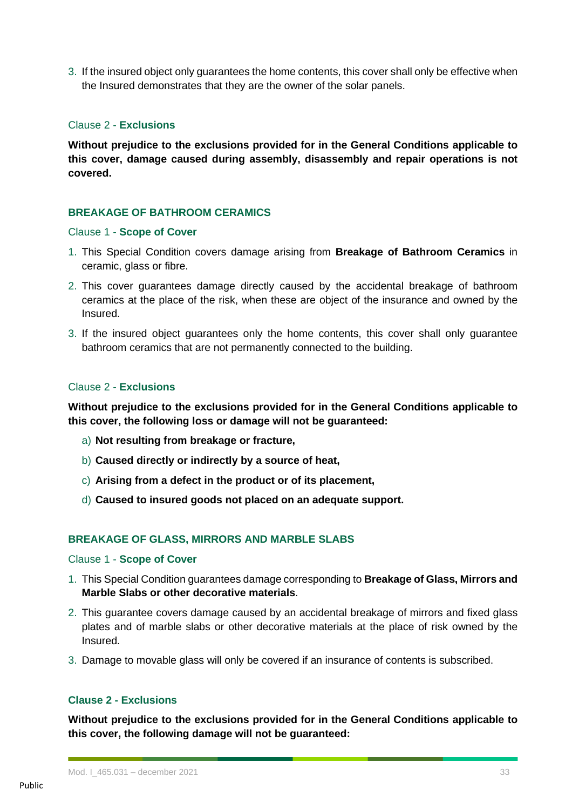3. If the insured object only guarantees the home contents, this cover shall only be effective when the Insured demonstrates that they are the owner of the solar panels.

#### Clause 2 - **Exclusions**

**Without prejudice to the exclusions provided for in the General Conditions applicable to this cover, damage caused during assembly, disassembly and repair operations is not covered.**

#### **BREAKAGE OF BATHROOM CERAMICS**

#### Clause 1 - **Scope of Cover**

- 1. This Special Condition covers damage arising from **Breakage of Bathroom Ceramics** in ceramic, glass or fibre.
- 2. This cover guarantees damage directly caused by the accidental breakage of bathroom ceramics at the place of the risk, when these are object of the insurance and owned by the Insured.
- 3. If the insured object guarantees only the home contents, this cover shall only guarantee bathroom ceramics that are not permanently connected to the building.

## Clause 2 - **Exclusions**

**Without prejudice to the exclusions provided for in the General Conditions applicable to this cover, the following loss or damage will not be guaranteed:**

- a) **Not resulting from breakage or fracture,**
- b) **Caused directly or indirectly by a source of heat,**
- c) **Arising from a defect in the product or of its placement,**
- d) **Caused to insured goods not placed on an adequate support.**

## **BREAKAGE OF GLASS, MIRRORS AND MARBLE SLABS**

#### Clause 1 - **Scope of Cover**

- 1. This Special Condition guarantees damage corresponding to **Breakage of Glass, Mirrors and Marble Slabs or other decorative materials**.
- 2. This guarantee covers damage caused by an accidental breakage of mirrors and fixed glass plates and of marble slabs or other decorative materials at the place of risk owned by the Insured.
- 3. Damage to movable glass will only be covered if an insurance of contents is subscribed.

#### **Clause 2 - Exclusions**

**Without prejudice to the exclusions provided for in the General Conditions applicable to this cover, the following damage will not be guaranteed:**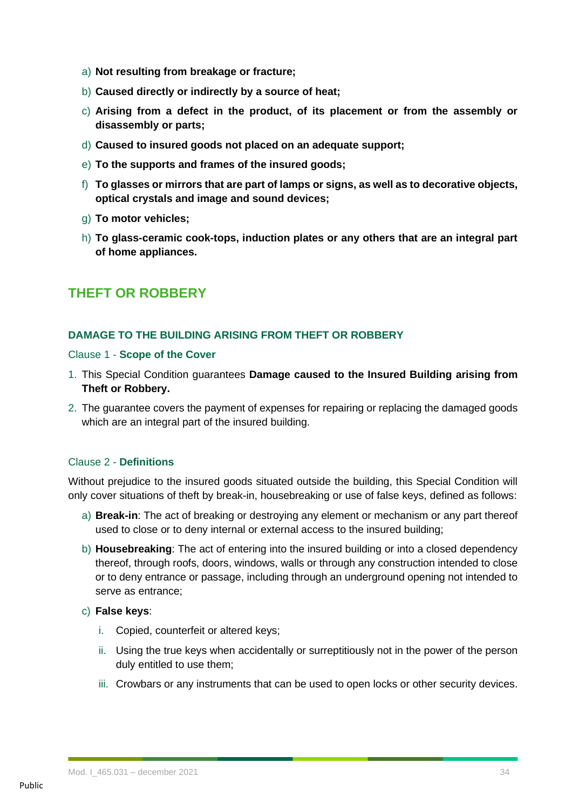- a) **Not resulting from breakage or fracture;**
- b) **Caused directly or indirectly by a source of heat;**
- c) **Arising from a defect in the product, of its placement or from the assembly or disassembly or parts;**
- d) **Caused to insured goods not placed on an adequate support;**
- e) **To the supports and frames of the insured goods;**
- f) **To glasses or mirrors that are part of lamps or signs, as well as to decorative objects, optical crystals and image and sound devices;**
- g) **To motor vehicles;**
- h) **To glass-ceramic cook-tops, induction plates or any others that are an integral part of home appliances.**

# **THEFT OR ROBBERY**

## **DAMAGE TO THE BUILDING ARISING FROM THEFT OR ROBBERY**

#### Clause 1 - **Scope of the Cover**

- 1. This Special Condition guarantees **Damage caused to the Insured Building arising from Theft or Robbery.**
- 2. The guarantee covers the payment of expenses for repairing or replacing the damaged goods which are an integral part of the insured building.

#### Clause 2 - **Definitions**

Without prejudice to the insured goods situated outside the building, this Special Condition will only cover situations of theft by break-in, housebreaking or use of false keys, defined as follows:

- a) **Break-in**: The act of breaking or destroying any element or mechanism or any part thereof used to close or to deny internal or external access to the insured building;
- b) **Housebreaking**: The act of entering into the insured building or into a closed dependency thereof, through roofs, doors, windows, walls or through any construction intended to close or to deny entrance or passage, including through an underground opening not intended to serve as entrance;
- c) **False keys**:
	- i. Copied, counterfeit or altered keys;
	- ii. Using the true keys when accidentally or surreptitiously not in the power of the person duly entitled to use them;
	- iii. Crowbars or any instruments that can be used to open locks or other security devices.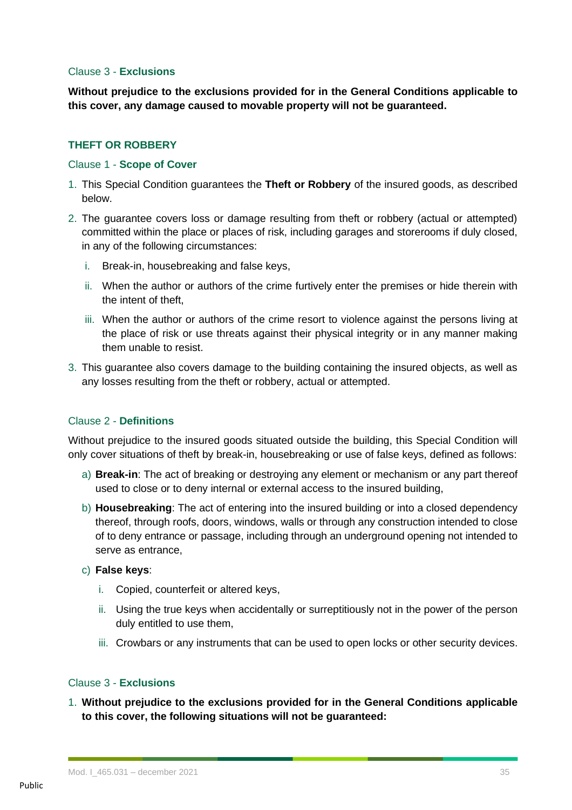#### Clause 3 - **Exclusions**

**Without prejudice to the exclusions provided for in the General Conditions applicable to this cover, any damage caused to movable property will not be guaranteed.**

## **THEFT OR ROBBERY**

#### Clause 1 - **Scope of Cover**

- 1. This Special Condition guarantees the **Theft or Robbery** of the insured goods, as described below.
- 2. The guarantee covers loss or damage resulting from theft or robbery (actual or attempted) committed within the place or places of risk, including garages and storerooms if duly closed, in any of the following circumstances:
	- i. Break-in, housebreaking and false keys,
	- ii. When the author or authors of the crime furtively enter the premises or hide therein with the intent of theft,
	- iii. When the author or authors of the crime resort to violence against the persons living at the place of risk or use threats against their physical integrity or in any manner making them unable to resist.
- 3. This guarantee also covers damage to the building containing the insured objects, as well as any losses resulting from the theft or robbery, actual or attempted.

#### Clause 2 - **Definitions**

Without prejudice to the insured goods situated outside the building, this Special Condition will only cover situations of theft by break-in, housebreaking or use of false keys, defined as follows:

- a) **Break-in**: The act of breaking or destroying any element or mechanism or any part thereof used to close or to deny internal or external access to the insured building,
- b) **Housebreaking**: The act of entering into the insured building or into a closed dependency thereof, through roofs, doors, windows, walls or through any construction intended to close of to deny entrance or passage, including through an underground opening not intended to serve as entrance,
- c) **False keys**:
	- i. Copied, counterfeit or altered keys,
	- ii. Using the true keys when accidentally or surreptitiously not in the power of the person duly entitled to use them,
	- iii. Crowbars or any instruments that can be used to open locks or other security devices.

#### Clause 3 - **Exclusions**

1. **Without prejudice to the exclusions provided for in the General Conditions applicable to this cover, the following situations will not be guaranteed:**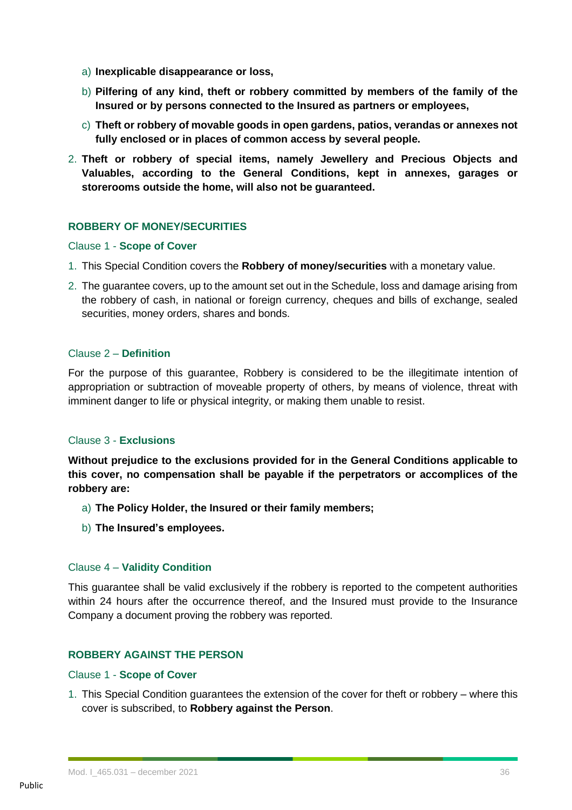- a) **Inexplicable disappearance or loss,**
- b) **Pilfering of any kind, theft or robbery committed by members of the family of the Insured or by persons connected to the Insured as partners or employees,**
- c) **Theft or robbery of movable goods in open gardens, patios, verandas or annexes not fully enclosed or in places of common access by several people.**
- 2. **Theft or robbery of special items, namely Jewellery and Precious Objects and Valuables, according to the General Conditions, kept in annexes, garages or storerooms outside the home, will also not be guaranteed.**

## **ROBBERY OF MONEY/SECURITIES**

#### Clause 1 - **Scope of Cover**

- 1. This Special Condition covers the **Robbery of money/securities** with a monetary value.
- 2. The guarantee covers, up to the amount set out in the Schedule, loss and damage arising from the robbery of cash, in national or foreign currency, cheques and bills of exchange, sealed securities, money orders, shares and bonds.

#### Clause 2 – **Definition**

For the purpose of this guarantee, Robbery is considered to be the illegitimate intention of appropriation or subtraction of moveable property of others, by means of violence, threat with imminent danger to life or physical integrity, or making them unable to resist.

#### Clause 3 - **Exclusions**

**Without prejudice to the exclusions provided for in the General Conditions applicable to this cover, no compensation shall be payable if the perpetrators or accomplices of the robbery are:**

- a) **The Policy Holder, the Insured or their family members;**
- b) **The Insured's employees.**

#### Clause 4 – **Validity Condition**

This guarantee shall be valid exclusively if the robbery is reported to the competent authorities within 24 hours after the occurrence thereof, and the Insured must provide to the Insurance Company a document proving the robbery was reported.

#### **ROBBERY AGAINST THE PERSON**

#### Clause 1 - **Scope of Cover**

1. This Special Condition guarantees the extension of the cover for theft or robbery – where this cover is subscribed, to **Robbery against the Person**.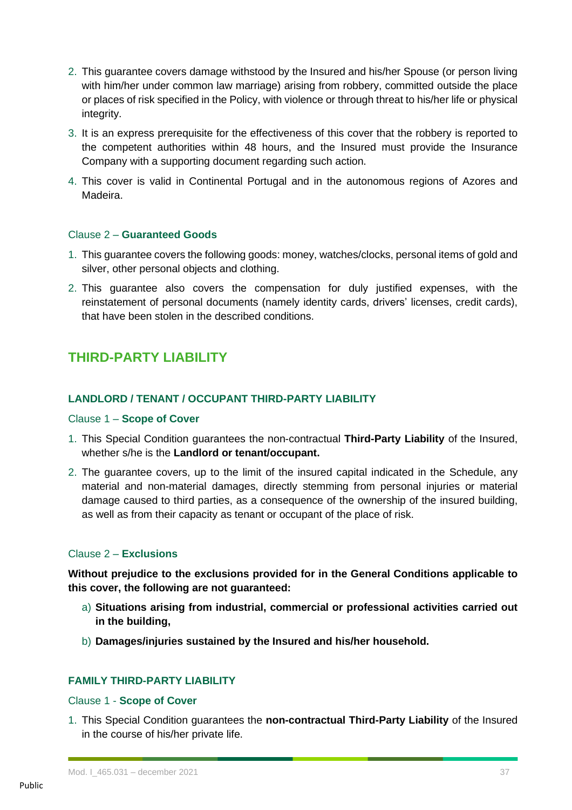- 2. This guarantee covers damage withstood by the Insured and his/her Spouse (or person living with him/her under common law marriage) arising from robbery, committed outside the place or places of risk specified in the Policy, with violence or through threat to his/her life or physical integrity.
- 3. It is an express prerequisite for the effectiveness of this cover that the robbery is reported to the competent authorities within 48 hours, and the Insured must provide the Insurance Company with a supporting document regarding such action.
- 4. This cover is valid in Continental Portugal and in the autonomous regions of Azores and Madeira.

# Clause 2 – **Guaranteed Goods**

- 1. This guarantee covers the following goods: money, watches/clocks, personal items of gold and silver, other personal objects and clothing.
- 2. This guarantee also covers the compensation for duly justified expenses, with the reinstatement of personal documents (namely identity cards, drivers' licenses, credit cards), that have been stolen in the described conditions.

# **THIRD-PARTY LIABILITY**

# **LANDLORD / TENANT / OCCUPANT THIRD-PARTY LIABILITY**

### Clause 1 – **Scope of Cover**

- 1. This Special Condition guarantees the non-contractual **Third-Party Liability** of the Insured, whether s/he is the **Landlord or tenant/occupant.**
- 2. The guarantee covers, up to the limit of the insured capital indicated in the Schedule, any material and non-material damages, directly stemming from personal injuries or material damage caused to third parties, as a consequence of the ownership of the insured building, as well as from their capacity as tenant or occupant of the place of risk.

# Clause 2 – **Exclusions**

**Without prejudice to the exclusions provided for in the General Conditions applicable to this cover, the following are not guaranteed:**

- a) **Situations arising from industrial, commercial or professional activities carried out in the building,**
- b) **Damages/injuries sustained by the Insured and his/her household.**

# **FAMILY THIRD-PARTY LIABILITY**

### Clause 1 - **Scope of Cover**

1. This Special Condition guarantees the **non-contractual Third-Party Liability** of the Insured in the course of his/her private life.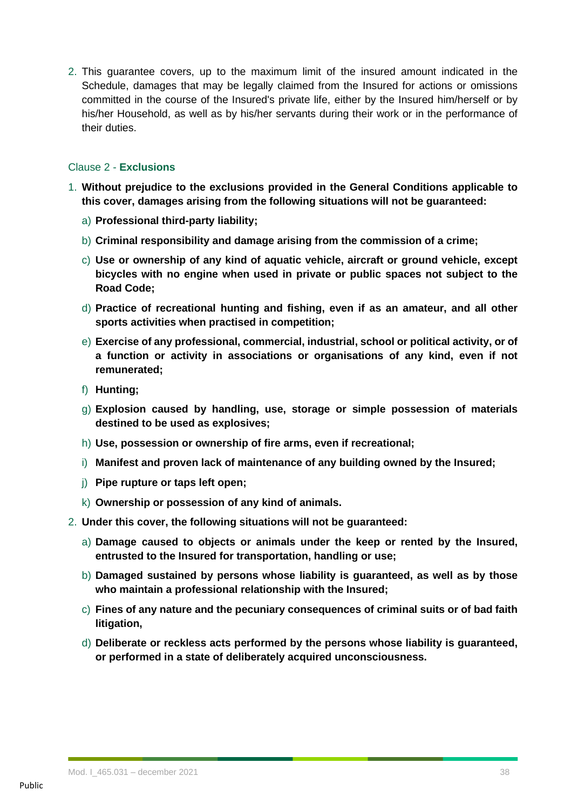2. This guarantee covers, up to the maximum limit of the insured amount indicated in the Schedule, damages that may be legally claimed from the Insured for actions or omissions committed in the course of the Insured's private life, either by the Insured him/herself or by his/her Household, as well as by his/her servants during their work or in the performance of their duties.

### Clause 2 - **Exclusions**

- 1. **Without prejudice to the exclusions provided in the General Conditions applicable to this cover, damages arising from the following situations will not be guaranteed:**
	- a) **Professional third-party liability;**
	- b) **Criminal responsibility and damage arising from the commission of a crime;**
	- c) **Use or ownership of any kind of aquatic vehicle, aircraft or ground vehicle, except bicycles with no engine when used in private or public spaces not subject to the Road Code;**
	- d) **Practice of recreational hunting and fishing, even if as an amateur, and all other sports activities when practised in competition;**
	- e) **Exercise of any professional, commercial, industrial, school or political activity, or of a function or activity in associations or organisations of any kind, even if not remunerated;**
	- f) **Hunting;**
	- g) **Explosion caused by handling, use, storage or simple possession of materials destined to be used as explosives;**
	- h) **Use, possession or ownership of fire arms, even if recreational;**
	- i) **Manifest and proven lack of maintenance of any building owned by the Insured;**
	- j) **Pipe rupture or taps left open;**
	- k) **Ownership or possession of any kind of animals.**
- 2. **Under this cover, the following situations will not be guaranteed:**
	- a) **Damage caused to objects or animals under the keep or rented by the Insured, entrusted to the Insured for transportation, handling or use;**
	- b) **Damaged sustained by persons whose liability is guaranteed, as well as by those who maintain a professional relationship with the Insured;**
	- c) **Fines of any nature and the pecuniary consequences of criminal suits or of bad faith litigation,**
	- d) **Deliberate or reckless acts performed by the persons whose liability is guaranteed, or performed in a state of deliberately acquired unconsciousness.**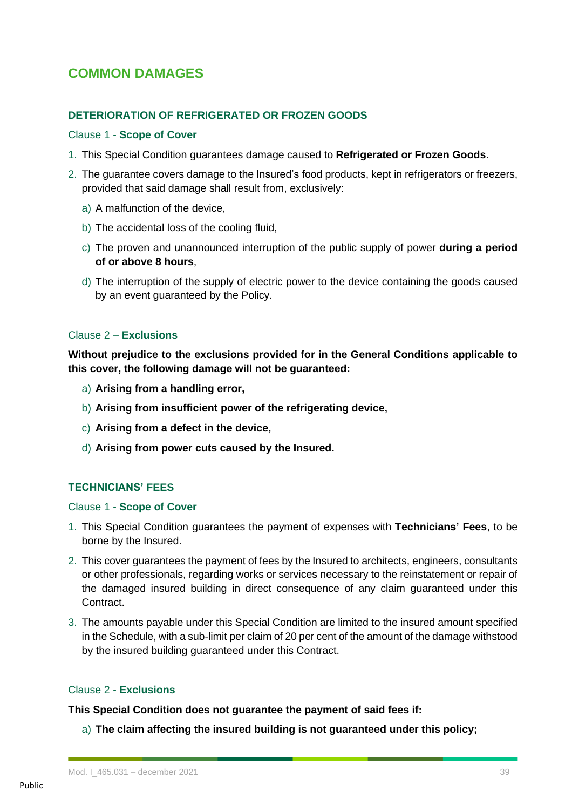# **COMMON DAMAGES**

# **DETERIORATION OF REFRIGERATED OR FROZEN GOODS**

### Clause 1 - **Scope of Cover**

- 1. This Special Condition guarantees damage caused to **Refrigerated or Frozen Goods**.
- 2. The guarantee covers damage to the Insured's food products, kept in refrigerators or freezers, provided that said damage shall result from, exclusively:
	- a) A malfunction of the device,
	- b) The accidental loss of the cooling fluid,
	- c) The proven and unannounced interruption of the public supply of power **during a period of or above 8 hours**,
	- d) The interruption of the supply of electric power to the device containing the goods caused by an event guaranteed by the Policy.

# Clause 2 – **Exclusions**

**Without prejudice to the exclusions provided for in the General Conditions applicable to this cover, the following damage will not be guaranteed:**

- a) **Arising from a handling error,**
- b) **Arising from insufficient power of the refrigerating device,**
- c) **Arising from a defect in the device,**
- d) **Arising from power cuts caused by the Insured.**

# **TECHNICIANS' FEES**

### Clause 1 - **Scope of Cover**

- 1. This Special Condition guarantees the payment of expenses with **Technicians' Fees**, to be borne by the Insured.
- 2. This cover guarantees the payment of fees by the Insured to architects, engineers, consultants or other professionals, regarding works or services necessary to the reinstatement or repair of the damaged insured building in direct consequence of any claim guaranteed under this Contract.
- 3. The amounts payable under this Special Condition are limited to the insured amount specified in the Schedule, with a sub-limit per claim of 20 per cent of the amount of the damage withstood by the insured building guaranteed under this Contract.

# Clause 2 - **Exclusions**

**This Special Condition does not guarantee the payment of said fees if:**

a) **The claim affecting the insured building is not guaranteed under this policy;**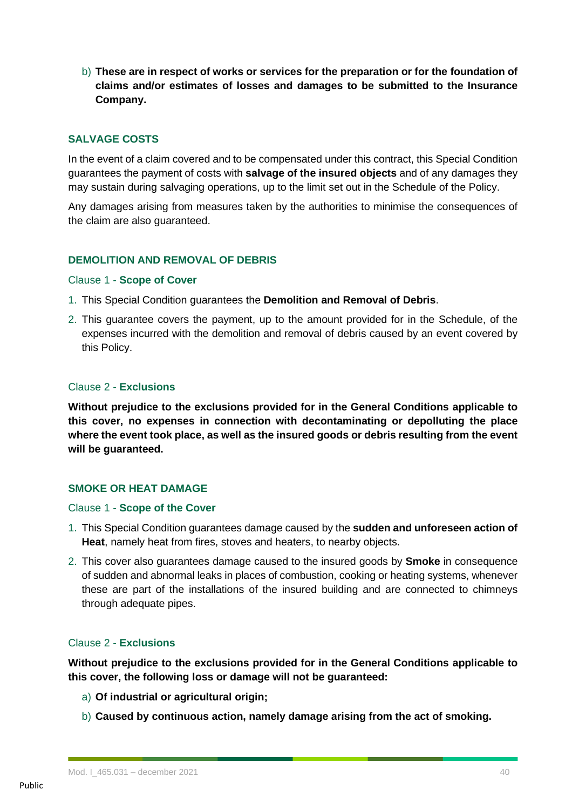b) **These are in respect of works or services for the preparation or for the foundation of claims and/or estimates of losses and damages to be submitted to the Insurance Company.**

# **SALVAGE COSTS**

In the event of a claim covered and to be compensated under this contract, this Special Condition guarantees the payment of costs with **salvage of the insured objects** and of any damages they may sustain during salvaging operations, up to the limit set out in the Schedule of the Policy.

Any damages arising from measures taken by the authorities to minimise the consequences of the claim are also guaranteed.

### **DEMOLITION AND REMOVAL OF DEBRIS**

#### Clause 1 - **Scope of Cover**

- 1. This Special Condition guarantees the **Demolition and Removal of Debris**.
- 2. This guarantee covers the payment, up to the amount provided for in the Schedule, of the expenses incurred with the demolition and removal of debris caused by an event covered by this Policy.

### Clause 2 - **Exclusions**

**Without prejudice to the exclusions provided for in the General Conditions applicable to this cover, no expenses in connection with decontaminating or depolluting the place where the event took place, as well as the insured goods or debris resulting from the event will be guaranteed.**

### **SMOKE OR HEAT DAMAGE**

### Clause 1 - **Scope of the Cover**

- 1. This Special Condition guarantees damage caused by the **sudden and unforeseen action of Heat**, namely heat from fires, stoves and heaters, to nearby objects.
- 2. This cover also guarantees damage caused to the insured goods by **Smoke** in consequence of sudden and abnormal leaks in places of combustion, cooking or heating systems, whenever these are part of the installations of the insured building and are connected to chimneys through adequate pipes.

### Clause 2 - **Exclusions**

**Without prejudice to the exclusions provided for in the General Conditions applicable to this cover, the following loss or damage will not be guaranteed:**

- a) **Of industrial or agricultural origin;**
- b) **Caused by continuous action, namely damage arising from the act of smoking.**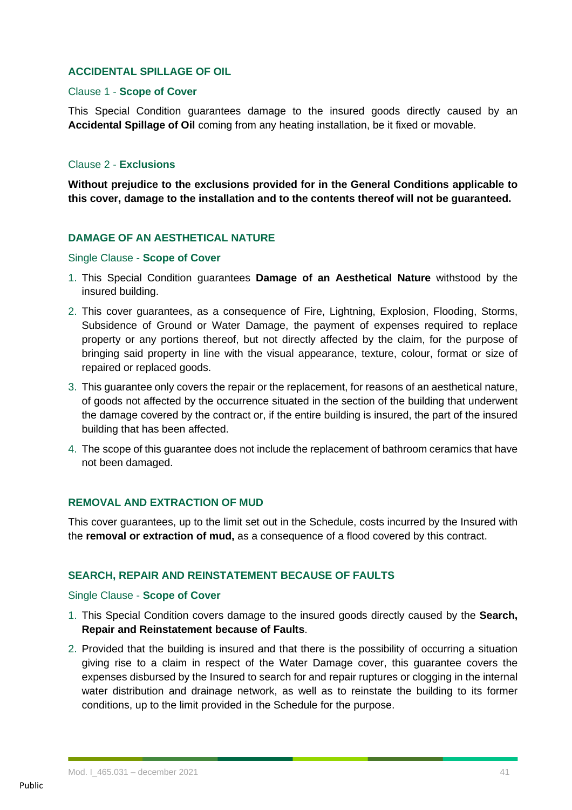# **ACCIDENTAL SPILLAGE OF OIL**

### Clause 1 - **Scope of Cover**

This Special Condition guarantees damage to the insured goods directly caused by an **Accidental Spillage of Oil** coming from any heating installation, be it fixed or movable.

### Clause 2 - **Exclusions**

**Without prejudice to the exclusions provided for in the General Conditions applicable to this cover, damage to the installation and to the contents thereof will not be guaranteed.**

# **DAMAGE OF AN AESTHETICAL NATURE**

### Single Clause - **Scope of Cover**

- 1. This Special Condition guarantees **Damage of an Aesthetical Nature** withstood by the insured building.
- 2. This cover guarantees, as a consequence of Fire, Lightning, Explosion, Flooding, Storms, Subsidence of Ground or Water Damage, the payment of expenses required to replace property or any portions thereof, but not directly affected by the claim, for the purpose of bringing said property in line with the visual appearance, texture, colour, format or size of repaired or replaced goods.
- 3. This guarantee only covers the repair or the replacement, for reasons of an aesthetical nature, of goods not affected by the occurrence situated in the section of the building that underwent the damage covered by the contract or, if the entire building is insured, the part of the insured building that has been affected.
- 4. The scope of this guarantee does not include the replacement of bathroom ceramics that have not been damaged.

# **REMOVAL AND EXTRACTION OF MUD**

This cover guarantees, up to the limit set out in the Schedule, costs incurred by the Insured with the **removal or extraction of mud,** as a consequence of a flood covered by this contract.

### **SEARCH, REPAIR AND REINSTATEMENT BECAUSE OF FAULTS**

### Single Clause - **Scope of Cover**

- 1. This Special Condition covers damage to the insured goods directly caused by the **Search, Repair and Reinstatement because of Faults**.
- 2. Provided that the building is insured and that there is the possibility of occurring a situation giving rise to a claim in respect of the Water Damage cover, this guarantee covers the expenses disbursed by the Insured to search for and repair ruptures or clogging in the internal water distribution and drainage network, as well as to reinstate the building to its former conditions, up to the limit provided in the Schedule for the purpose.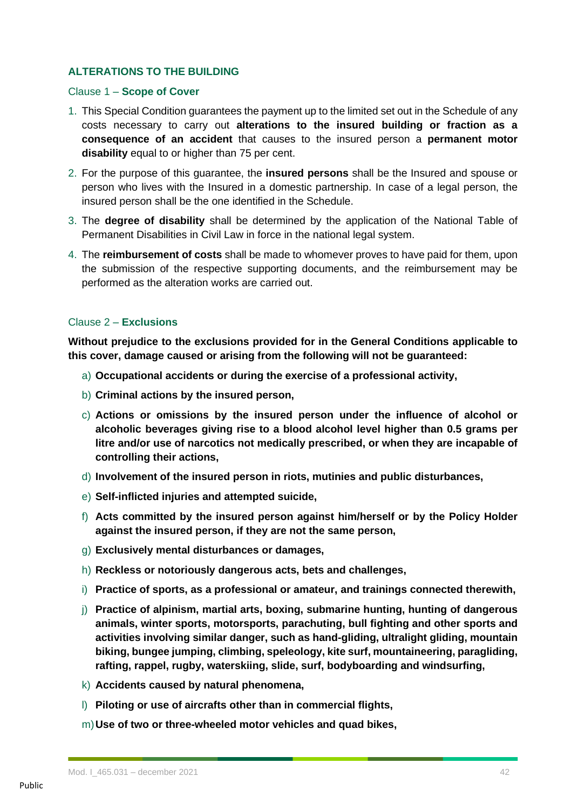# **ALTERATIONS TO THE BUILDING**

### Clause 1 – **Scope of Cover**

- 1. This Special Condition guarantees the payment up to the limited set out in the Schedule of any costs necessary to carry out **alterations to the insured building or fraction as a consequence of an accident** that causes to the insured person a **permanent motor disability** equal to or higher than 75 per cent.
- 2. For the purpose of this guarantee, the **insured persons** shall be the Insured and spouse or person who lives with the Insured in a domestic partnership. In case of a legal person, the insured person shall be the one identified in the Schedule.
- 3. The **degree of disability** shall be determined by the application of the National Table of Permanent Disabilities in Civil Law in force in the national legal system.
- 4. The **reimbursement of costs** shall be made to whomever proves to have paid for them, upon the submission of the respective supporting documents, and the reimbursement may be performed as the alteration works are carried out.

### Clause 2 – **Exclusions**

**Without prejudice to the exclusions provided for in the General Conditions applicable to this cover, damage caused or arising from the following will not be guaranteed:**

- a) **Occupational accidents or during the exercise of a professional activity,**
- b) **Criminal actions by the insured person,**
- c) **Actions or omissions by the insured person under the influence of alcohol or alcoholic beverages giving rise to a blood alcohol level higher than 0.5 grams per litre and/or use of narcotics not medically prescribed, or when they are incapable of controlling their actions,**
- d) **Involvement of the insured person in riots, mutinies and public disturbances,**
- e) **Self-inflicted injuries and attempted suicide,**
- f) **Acts committed by the insured person against him/herself or by the Policy Holder against the insured person, if they are not the same person,**
- g) **Exclusively mental disturbances or damages,**
- h) **Reckless or notoriously dangerous acts, bets and challenges,**
- i) **Practice of sports, as a professional or amateur, and trainings connected therewith,**
- j) **Practice of alpinism, martial arts, boxing, submarine hunting, hunting of dangerous animals, winter sports, motorsports, parachuting, bull fighting and other sports and activities involving similar danger, such as hand-gliding, ultralight gliding, mountain biking, bungee jumping, climbing, speleology, kite surf, mountaineering, paragliding, rafting, rappel, rugby, waterskiing, slide, surf, bodyboarding and windsurfing,**
- k) **Accidents caused by natural phenomena,**
- l) **Piloting or use of aircrafts other than in commercial flights,**
- m)**Use of two or three-wheeled motor vehicles and quad bikes,**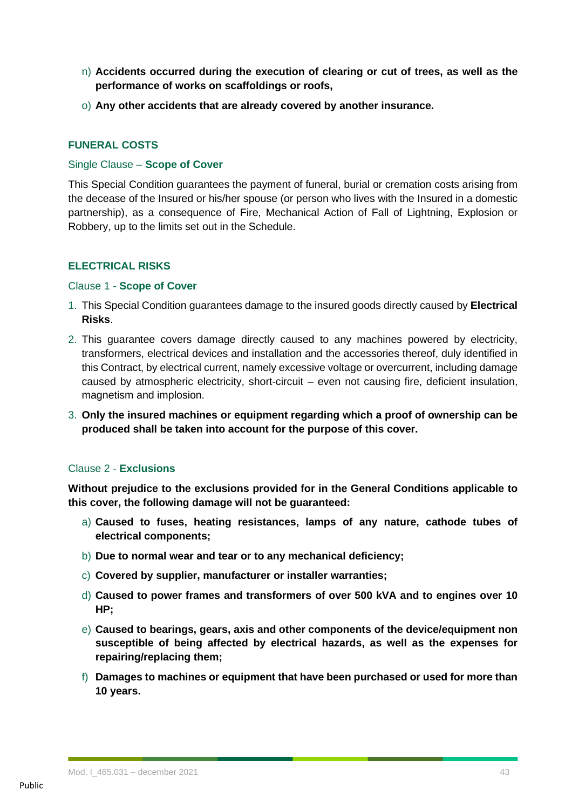- n) **Accidents occurred during the execution of clearing or cut of trees, as well as the performance of works on scaffoldings or roofs,**
- o) **Any other accidents that are already covered by another insurance.**

# **FUNERAL COSTS**

### Single Clause – **Scope of Cover**

This Special Condition guarantees the payment of funeral, burial or cremation costs arising from the decease of the Insured or his/her spouse (or person who lives with the Insured in a domestic partnership), as a consequence of Fire, Mechanical Action of Fall of Lightning, Explosion or Robbery, up to the limits set out in the Schedule.

# **ELECTRICAL RISKS**

### Clause 1 - **Scope of Cover**

- 1. This Special Condition guarantees damage to the insured goods directly caused by **Electrical Risks**.
- 2. This guarantee covers damage directly caused to any machines powered by electricity, transformers, electrical devices and installation and the accessories thereof, duly identified in this Contract, by electrical current, namely excessive voltage or overcurrent, including damage caused by atmospheric electricity, short-circuit – even not causing fire, deficient insulation, magnetism and implosion.
- 3. **Only the insured machines or equipment regarding which a proof of ownership can be produced shall be taken into account for the purpose of this cover.**

### Clause 2 - **Exclusions**

**Without prejudice to the exclusions provided for in the General Conditions applicable to this cover, the following damage will not be guaranteed:**

- a) **Caused to fuses, heating resistances, lamps of any nature, cathode tubes of electrical components;**
- b) **Due to normal wear and tear or to any mechanical deficiency;**
- c) **Covered by supplier, manufacturer or installer warranties;**
- d) **Caused to power frames and transformers of over 500 kVA and to engines over 10 HP;**
- e) **Caused to bearings, gears, axis and other components of the device/equipment non susceptible of being affected by electrical hazards, as well as the expenses for repairing/replacing them;**
- f) **Damages to machines or equipment that have been purchased or used for more than 10 years.**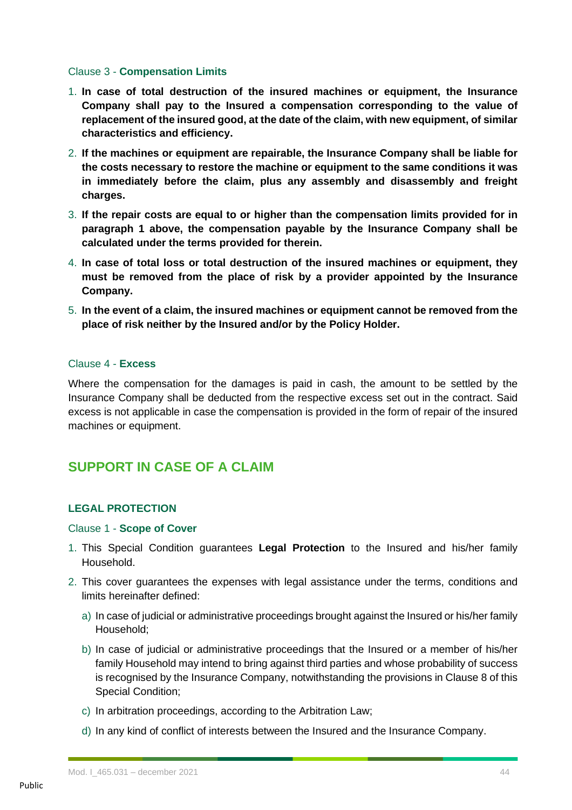### Clause 3 - **Compensation Limits**

- 1. **In case of total destruction of the insured machines or equipment, the Insurance Company shall pay to the Insured a compensation corresponding to the value of replacement of the insured good, at the date of the claim, with new equipment, of similar characteristics and efficiency.**
- 2. **If the machines or equipment are repairable, the Insurance Company shall be liable for the costs necessary to restore the machine or equipment to the same conditions it was in immediately before the claim, plus any assembly and disassembly and freight charges.**
- 3. **If the repair costs are equal to or higher than the compensation limits provided for in paragraph 1 above, the compensation payable by the Insurance Company shall be calculated under the terms provided for therein.**
- 4. **In case of total loss or total destruction of the insured machines or equipment, they must be removed from the place of risk by a provider appointed by the Insurance Company.**
- 5. **In the event of a claim, the insured machines or equipment cannot be removed from the place of risk neither by the Insured and/or by the Policy Holder.**

### Clause 4 - **Excess**

Where the compensation for the damages is paid in cash, the amount to be settled by the Insurance Company shall be deducted from the respective excess set out in the contract. Said excess is not applicable in case the compensation is provided in the form of repair of the insured machines or equipment.

# **SUPPORT IN CASE OF A CLAIM**

# **LEGAL PROTECTION**

### Clause 1 - **Scope of Cover**

- 1. This Special Condition guarantees **Legal Protection** to the Insured and his/her family Household.
- 2. This cover guarantees the expenses with legal assistance under the terms, conditions and limits hereinafter defined:
	- a) In case of judicial or administrative proceedings brought against the Insured or his/her family Household;
	- b) In case of judicial or administrative proceedings that the Insured or a member of his/her family Household may intend to bring against third parties and whose probability of success is recognised by the Insurance Company, notwithstanding the provisions in Clause 8 of this Special Condition;
	- c) In arbitration proceedings, according to the Arbitration Law;
	- d) In any kind of conflict of interests between the Insured and the Insurance Company.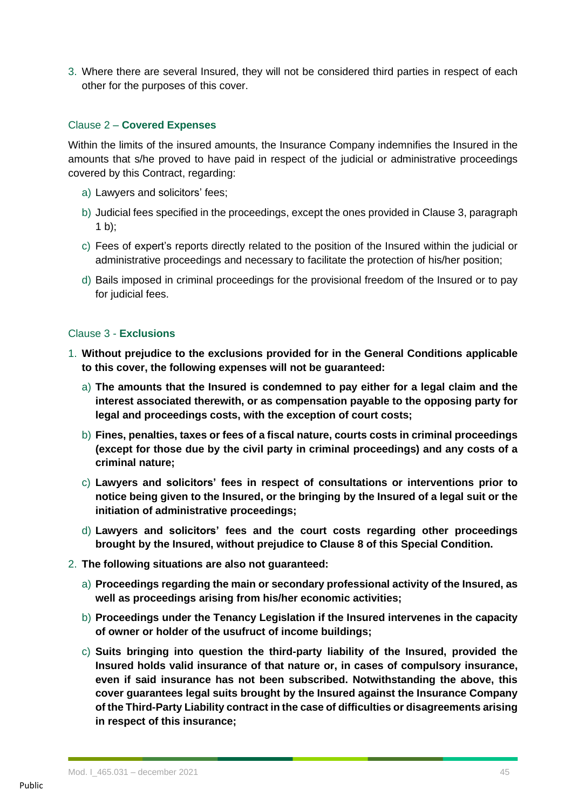3. Where there are several Insured, they will not be considered third parties in respect of each other for the purposes of this cover.

# Clause 2 – **Covered Expenses**

Within the limits of the insured amounts, the Insurance Company indemnifies the Insured in the amounts that s/he proved to have paid in respect of the judicial or administrative proceedings covered by this Contract, regarding:

- a) Lawyers and solicitors' fees;
- b) Judicial fees specified in the proceedings, except the ones provided in Clause 3, paragraph 1 b);
- c) Fees of expert's reports directly related to the position of the Insured within the judicial or administrative proceedings and necessary to facilitate the protection of his/her position;
- d) Bails imposed in criminal proceedings for the provisional freedom of the Insured or to pay for judicial fees.

# Clause 3 - **Exclusions**

- 1. **Without prejudice to the exclusions provided for in the General Conditions applicable to this cover, the following expenses will not be guaranteed:**
	- a) **The amounts that the Insured is condemned to pay either for a legal claim and the interest associated therewith, or as compensation payable to the opposing party for legal and proceedings costs, with the exception of court costs;**
	- b) **Fines, penalties, taxes or fees of a fiscal nature, courts costs in criminal proceedings (except for those due by the civil party in criminal proceedings) and any costs of a criminal nature;**
	- c) **Lawyers and solicitors' fees in respect of consultations or interventions prior to notice being given to the Insured, or the bringing by the Insured of a legal suit or the initiation of administrative proceedings;**
	- d) **Lawyers and solicitors' fees and the court costs regarding other proceedings brought by the Insured, without prejudice to Clause 8 of this Special Condition.**
- 2. **The following situations are also not guaranteed:**
	- a) **Proceedings regarding the main or secondary professional activity of the Insured, as well as proceedings arising from his/her economic activities;**
	- b) **Proceedings under the Tenancy Legislation if the Insured intervenes in the capacity of owner or holder of the usufruct of income buildings;**
	- c) **Suits bringing into question the third-party liability of the Insured, provided the Insured holds valid insurance of that nature or, in cases of compulsory insurance, even if said insurance has not been subscribed. Notwithstanding the above, this cover guarantees legal suits brought by the Insured against the Insurance Company of the Third-Party Liability contract in the case of difficulties or disagreements arising in respect of this insurance;**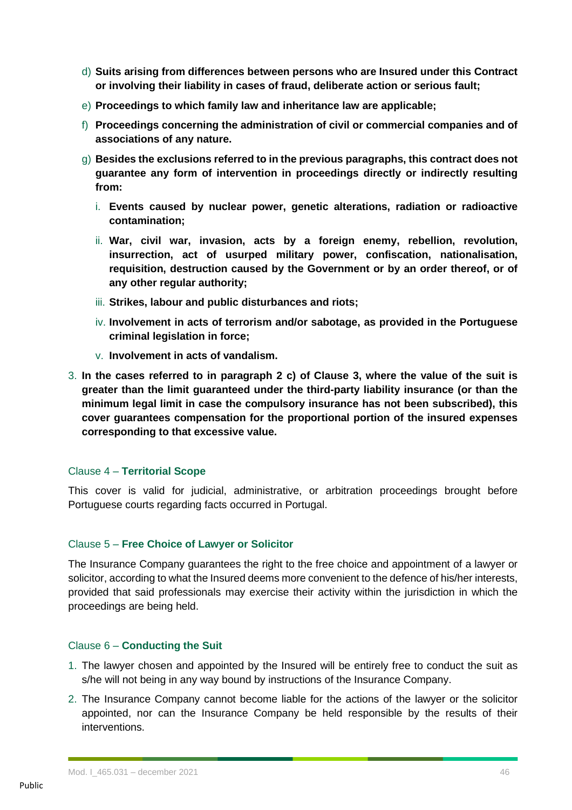- d) **Suits arising from differences between persons who are Insured under this Contract or involving their liability in cases of fraud, deliberate action or serious fault;**
- e) **Proceedings to which family law and inheritance law are applicable;**
- f) **Proceedings concerning the administration of civil or commercial companies and of associations of any nature.**
- g) **Besides the exclusions referred to in the previous paragraphs, this contract does not guarantee any form of intervention in proceedings directly or indirectly resulting from:**
	- i. **Events caused by nuclear power, genetic alterations, radiation or radioactive contamination;**
	- ii. **War, civil war, invasion, acts by a foreign enemy, rebellion, revolution, insurrection, act of usurped military power, confiscation, nationalisation, requisition, destruction caused by the Government or by an order thereof, or of any other regular authority;**
	- iii. **Strikes, labour and public disturbances and riots;**
	- iv. **Involvement in acts of terrorism and/or sabotage, as provided in the Portuguese criminal legislation in force;**
	- v. **Involvement in acts of vandalism.**
- 3. **In the cases referred to in paragraph 2 c) of Clause 3, where the value of the suit is greater than the limit guaranteed under the third-party liability insurance (or than the minimum legal limit in case the compulsory insurance has not been subscribed), this cover guarantees compensation for the proportional portion of the insured expenses corresponding to that excessive value.**

### Clause 4 – **Territorial Scope**

This cover is valid for judicial, administrative, or arbitration proceedings brought before Portuguese courts regarding facts occurred in Portugal.

### Clause 5 – **Free Choice of Lawyer or Solicitor**

The Insurance Company guarantees the right to the free choice and appointment of a lawyer or solicitor, according to what the Insured deems more convenient to the defence of his/her interests, provided that said professionals may exercise their activity within the jurisdiction in which the proceedings are being held.

### Clause 6 – **Conducting the Suit**

- 1. The lawyer chosen and appointed by the Insured will be entirely free to conduct the suit as s/he will not being in any way bound by instructions of the Insurance Company.
- 2. The Insurance Company cannot become liable for the actions of the lawyer or the solicitor appointed, nor can the Insurance Company be held responsible by the results of their interventions.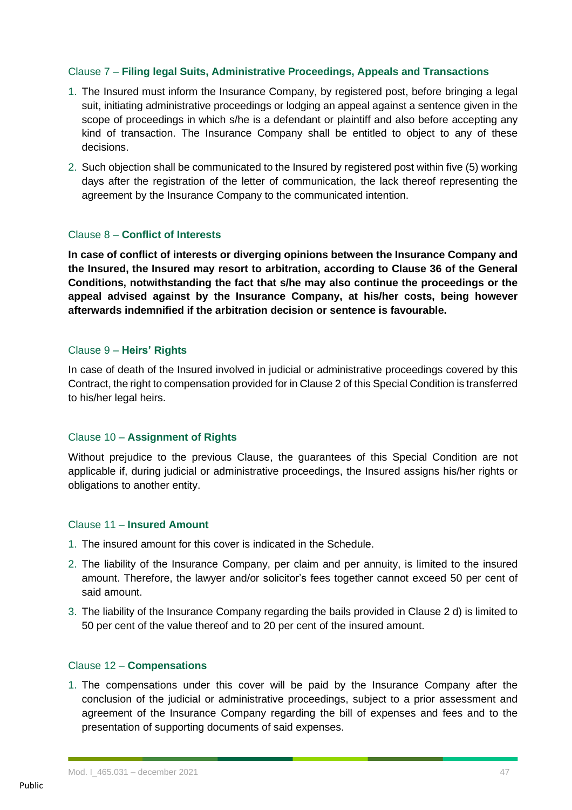### Clause 7 – **Filing legal Suits, Administrative Proceedings, Appeals and Transactions**

- 1. The Insured must inform the Insurance Company, by registered post, before bringing a legal suit, initiating administrative proceedings or lodging an appeal against a sentence given in the scope of proceedings in which s/he is a defendant or plaintiff and also before accepting any kind of transaction. The Insurance Company shall be entitled to object to any of these decisions.
- 2. Such objection shall be communicated to the Insured by registered post within five (5) working days after the registration of the letter of communication, the lack thereof representing the agreement by the Insurance Company to the communicated intention.

# Clause 8 – **Conflict of Interests**

**In case of conflict of interests or diverging opinions between the Insurance Company and the Insured, the Insured may resort to arbitration, according to Clause 36 of the General Conditions, notwithstanding the fact that s/he may also continue the proceedings or the appeal advised against by the Insurance Company, at his/her costs, being however afterwards indemnified if the arbitration decision or sentence is favourable.**

### Clause 9 – **Heirs' Rights**

In case of death of the Insured involved in judicial or administrative proceedings covered by this Contract, the right to compensation provided for in Clause 2 of this Special Condition is transferred to his/her legal heirs.

# Clause 10 – **Assignment of Rights**

Without prejudice to the previous Clause, the guarantees of this Special Condition are not applicable if, during judicial or administrative proceedings, the Insured assigns his/her rights or obligations to another entity.

### Clause 11 – **Insured Amount**

- 1. The insured amount for this cover is indicated in the Schedule.
- 2. The liability of the Insurance Company, per claim and per annuity, is limited to the insured amount. Therefore, the lawyer and/or solicitor's fees together cannot exceed 50 per cent of said amount.
- 3. The liability of the Insurance Company regarding the bails provided in Clause 2 d) is limited to 50 per cent of the value thereof and to 20 per cent of the insured amount.

### Clause 12 – **Compensations**

1. The compensations under this cover will be paid by the Insurance Company after the conclusion of the judicial or administrative proceedings, subject to a prior assessment and agreement of the Insurance Company regarding the bill of expenses and fees and to the presentation of supporting documents of said expenses.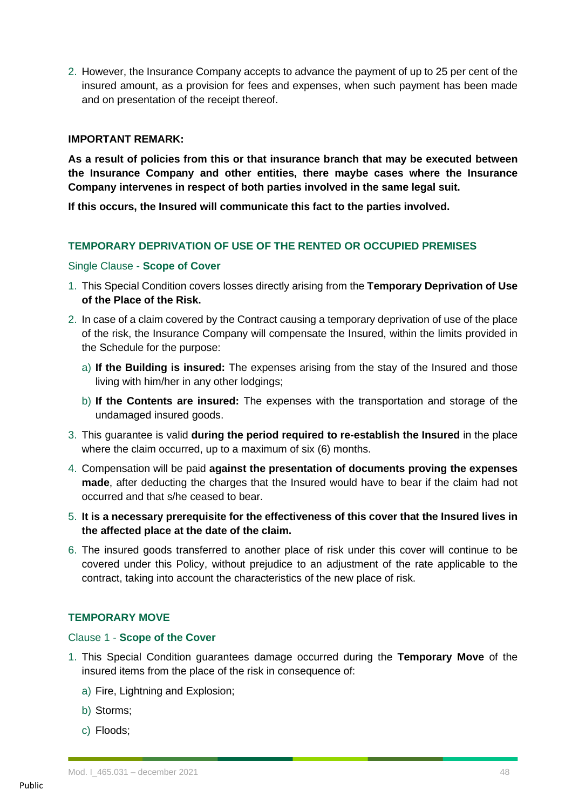2. However, the Insurance Company accepts to advance the payment of up to 25 per cent of the insured amount, as a provision for fees and expenses, when such payment has been made and on presentation of the receipt thereof.

### **IMPORTANT REMARK:**

**As a result of policies from this or that insurance branch that may be executed between the Insurance Company and other entities, there maybe cases where the Insurance Company intervenes in respect of both parties involved in the same legal suit.**

**If this occurs, the Insured will communicate this fact to the parties involved.**

# **TEMPORARY DEPRIVATION OF USE OF THE RENTED OR OCCUPIED PREMISES**

### Single Clause - **Scope of Cover**

- 1. This Special Condition covers losses directly arising from the **Temporary Deprivation of Use of the Place of the Risk.**
- 2. In case of a claim covered by the Contract causing a temporary deprivation of use of the place of the risk, the Insurance Company will compensate the Insured, within the limits provided in the Schedule for the purpose:
	- a) **If the Building is insured:** The expenses arising from the stay of the Insured and those living with him/her in any other lodgings;
	- b) **If the Contents are insured:** The expenses with the transportation and storage of the undamaged insured goods.
- 3. This guarantee is valid **during the period required to re-establish the Insured** in the place where the claim occurred, up to a maximum of six (6) months.
- 4. Compensation will be paid **against the presentation of documents proving the expenses made**, after deducting the charges that the Insured would have to bear if the claim had not occurred and that s/he ceased to bear.
- 5. **It is a necessary prerequisite for the effectiveness of this cover that the Insured lives in the affected place at the date of the claim.**
- 6. The insured goods transferred to another place of risk under this cover will continue to be covered under this Policy, without prejudice to an adjustment of the rate applicable to the contract, taking into account the characteristics of the new place of risk.

# **TEMPORARY MOVE**

### Clause 1 - **Scope of the Cover**

- 1. This Special Condition guarantees damage occurred during the **Temporary Move** of the insured items from the place of the risk in consequence of:
	- a) Fire, Lightning and Explosion;
	- b) Storms;
	- c) Floods;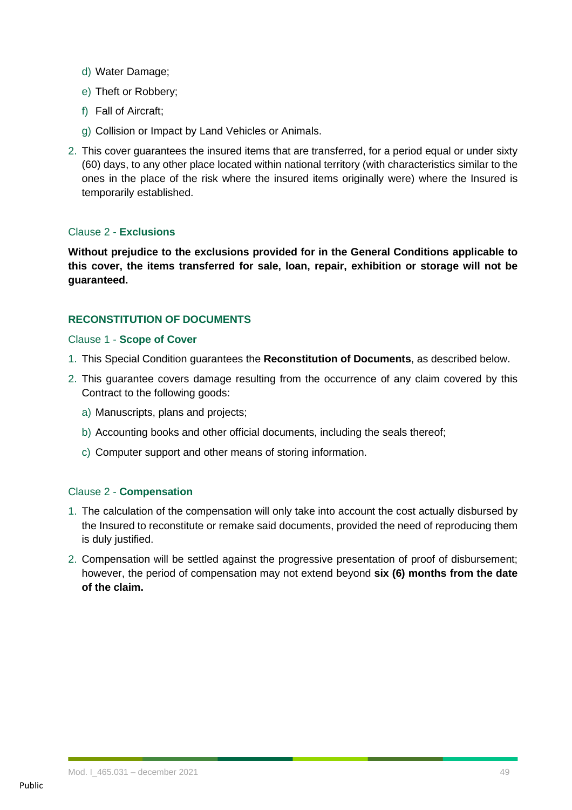- d) Water Damage;
- e) Theft or Robbery;
- f) Fall of Aircraft;
- g) Collision or Impact by Land Vehicles or Animals.
- 2. This cover guarantees the insured items that are transferred, for a period equal or under sixty (60) days, to any other place located within national territory (with characteristics similar to the ones in the place of the risk where the insured items originally were) where the Insured is temporarily established.

# Clause 2 - **Exclusions**

**Without prejudice to the exclusions provided for in the General Conditions applicable to this cover, the items transferred for sale, loan, repair, exhibition or storage will not be guaranteed.**

# **RECONSTITUTION OF DOCUMENTS**

# Clause 1 - **Scope of Cover**

- 1. This Special Condition guarantees the **Reconstitution of Documents**, as described below.
- 2. This guarantee covers damage resulting from the occurrence of any claim covered by this Contract to the following goods:
	- a) Manuscripts, plans and projects;
	- b) Accounting books and other official documents, including the seals thereof;
	- c) Computer support and other means of storing information.

# Clause 2 - **Compensation**

- 1. The calculation of the compensation will only take into account the cost actually disbursed by the Insured to reconstitute or remake said documents, provided the need of reproducing them is duly justified.
- 2. Compensation will be settled against the progressive presentation of proof of disbursement; however, the period of compensation may not extend beyond **six (6) months from the date of the claim.**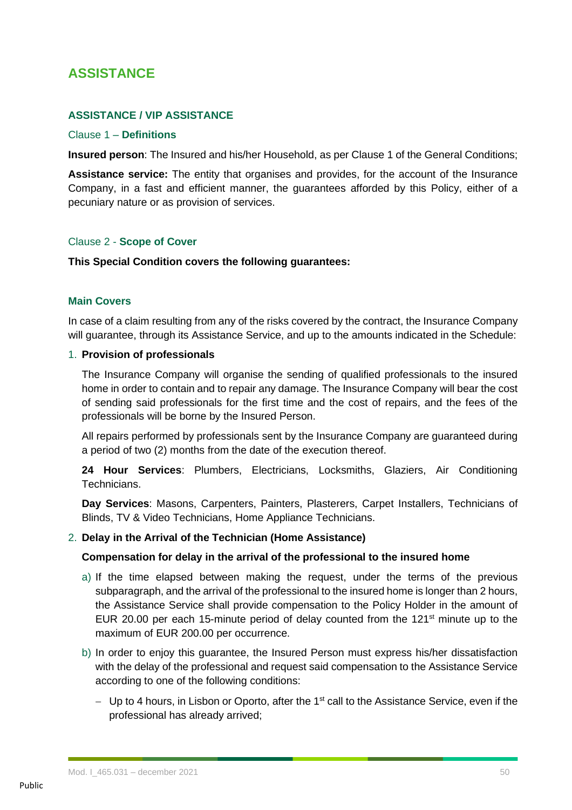# **ASSISTANCE**

# **ASSISTANCE / VIP ASSISTANCE**

### Clause 1 – **Definitions**

**Insured person**: The Insured and his/her Household, as per Clause 1 of the General Conditions;

**Assistance service:** The entity that organises and provides, for the account of the Insurance Company, in a fast and efficient manner, the guarantees afforded by this Policy, either of a pecuniary nature or as provision of services.

### Clause 2 - **Scope of Cover**

### **This Special Condition covers the following guarantees:**

# **Main Covers**

In case of a claim resulting from any of the risks covered by the contract, the Insurance Company will guarantee, through its Assistance Service, and up to the amounts indicated in the Schedule:

# 1. **Provision of professionals**

The Insurance Company will organise the sending of qualified professionals to the insured home in order to contain and to repair any damage. The Insurance Company will bear the cost of sending said professionals for the first time and the cost of repairs, and the fees of the professionals will be borne by the Insured Person.

All repairs performed by professionals sent by the Insurance Company are guaranteed during a period of two (2) months from the date of the execution thereof.

**24 Hour Services**: Plumbers, Electricians, Locksmiths, Glaziers, Air Conditioning Technicians.

**Day Services**: Masons, Carpenters, Painters, Plasterers, Carpet Installers, Technicians of Blinds, TV & Video Technicians, Home Appliance Technicians.

### 2. **Delay in the Arrival of the Technician (Home Assistance)**

### **Compensation for delay in the arrival of the professional to the insured home**

- a) If the time elapsed between making the request, under the terms of the previous subparagraph, and the arrival of the professional to the insured home is longer than 2 hours, the Assistance Service shall provide compensation to the Policy Holder in the amount of EUR 20.00 per each 15-minute period of delay counted from the  $121<sup>st</sup>$  minute up to the maximum of EUR 200.00 per occurrence.
- b) In order to enjoy this guarantee, the Insured Person must express his/her dissatisfaction with the delay of the professional and request said compensation to the Assistance Service according to one of the following conditions:
	- − Up to 4 hours, in Lisbon or Oporto, after the 1<sup>st</sup> call to the Assistance Service, even if the professional has already arrived;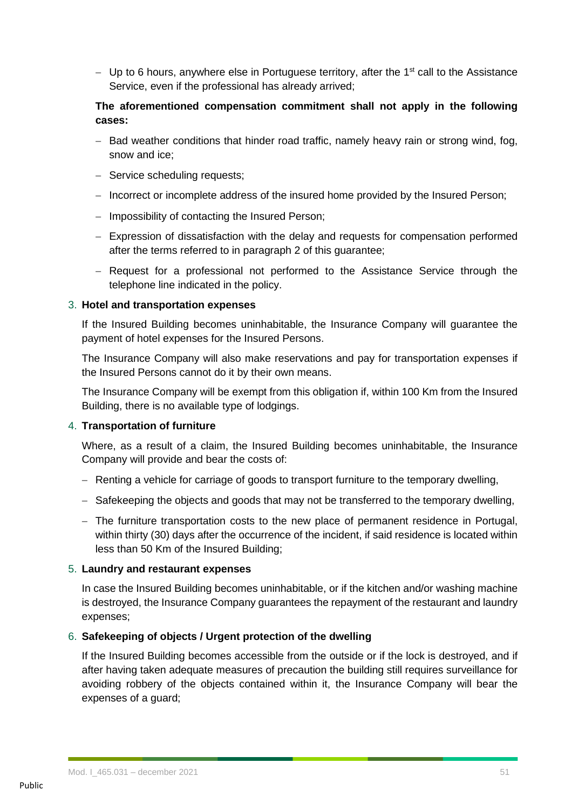− Up to 6 hours, anywhere else in Portuguese territory, after the 1<sup>st</sup> call to the Assistance Service, even if the professional has already arrived;

# **The aforementioned compensation commitment shall not apply in the following cases:**

- − Bad weather conditions that hinder road traffic, namely heavy rain or strong wind, fog, snow and ice;
- − Service scheduling requests;
- − Incorrect or incomplete address of the insured home provided by the Insured Person;
- − Impossibility of contacting the Insured Person;
- − Expression of dissatisfaction with the delay and requests for compensation performed after the terms referred to in paragraph 2 of this guarantee;
- − Request for a professional not performed to the Assistance Service through the telephone line indicated in the policy.

# 3. **Hotel and transportation expenses**

If the Insured Building becomes uninhabitable, the Insurance Company will guarantee the payment of hotel expenses for the Insured Persons.

The Insurance Company will also make reservations and pay for transportation expenses if the Insured Persons cannot do it by their own means.

The Insurance Company will be exempt from this obligation if, within 100 Km from the Insured Building, there is no available type of lodgings.

# 4. **Transportation of furniture**

Where, as a result of a claim, the Insured Building becomes uninhabitable, the Insurance Company will provide and bear the costs of:

- − Renting a vehicle for carriage of goods to transport furniture to the temporary dwelling,
- − Safekeeping the objects and goods that may not be transferred to the temporary dwelling,
- − The furniture transportation costs to the new place of permanent residence in Portugal, within thirty (30) days after the occurrence of the incident, if said residence is located within less than 50 Km of the Insured Building;

# 5. **Laundry and restaurant expenses**

In case the Insured Building becomes uninhabitable, or if the kitchen and/or washing machine is destroyed, the Insurance Company guarantees the repayment of the restaurant and laundry expenses;

# 6. **Safekeeping of objects / Urgent protection of the dwelling**

If the Insured Building becomes accessible from the outside or if the lock is destroyed, and if after having taken adequate measures of precaution the building still requires surveillance for avoiding robbery of the objects contained within it, the Insurance Company will bear the expenses of a guard;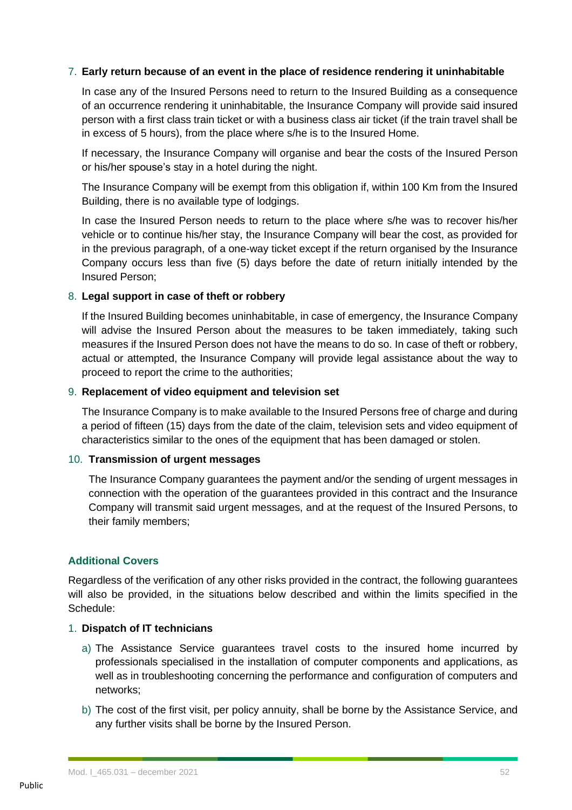# 7. **Early return because of an event in the place of residence rendering it uninhabitable**

In case any of the Insured Persons need to return to the Insured Building as a consequence of an occurrence rendering it uninhabitable, the Insurance Company will provide said insured person with a first class train ticket or with a business class air ticket (if the train travel shall be in excess of 5 hours), from the place where s/he is to the Insured Home.

If necessary, the Insurance Company will organise and bear the costs of the Insured Person or his/her spouse's stay in a hotel during the night.

The Insurance Company will be exempt from this obligation if, within 100 Km from the Insured Building, there is no available type of lodgings.

In case the Insured Person needs to return to the place where s/he was to recover his/her vehicle or to continue his/her stay, the Insurance Company will bear the cost, as provided for in the previous paragraph, of a one-way ticket except if the return organised by the Insurance Company occurs less than five (5) days before the date of return initially intended by the Insured Person;

# 8. **Legal support in case of theft or robbery**

If the Insured Building becomes uninhabitable, in case of emergency, the Insurance Company will advise the Insured Person about the measures to be taken immediately, taking such measures if the Insured Person does not have the means to do so. In case of theft or robbery, actual or attempted, the Insurance Company will provide legal assistance about the way to proceed to report the crime to the authorities;

# 9. **Replacement of video equipment and television set**

The Insurance Company is to make available to the Insured Persons free of charge and during a period of fifteen (15) days from the date of the claim, television sets and video equipment of characteristics similar to the ones of the equipment that has been damaged or stolen.

# 10. **Transmission of urgent messages**

The Insurance Company guarantees the payment and/or the sending of urgent messages in connection with the operation of the guarantees provided in this contract and the Insurance Company will transmit said urgent messages, and at the request of the Insured Persons, to their family members;

# **Additional Covers**

Regardless of the verification of any other risks provided in the contract, the following guarantees will also be provided, in the situations below described and within the limits specified in the Schedule:

# 1. **Dispatch of IT technicians**

- a) The Assistance Service guarantees travel costs to the insured home incurred by professionals specialised in the installation of computer components and applications, as well as in troubleshooting concerning the performance and configuration of computers and networks;
- b) The cost of the first visit, per policy annuity, shall be borne by the Assistance Service, and any further visits shall be borne by the Insured Person.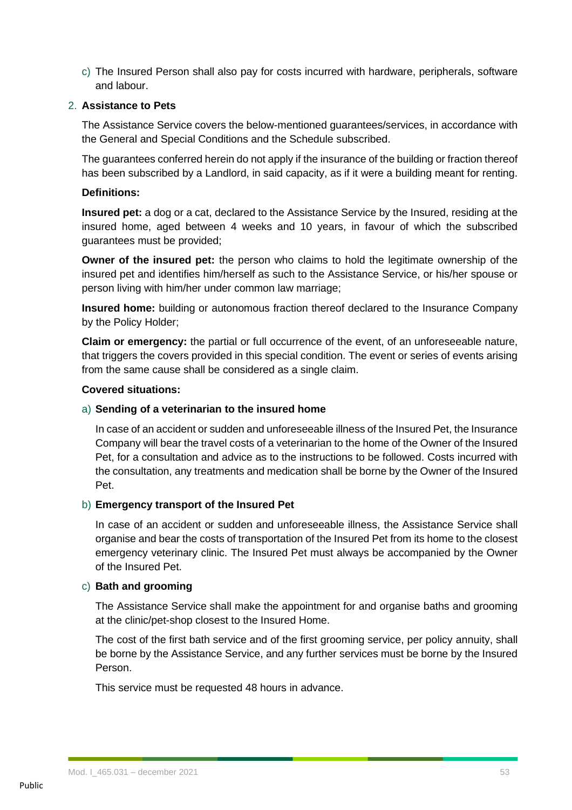c) The Insured Person shall also pay for costs incurred with hardware, peripherals, software and labour.

# 2. **Assistance to Pets**

The Assistance Service covers the below-mentioned guarantees/services, in accordance with the General and Special Conditions and the Schedule subscribed.

The guarantees conferred herein do not apply if the insurance of the building or fraction thereof has been subscribed by a Landlord, in said capacity, as if it were a building meant for renting.

### **Definitions:**

**Insured pet:** a dog or a cat, declared to the Assistance Service by the Insured, residing at the insured home, aged between 4 weeks and 10 years, in favour of which the subscribed guarantees must be provided;

**Owner of the insured pet:** the person who claims to hold the legitimate ownership of the insured pet and identifies him/herself as such to the Assistance Service, or his/her spouse or person living with him/her under common law marriage;

**Insured home:** building or autonomous fraction thereof declared to the Insurance Company by the Policy Holder;

**Claim or emergency:** the partial or full occurrence of the event, of an unforeseeable nature, that triggers the covers provided in this special condition. The event or series of events arising from the same cause shall be considered as a single claim.

### **Covered situations:**

# a) **Sending of a veterinarian to the insured home**

In case of an accident or sudden and unforeseeable illness of the Insured Pet, the Insurance Company will bear the travel costs of a veterinarian to the home of the Owner of the Insured Pet, for a consultation and advice as to the instructions to be followed. Costs incurred with the consultation, any treatments and medication shall be borne by the Owner of the Insured Pet.

### b) **Emergency transport of the Insured Pet**

In case of an accident or sudden and unforeseeable illness, the Assistance Service shall organise and bear the costs of transportation of the Insured Pet from its home to the closest emergency veterinary clinic. The Insured Pet must always be accompanied by the Owner of the Insured Pet.

### c) **Bath and grooming**

The Assistance Service shall make the appointment for and organise baths and grooming at the clinic/pet-shop closest to the Insured Home.

The cost of the first bath service and of the first grooming service, per policy annuity, shall be borne by the Assistance Service, and any further services must be borne by the Insured Person.

This service must be requested 48 hours in advance.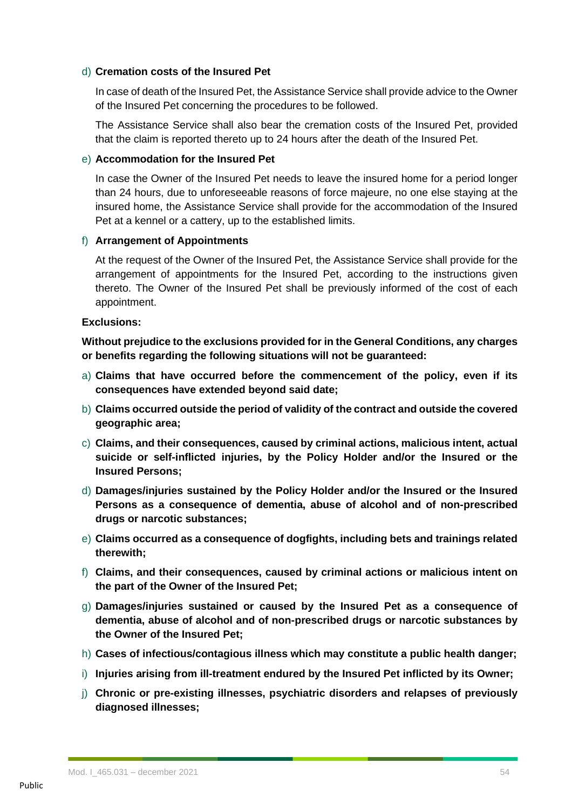### d) **Cremation costs of the Insured Pet**

In case of death of the Insured Pet, the Assistance Service shall provide advice to the Owner of the Insured Pet concerning the procedures to be followed.

The Assistance Service shall also bear the cremation costs of the Insured Pet, provided that the claim is reported thereto up to 24 hours after the death of the Insured Pet.

# e) **Accommodation for the Insured Pet**

In case the Owner of the Insured Pet needs to leave the insured home for a period longer than 24 hours, due to unforeseeable reasons of force majeure, no one else staying at the insured home, the Assistance Service shall provide for the accommodation of the Insured Pet at a kennel or a cattery, up to the established limits.

# f) **Arrangement of Appointments**

At the request of the Owner of the Insured Pet, the Assistance Service shall provide for the arrangement of appointments for the Insured Pet, according to the instructions given thereto. The Owner of the Insured Pet shall be previously informed of the cost of each appointment.

# **Exclusions:**

**Without prejudice to the exclusions provided for in the General Conditions, any charges or benefits regarding the following situations will not be guaranteed:**

- a) **Claims that have occurred before the commencement of the policy, even if its consequences have extended beyond said date;**
- b) **Claims occurred outside the period of validity of the contract and outside the covered geographic area;**
- c) **Claims, and their consequences, caused by criminal actions, malicious intent, actual suicide or self-inflicted injuries, by the Policy Holder and/or the Insured or the Insured Persons;**
- d) **Damages/injuries sustained by the Policy Holder and/or the Insured or the Insured Persons as a consequence of dementia, abuse of alcohol and of non-prescribed drugs or narcotic substances;**
- e) **Claims occurred as a consequence of dogfights, including bets and trainings related therewith;**
- f) **Claims, and their consequences, caused by criminal actions or malicious intent on the part of the Owner of the Insured Pet;**
- g) **Damages/injuries sustained or caused by the Insured Pet as a consequence of dementia, abuse of alcohol and of non-prescribed drugs or narcotic substances by the Owner of the Insured Pet;**
- h) **Cases of infectious/contagious illness which may constitute a public health danger;**
- i) **Injuries arising from ill-treatment endured by the Insured Pet inflicted by its Owner;**
- j) **Chronic or pre-existing illnesses, psychiatric disorders and relapses of previously diagnosed illnesses;**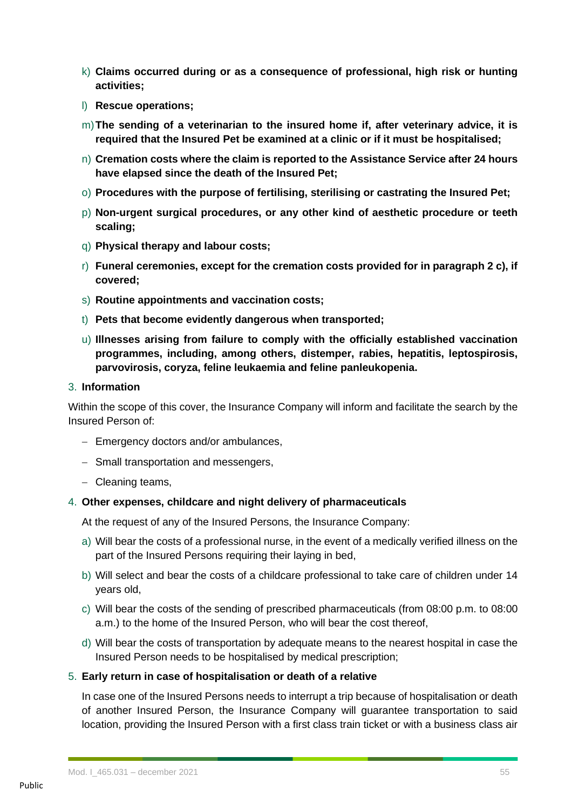- k) **Claims occurred during or as a consequence of professional, high risk or hunting activities;**
- l) **Rescue operations;**
- m)**The sending of a veterinarian to the insured home if, after veterinary advice, it is required that the Insured Pet be examined at a clinic or if it must be hospitalised;**
- n) **Cremation costs where the claim is reported to the Assistance Service after 24 hours have elapsed since the death of the Insured Pet;**
- o) **Procedures with the purpose of fertilising, sterilising or castrating the Insured Pet;**
- p) **Non-urgent surgical procedures, or any other kind of aesthetic procedure or teeth scaling;**
- q) **Physical therapy and labour costs;**
- r) **Funeral ceremonies, except for the cremation costs provided for in paragraph 2 c), if covered;**
- s) **Routine appointments and vaccination costs;**
- t) **Pets that become evidently dangerous when transported;**
- u) **Illnesses arising from failure to comply with the officially established vaccination programmes, including, among others, distemper, rabies, hepatitis, leptospirosis, parvovirosis, coryza, feline leukaemia and feline panleukopenia.**

### 3. **Information**

Within the scope of this cover, the Insurance Company will inform and facilitate the search by the Insured Person of:

- − Emergency doctors and/or ambulances,
- − Small transportation and messengers,
- − Cleaning teams,

# 4. **Other expenses, childcare and night delivery of pharmaceuticals**

- At the request of any of the Insured Persons, the Insurance Company:
- a) Will bear the costs of a professional nurse, in the event of a medically verified illness on the part of the Insured Persons requiring their laying in bed,
- b) Will select and bear the costs of a childcare professional to take care of children under 14 years old,
- c) Will bear the costs of the sending of prescribed pharmaceuticals (from 08:00 p.m. to 08:00 a.m.) to the home of the Insured Person, who will bear the cost thereof,
- d) Will bear the costs of transportation by adequate means to the nearest hospital in case the Insured Person needs to be hospitalised by medical prescription;

### 5. **Early return in case of hospitalisation or death of a relative**

In case one of the Insured Persons needs to interrupt a trip because of hospitalisation or death of another Insured Person, the Insurance Company will guarantee transportation to said location, providing the Insured Person with a first class train ticket or with a business class air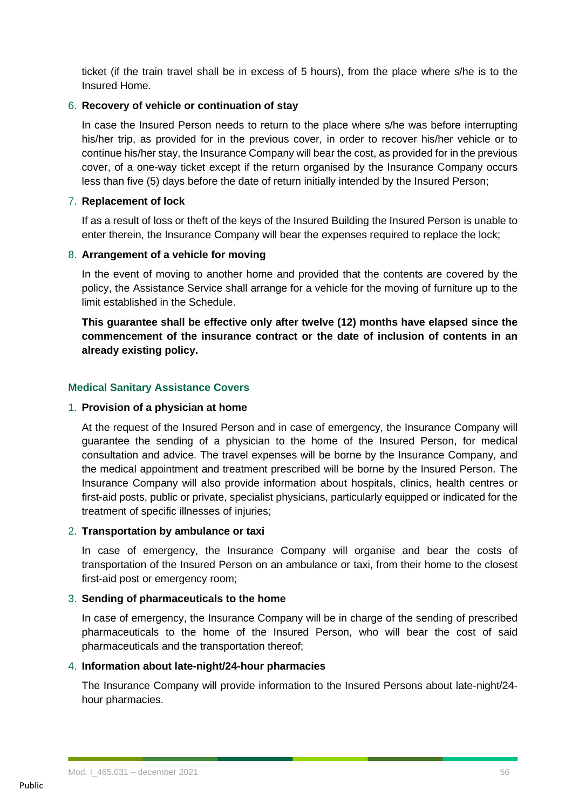ticket (if the train travel shall be in excess of 5 hours), from the place where s/he is to the Insured Home.

# 6. **Recovery of vehicle or continuation of stay**

In case the Insured Person needs to return to the place where s/he was before interrupting his/her trip, as provided for in the previous cover, in order to recover his/her vehicle or to continue his/her stay, the Insurance Company will bear the cost, as provided for in the previous cover, of a one-way ticket except if the return organised by the Insurance Company occurs less than five (5) days before the date of return initially intended by the Insured Person;

# 7. **Replacement of lock**

If as a result of loss or theft of the keys of the Insured Building the Insured Person is unable to enter therein, the Insurance Company will bear the expenses required to replace the lock;

# 8. **Arrangement of a vehicle for moving**

In the event of moving to another home and provided that the contents are covered by the policy, the Assistance Service shall arrange for a vehicle for the moving of furniture up to the limit established in the Schedule.

**This guarantee shall be effective only after twelve (12) months have elapsed since the commencement of the insurance contract or the date of inclusion of contents in an already existing policy.**

# **Medical Sanitary Assistance Covers**

# 1. **Provision of a physician at home**

At the request of the Insured Person and in case of emergency, the Insurance Company will guarantee the sending of a physician to the home of the Insured Person, for medical consultation and advice. The travel expenses will be borne by the Insurance Company, and the medical appointment and treatment prescribed will be borne by the Insured Person. The Insurance Company will also provide information about hospitals, clinics, health centres or first-aid posts, public or private, specialist physicians, particularly equipped or indicated for the treatment of specific illnesses of injuries;

# 2. **Transportation by ambulance or taxi**

In case of emergency, the Insurance Company will organise and bear the costs of transportation of the Insured Person on an ambulance or taxi, from their home to the closest first-aid post or emergency room;

# 3. **Sending of pharmaceuticals to the home**

In case of emergency, the Insurance Company will be in charge of the sending of prescribed pharmaceuticals to the home of the Insured Person, who will bear the cost of said pharmaceuticals and the transportation thereof;

# 4. **Information about late-night/24-hour pharmacies**

The Insurance Company will provide information to the Insured Persons about late-night/24 hour pharmacies.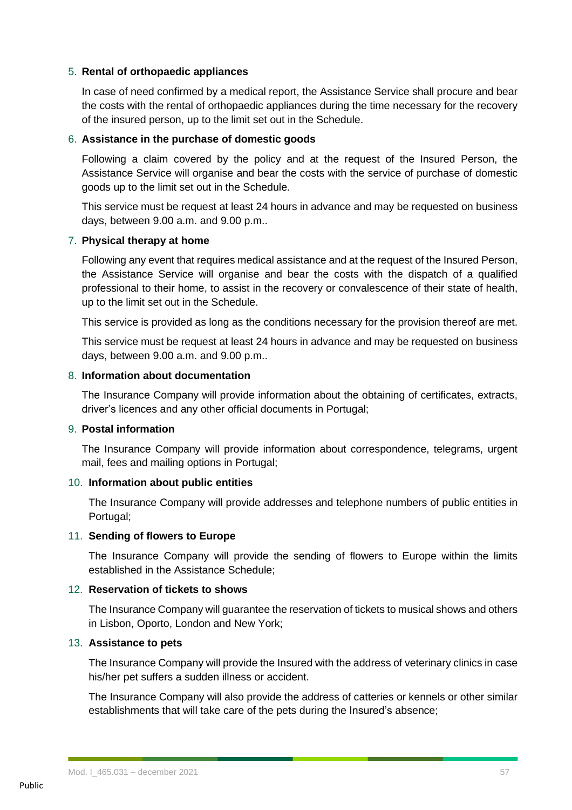### 5. **Rental of orthopaedic appliances**

In case of need confirmed by a medical report, the Assistance Service shall procure and bear the costs with the rental of orthopaedic appliances during the time necessary for the recovery of the insured person, up to the limit set out in the Schedule.

### 6. **Assistance in the purchase of domestic goods**

Following a claim covered by the policy and at the request of the Insured Person, the Assistance Service will organise and bear the costs with the service of purchase of domestic goods up to the limit set out in the Schedule.

This service must be request at least 24 hours in advance and may be requested on business days, between 9.00 a.m. and 9.00 p.m..

### 7. **Physical therapy at home**

Following any event that requires medical assistance and at the request of the Insured Person, the Assistance Service will organise and bear the costs with the dispatch of a qualified professional to their home, to assist in the recovery or convalescence of their state of health, up to the limit set out in the Schedule.

This service is provided as long as the conditions necessary for the provision thereof are met.

This service must be request at least 24 hours in advance and may be requested on business days, between 9.00 a.m. and 9.00 p.m..

### 8. **Information about documentation**

The Insurance Company will provide information about the obtaining of certificates, extracts, driver's licences and any other official documents in Portugal;

### 9. **Postal information**

The Insurance Company will provide information about correspondence, telegrams, urgent mail, fees and mailing options in Portugal;

# 10. **Information about public entities**

The Insurance Company will provide addresses and telephone numbers of public entities in Portugal;

### 11. **Sending of flowers to Europe**

The Insurance Company will provide the sending of flowers to Europe within the limits established in the Assistance Schedule;

# 12. **Reservation of tickets to shows**

The Insurance Company will guarantee the reservation of tickets to musical shows and others in Lisbon, Oporto, London and New York;

# 13. **Assistance to pets**

The Insurance Company will provide the Insured with the address of veterinary clinics in case his/her pet suffers a sudden illness or accident.

The Insurance Company will also provide the address of catteries or kennels or other similar establishments that will take care of the pets during the Insured's absence;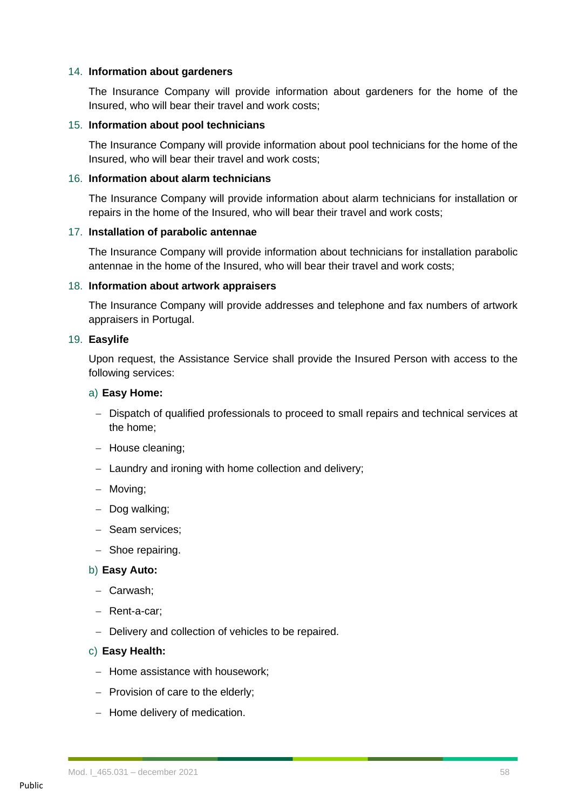### 14. **Information about gardeners**

The Insurance Company will provide information about gardeners for the home of the Insured, who will bear their travel and work costs;

### 15. **Information about pool technicians**

The Insurance Company will provide information about pool technicians for the home of the Insured, who will bear their travel and work costs;

### 16. **Information about alarm technicians**

The Insurance Company will provide information about alarm technicians for installation or repairs in the home of the Insured, who will bear their travel and work costs;

### 17. **Installation of parabolic antennae**

The Insurance Company will provide information about technicians for installation parabolic antennae in the home of the Insured, who will bear their travel and work costs;

### 18. **Information about artwork appraisers**

The Insurance Company will provide addresses and telephone and fax numbers of artwork appraisers in Portugal.

### 19. **Easylife**

Upon request, the Assistance Service shall provide the Insured Person with access to the following services:

### a) **Easy Home:**

- − Dispatch of qualified professionals to proceed to small repairs and technical services at the home;
- − House cleaning;
- − Laundry and ironing with home collection and delivery;
- − Moving;
- − Dog walking;
- − Seam services;
- − Shoe repairing.

### b) **Easy Auto:**

- − Carwash;
- − Rent-a-car;
- − Delivery and collection of vehicles to be repaired.

### c) **Easy Health:**

- − Home assistance with housework;
- − Provision of care to the elderly;
- − Home delivery of medication.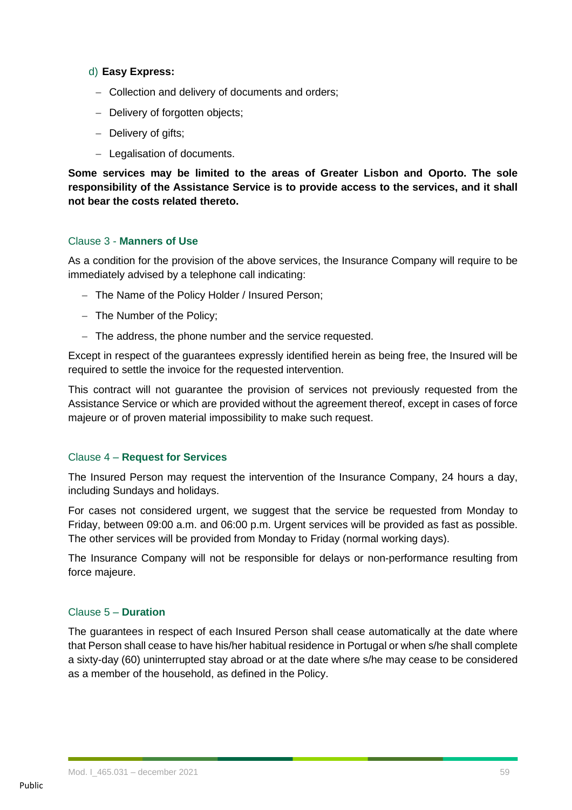- d) **Easy Express:**
	- − Collection and delivery of documents and orders;
	- − Delivery of forgotten objects;
	- − Delivery of gifts;
	- − Legalisation of documents.

**Some services may be limited to the areas of Greater Lisbon and Oporto. The sole responsibility of the Assistance Service is to provide access to the services, and it shall not bear the costs related thereto.**

### Clause 3 - **Manners of Use**

As a condition for the provision of the above services, the Insurance Company will require to be immediately advised by a telephone call indicating:

- − The Name of the Policy Holder / Insured Person;
- − The Number of the Policy;
- − The address, the phone number and the service requested.

Except in respect of the guarantees expressly identified herein as being free, the Insured will be required to settle the invoice for the requested intervention.

This contract will not guarantee the provision of services not previously requested from the Assistance Service or which are provided without the agreement thereof, except in cases of force majeure or of proven material impossibility to make such request.

### Clause 4 – **Request for Services**

The Insured Person may request the intervention of the Insurance Company, 24 hours a day, including Sundays and holidays.

For cases not considered urgent, we suggest that the service be requested from Monday to Friday, between 09:00 a.m. and 06:00 p.m. Urgent services will be provided as fast as possible. The other services will be provided from Monday to Friday (normal working days).

The Insurance Company will not be responsible for delays or non-performance resulting from force majeure.

### Clause 5 – **Duration**

The guarantees in respect of each Insured Person shall cease automatically at the date where that Person shall cease to have his/her habitual residence in Portugal or when s/he shall complete a sixty-day (60) uninterrupted stay abroad or at the date where s/he may cease to be considered as a member of the household, as defined in the Policy.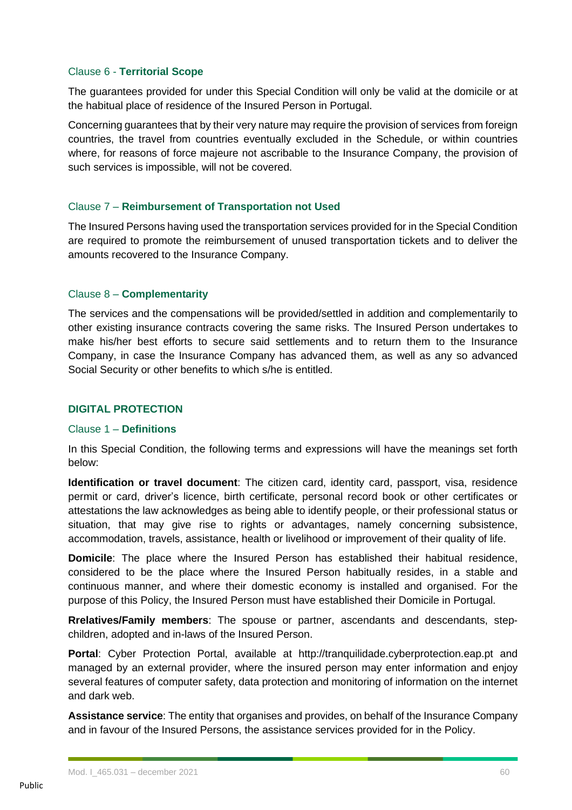### Clause 6 - **Territorial Scope**

The guarantees provided for under this Special Condition will only be valid at the domicile or at the habitual place of residence of the Insured Person in Portugal.

Concerning guarantees that by their very nature may require the provision of services from foreign countries, the travel from countries eventually excluded in the Schedule, or within countries where, for reasons of force majeure not ascribable to the Insurance Company, the provision of such services is impossible, will not be covered.

# Clause 7 – **Reimbursement of Transportation not Used**

The Insured Persons having used the transportation services provided for in the Special Condition are required to promote the reimbursement of unused transportation tickets and to deliver the amounts recovered to the Insurance Company.

### Clause 8 – **Complementarity**

The services and the compensations will be provided/settled in addition and complementarily to other existing insurance contracts covering the same risks. The Insured Person undertakes to make his/her best efforts to secure said settlements and to return them to the Insurance Company, in case the Insurance Company has advanced them, as well as any so advanced Social Security or other benefits to which s/he is entitled.

# **DIGITAL PROTECTION**

### Clause 1 – **Definitions**

In this Special Condition, the following terms and expressions will have the meanings set forth below:

**Identification or travel document**: The citizen card, identity card, passport, visa, residence permit or card, driver's licence, birth certificate, personal record book or other certificates or attestations the law acknowledges as being able to identify people, or their professional status or situation, that may give rise to rights or advantages, namely concerning subsistence, accommodation, travels, assistance, health or livelihood or improvement of their quality of life.

**Domicile**: The place where the Insured Person has established their habitual residence, considered to be the place where the Insured Person habitually resides, in a stable and continuous manner, and where their domestic economy is installed and organised. For the purpose of this Policy, the Insured Person must have established their Domicile in Portugal.

**Rrelatives/Family members**: The spouse or partner, ascendants and descendants, stepchildren, adopted and in-laws of the Insured Person.

**Portal**: Cyber Protection Portal, available at http://tranquilidade.cyberprotection.eap.pt and managed by an external provider, where the insured person may enter information and enjoy several features of computer safety, data protection and monitoring of information on the internet and dark web.

**Assistance service**: The entity that organises and provides, on behalf of the Insurance Company and in favour of the Insured Persons, the assistance services provided for in the Policy.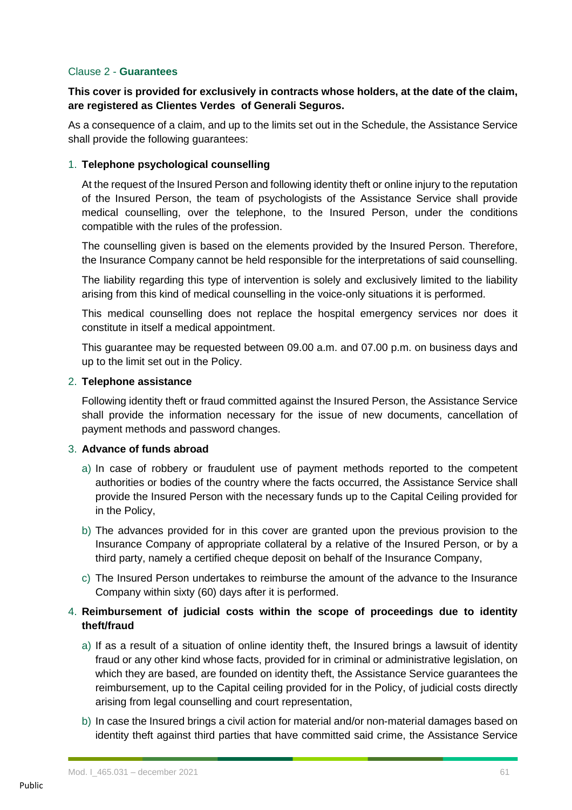### Clause 2 - **Guarantees**

# **This cover is provided for exclusively in contracts whose holders, at the date of the claim, are registered as Clientes Verdes of Generali Seguros.**

As a consequence of a claim, and up to the limits set out in the Schedule, the Assistance Service shall provide the following guarantees:

# 1. **Telephone psychological counselling**

At the request of the Insured Person and following identity theft or online injury to the reputation of the Insured Person, the team of psychologists of the Assistance Service shall provide medical counselling, over the telephone, to the Insured Person, under the conditions compatible with the rules of the profession.

The counselling given is based on the elements provided by the Insured Person. Therefore, the Insurance Company cannot be held responsible for the interpretations of said counselling.

The liability regarding this type of intervention is solely and exclusively limited to the liability arising from this kind of medical counselling in the voice-only situations it is performed.

This medical counselling does not replace the hospital emergency services nor does it constitute in itself a medical appointment.

This guarantee may be requested between 09.00 a.m. and 07.00 p.m. on business days and up to the limit set out in the Policy.

### 2. **Telephone assistance**

Following identity theft or fraud committed against the Insured Person, the Assistance Service shall provide the information necessary for the issue of new documents, cancellation of payment methods and password changes.

# 3. **Advance of funds abroad**

- a) In case of robbery or fraudulent use of payment methods reported to the competent authorities or bodies of the country where the facts occurred, the Assistance Service shall provide the Insured Person with the necessary funds up to the Capital Ceiling provided for in the Policy,
- b) The advances provided for in this cover are granted upon the previous provision to the Insurance Company of appropriate collateral by a relative of the Insured Person, or by a third party, namely a certified cheque deposit on behalf of the Insurance Company,
- c) The Insured Person undertakes to reimburse the amount of the advance to the Insurance Company within sixty (60) days after it is performed.

# 4. **Reimbursement of judicial costs within the scope of proceedings due to identity theft/fraud**

- a) If as a result of a situation of online identity theft, the Insured brings a lawsuit of identity fraud or any other kind whose facts, provided for in criminal or administrative legislation, on which they are based, are founded on identity theft, the Assistance Service guarantees the reimbursement, up to the Capital ceiling provided for in the Policy, of judicial costs directly arising from legal counselling and court representation,
- b) In case the Insured brings a civil action for material and/or non-material damages based on identity theft against third parties that have committed said crime, the Assistance Service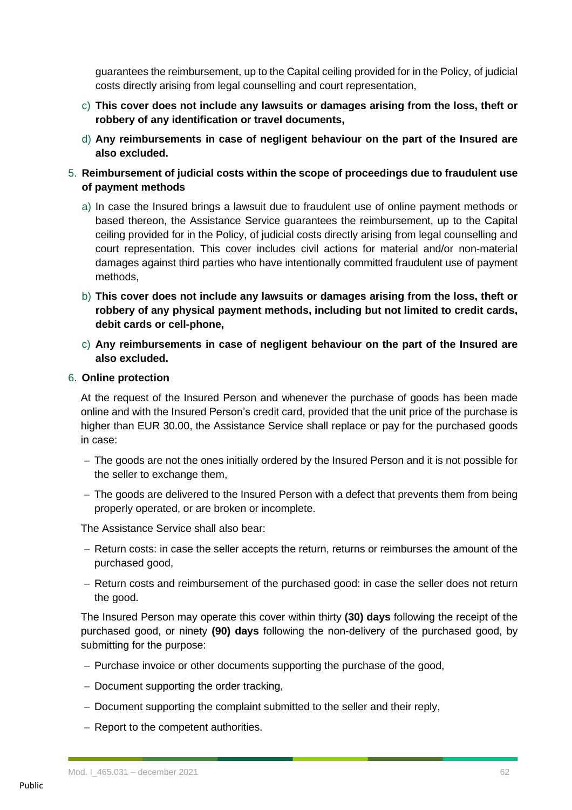guarantees the reimbursement, up to the Capital ceiling provided for in the Policy, of judicial costs directly arising from legal counselling and court representation,

- c) **This cover does not include any lawsuits or damages arising from the loss, theft or robbery of any identification or travel documents,**
- d) **Any reimbursements in case of negligent behaviour on the part of the Insured are also excluded.**
- 5. **Reimbursement of judicial costs within the scope of proceedings due to fraudulent use of payment methods**
	- a) In case the Insured brings a lawsuit due to fraudulent use of online payment methods or based thereon, the Assistance Service guarantees the reimbursement, up to the Capital ceiling provided for in the Policy, of judicial costs directly arising from legal counselling and court representation. This cover includes civil actions for material and/or non-material damages against third parties who have intentionally committed fraudulent use of payment methods,
	- b) **This cover does not include any lawsuits or damages arising from the loss, theft or robbery of any physical payment methods, including but not limited to credit cards, debit cards or cell-phone,**
	- c) **Any reimbursements in case of negligent behaviour on the part of the Insured are also excluded.**

# 6. **Online protection**

At the request of the Insured Person and whenever the purchase of goods has been made online and with the Insured Person's credit card, provided that the unit price of the purchase is higher than EUR 30.00, the Assistance Service shall replace or pay for the purchased goods in case:

- − The goods are not the ones initially ordered by the Insured Person and it is not possible for the seller to exchange them,
- − The goods are delivered to the Insured Person with a defect that prevents them from being properly operated, or are broken or incomplete.

The Assistance Service shall also bear:

- − Return costs: in case the seller accepts the return, returns or reimburses the amount of the purchased good,
- − Return costs and reimbursement of the purchased good: in case the seller does not return the good.

The Insured Person may operate this cover within thirty **(30) days** following the receipt of the purchased good, or ninety **(90) days** following the non-delivery of the purchased good, by submitting for the purpose:

- − Purchase invoice or other documents supporting the purchase of the good,
- − Document supporting the order tracking,
- − Document supporting the complaint submitted to the seller and their reply,
- − Report to the competent authorities.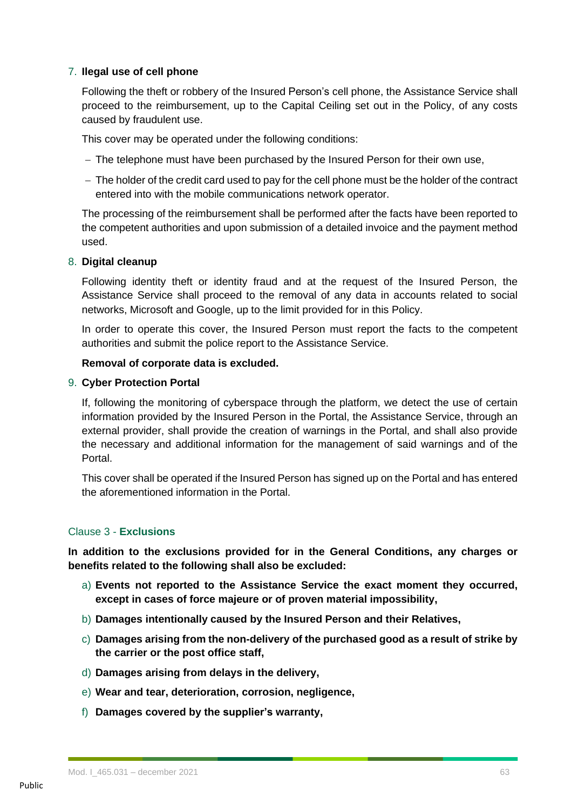# 7. **Ilegal use of cell phone**

Following the theft or robbery of the Insured Person's cell phone, the Assistance Service shall proceed to the reimbursement, up to the Capital Ceiling set out in the Policy, of any costs caused by fraudulent use.

This cover may be operated under the following conditions:

- − The telephone must have been purchased by the Insured Person for their own use,
- − The holder of the credit card used to pay for the cell phone must be the holder of the contract entered into with the mobile communications network operator.

The processing of the reimbursement shall be performed after the facts have been reported to the competent authorities and upon submission of a detailed invoice and the payment method used.

### 8. **Digital cleanup**

Following identity theft or identity fraud and at the request of the Insured Person, the Assistance Service shall proceed to the removal of any data in accounts related to social networks, Microsoft and Google, up to the limit provided for in this Policy.

In order to operate this cover, the Insured Person must report the facts to the competent authorities and submit the police report to the Assistance Service.

### **Removal of corporate data is excluded.**

### 9. **Cyber Protection Portal**

If, following the monitoring of cyberspace through the platform, we detect the use of certain information provided by the Insured Person in the Portal, the Assistance Service, through an external provider, shall provide the creation of warnings in the Portal, and shall also provide the necessary and additional information for the management of said warnings and of the Portal.

This cover shall be operated if the Insured Person has signed up on the Portal and has entered the aforementioned information in the Portal.

# Clause 3 - **Exclusions**

**In addition to the exclusions provided for in the General Conditions, any charges or benefits related to the following shall also be excluded:**

- a) **Events not reported to the Assistance Service the exact moment they occurred, except in cases of force majeure or of proven material impossibility,**
- b) **Damages intentionally caused by the Insured Person and their Relatives,**
- c) **Damages arising from the non-delivery of the purchased good as a result of strike by the carrier or the post office staff,**
- d) **Damages arising from delays in the delivery,**
- e) **Wear and tear, deterioration, corrosion, negligence,**
- f) **Damages covered by the supplier's warranty,**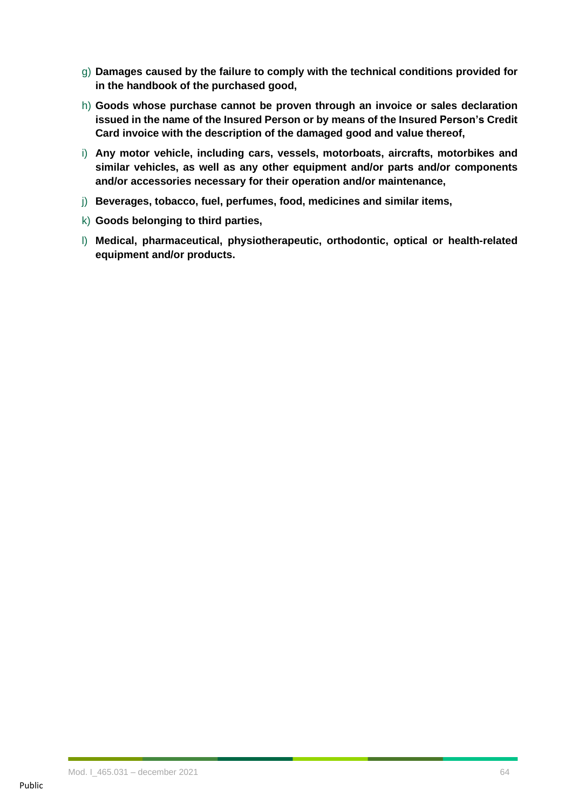- g) **Damages caused by the failure to comply with the technical conditions provided for in the handbook of the purchased good,**
- h) **Goods whose purchase cannot be proven through an invoice or sales declaration issued in the name of the Insured Person or by means of the Insured Person's Credit Card invoice with the description of the damaged good and value thereof,**
- i) **Any motor vehicle, including cars, vessels, motorboats, aircrafts, motorbikes and similar vehicles, as well as any other equipment and/or parts and/or components and/or accessories necessary for their operation and/or maintenance,**
- j) **Beverages, tobacco, fuel, perfumes, food, medicines and similar items,**
- k) **Goods belonging to third parties,**
- l) **Medical, pharmaceutical, physiotherapeutic, orthodontic, optical or health-related equipment and/or products.**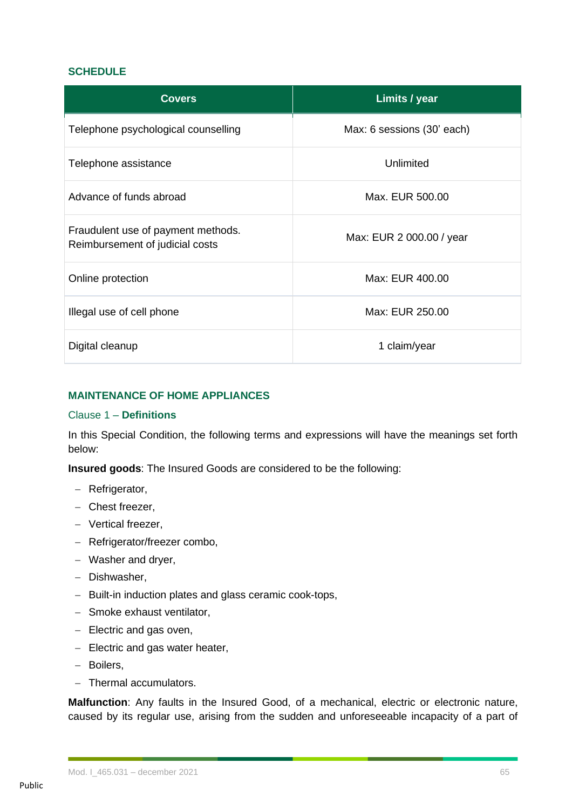# **SCHEDULE**

| <b>Covers</b>                                                         | Limits / year              |
|-----------------------------------------------------------------------|----------------------------|
| Telephone psychological counselling                                   | Max: 6 sessions (30' each) |
| Telephone assistance                                                  | Unlimited                  |
| Advance of funds abroad                                               | Max. EUR 500.00            |
| Fraudulent use of payment methods.<br>Reimbursement of judicial costs | Max: EUR 2 000.00 / year   |
| Online protection                                                     | Max: EUR 400.00            |
| Illegal use of cell phone                                             | Max: EUR 250.00            |
| Digital cleanup                                                       | 1 claim/year               |

# **MAINTENANCE OF HOME APPLIANCES**

### Clause 1 – **Definitions**

In this Special Condition, the following terms and expressions will have the meanings set forth below:

**Insured goods**: The Insured Goods are considered to be the following:

- − Refrigerator,
- − Chest freezer,
- − Vertical freezer,
- − Refrigerator/freezer combo,
- − Washer and dryer,
- − Dishwasher,
- − Built-in induction plates and glass ceramic cook-tops,
- − Smoke exhaust ventilator,
- − Electric and gas oven,
- − Electric and gas water heater,
- − Boilers,
- − Thermal accumulators.

**Malfunction**: Any faults in the Insured Good, of a mechanical, electric or electronic nature, caused by its regular use, arising from the sudden and unforeseeable incapacity of a part of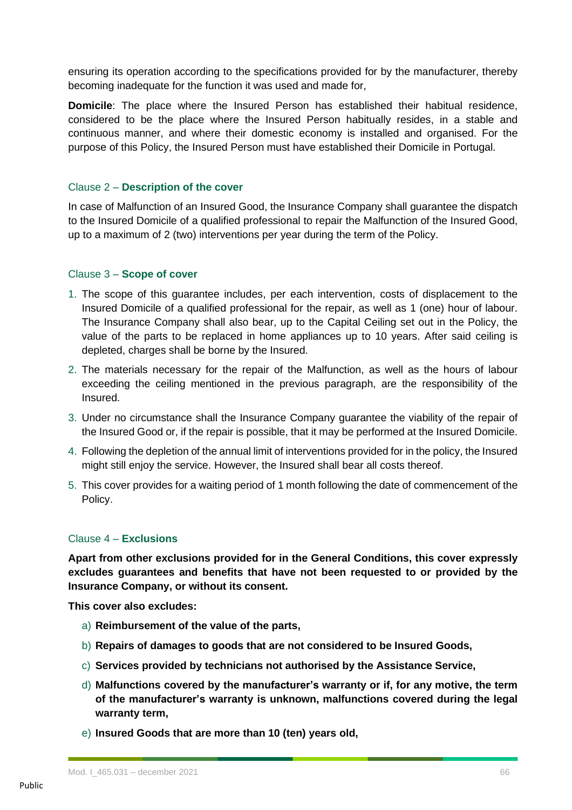ensuring its operation according to the specifications provided for by the manufacturer, thereby becoming inadequate for the function it was used and made for,

**Domicile**: The place where the Insured Person has established their habitual residence, considered to be the place where the Insured Person habitually resides, in a stable and continuous manner, and where their domestic economy is installed and organised. For the purpose of this Policy, the Insured Person must have established their Domicile in Portugal.

### Clause 2 – **Description of the cover**

In case of Malfunction of an Insured Good, the Insurance Company shall guarantee the dispatch to the Insured Domicile of a qualified professional to repair the Malfunction of the Insured Good, up to a maximum of 2 (two) interventions per year during the term of the Policy.

### Clause 3 – **Scope of cover**

- 1. The scope of this guarantee includes, per each intervention, costs of displacement to the Insured Domicile of a qualified professional for the repair, as well as 1 (one) hour of labour. The Insurance Company shall also bear, up to the Capital Ceiling set out in the Policy, the value of the parts to be replaced in home appliances up to 10 years. After said ceiling is depleted, charges shall be borne by the Insured.
- 2. The materials necessary for the repair of the Malfunction, as well as the hours of labour exceeding the ceiling mentioned in the previous paragraph, are the responsibility of the Insured.
- 3. Under no circumstance shall the Insurance Company guarantee the viability of the repair of the Insured Good or, if the repair is possible, that it may be performed at the Insured Domicile.
- 4. Following the depletion of the annual limit of interventions provided for in the policy, the Insured might still enjoy the service. However, the Insured shall bear all costs thereof.
- 5. This cover provides for a waiting period of 1 month following the date of commencement of the Policy.

# Clause 4 – **Exclusions**

**Apart from other exclusions provided for in the General Conditions, this cover expressly excludes guarantees and benefits that have not been requested to or provided by the Insurance Company, or without its consent.**

**This cover also excludes:**

- a) **Reimbursement of the value of the parts,**
- b) **Repairs of damages to goods that are not considered to be Insured Goods,**
- c) **Services provided by technicians not authorised by the Assistance Service,**
- d) **Malfunctions covered by the manufacturer's warranty or if, for any motive, the term of the manufacturer's warranty is unknown, malfunctions covered during the legal warranty term,**
- e) **Insured Goods that are more than 10 (ten) years old,**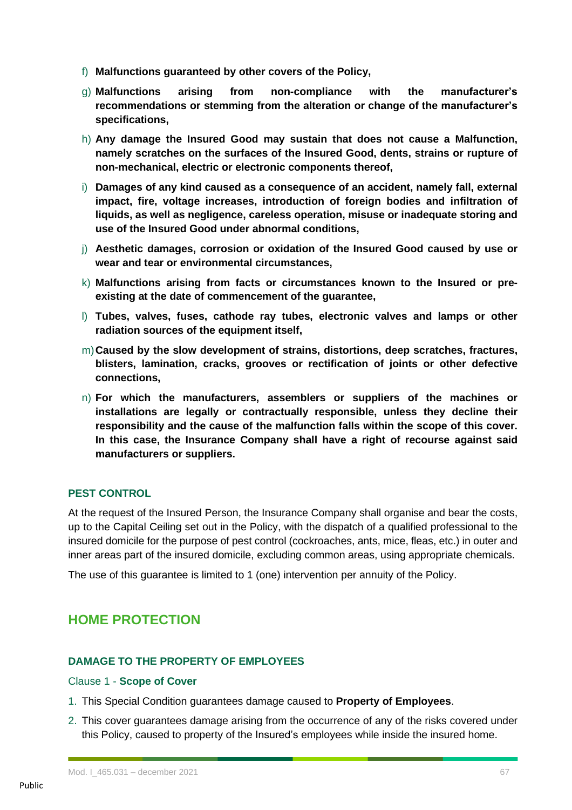- f) **Malfunctions guaranteed by other covers of the Policy,**
- g) **Malfunctions arising from non-compliance with the manufacturer's recommendations or stemming from the alteration or change of the manufacturer's specifications,**
- h) **Any damage the Insured Good may sustain that does not cause a Malfunction, namely scratches on the surfaces of the Insured Good, dents, strains or rupture of non-mechanical, electric or electronic components thereof,**
- i) **Damages of any kind caused as a consequence of an accident, namely fall, external impact, fire, voltage increases, introduction of foreign bodies and infiltration of liquids, as well as negligence, careless operation, misuse or inadequate storing and use of the Insured Good under abnormal conditions,**
- j) **Aesthetic damages, corrosion or oxidation of the Insured Good caused by use or wear and tear or environmental circumstances,**
- k) **Malfunctions arising from facts or circumstances known to the Insured or preexisting at the date of commencement of the guarantee,**
- l) **Tubes, valves, fuses, cathode ray tubes, electronic valves and lamps or other radiation sources of the equipment itself,**
- m)**Caused by the slow development of strains, distortions, deep scratches, fractures, blisters, lamination, cracks, grooves or rectification of joints or other defective connections,**
- n) **For which the manufacturers, assemblers or suppliers of the machines or installations are legally or contractually responsible, unless they decline their responsibility and the cause of the malfunction falls within the scope of this cover. In this case, the Insurance Company shall have a right of recourse against said manufacturers or suppliers.**

# **PEST CONTROL**

At the request of the Insured Person, the Insurance Company shall organise and bear the costs, up to the Capital Ceiling set out in the Policy, with the dispatch of a qualified professional to the insured domicile for the purpose of pest control (cockroaches, ants, mice, fleas, etc.) in outer and inner areas part of the insured domicile, excluding common areas, using appropriate chemicals.

The use of this guarantee is limited to 1 (one) intervention per annuity of the Policy.

# **HOME PROTECTION**

# **DAMAGE TO THE PROPERTY OF EMPLOYEES**

### Clause 1 - **Scope of Cover**

- 1. This Special Condition guarantees damage caused to **Property of Employees**.
- 2. This cover guarantees damage arising from the occurrence of any of the risks covered under this Policy, caused to property of the Insured's employees while inside the insured home.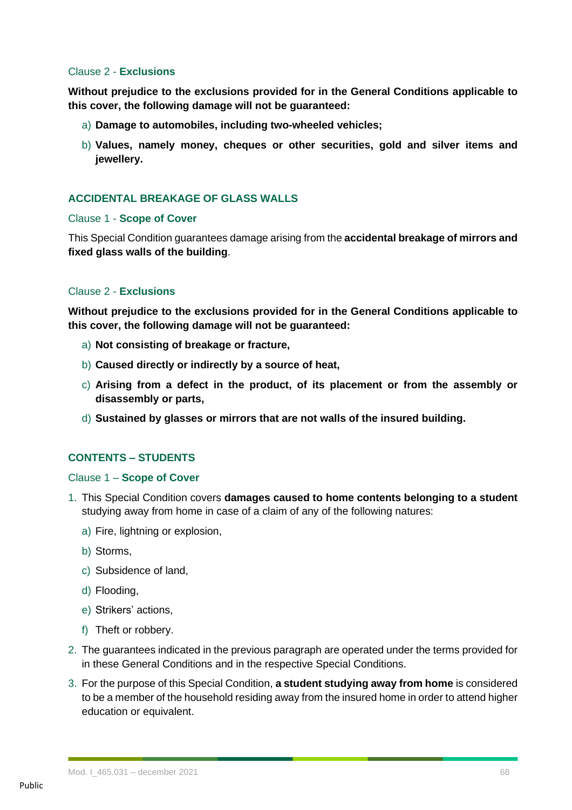### Clause 2 - **Exclusions**

**Without prejudice to the exclusions provided for in the General Conditions applicable to this cover, the following damage will not be guaranteed:**

- a) **Damage to automobiles, including two-wheeled vehicles;**
- b) **Values, namely money, cheques or other securities, gold and silver items and jewellery.**

# **ACCIDENTAL BREAKAGE OF GLASS WALLS**

### Clause 1 - **Scope of Cover**

This Special Condition guarantees damage arising from the **accidental breakage of mirrors and fixed glass walls of the building**.

# Clause 2 - **Exclusions**

**Without prejudice to the exclusions provided for in the General Conditions applicable to this cover, the following damage will not be guaranteed:**

- a) **Not consisting of breakage or fracture,**
- b) **Caused directly or indirectly by a source of heat,**
- c) **Arising from a defect in the product, of its placement or from the assembly or disassembly or parts,**
- d) **Sustained by glasses or mirrors that are not walls of the insured building.**

# **CONTENTS – STUDENTS**

### Clause 1 – **Scope of Cover**

- 1. This Special Condition covers **damages caused to home contents belonging to a student** studying away from home in case of a claim of any of the following natures:
	- a) Fire, lightning or explosion,
	- b) Storms,
	- c) Subsidence of land,
	- d) Flooding,
	- e) Strikers' actions,
	- f) Theft or robbery.
- 2. The guarantees indicated in the previous paragraph are operated under the terms provided for in these General Conditions and in the respective Special Conditions.
- 3. For the purpose of this Special Condition, **a student studying away from home** is considered to be a member of the household residing away from the insured home in order to attend higher education or equivalent.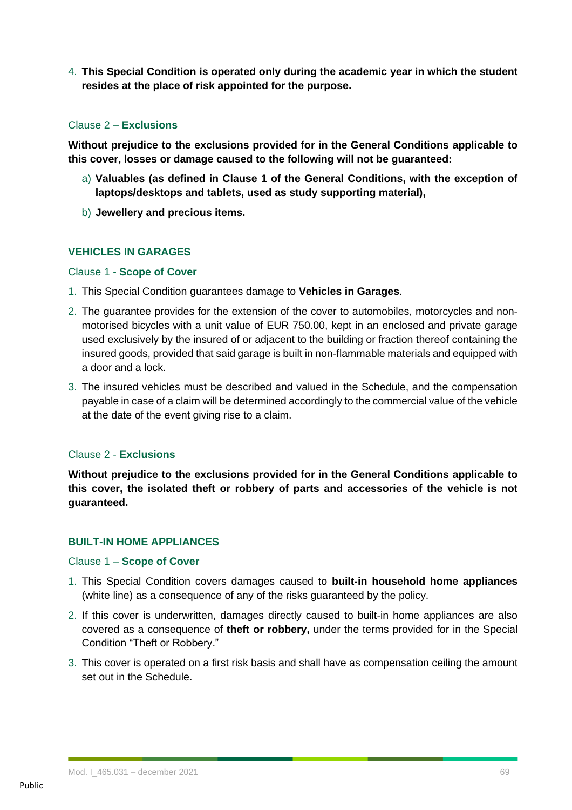4. **This Special Condition is operated only during the academic year in which the student resides at the place of risk appointed for the purpose.**

# Clause 2 – **Exclusions**

**Without prejudice to the exclusions provided for in the General Conditions applicable to this cover, losses or damage caused to the following will not be guaranteed:**

- a) **Valuables (as defined in Clause 1 of the General Conditions, with the exception of laptops/desktops and tablets, used as study supporting material),**
- b) **Jewellery and precious items.**

# **VEHICLES IN GARAGES**

# Clause 1 - **Scope of Cover**

- 1. This Special Condition guarantees damage to **Vehicles in Garages**.
- 2. The guarantee provides for the extension of the cover to automobiles, motorcycles and nonmotorised bicycles with a unit value of EUR 750.00, kept in an enclosed and private garage used exclusively by the insured of or adjacent to the building or fraction thereof containing the insured goods, provided that said garage is built in non-flammable materials and equipped with a door and a lock.
- 3. The insured vehicles must be described and valued in the Schedule, and the compensation payable in case of a claim will be determined accordingly to the commercial value of the vehicle at the date of the event giving rise to a claim.

# Clause 2 - **Exclusions**

**Without prejudice to the exclusions provided for in the General Conditions applicable to this cover, the isolated theft or robbery of parts and accessories of the vehicle is not guaranteed.**

# **BUILT-IN HOME APPLIANCES**

# Clause 1 – **Scope of Cover**

- 1. This Special Condition covers damages caused to **built-in household home appliances** (white line) as a consequence of any of the risks guaranteed by the policy.
- 2. If this cover is underwritten, damages directly caused to built-in home appliances are also covered as a consequence of **theft or robbery,** under the terms provided for in the Special Condition "Theft or Robbery."
- 3. This cover is operated on a first risk basis and shall have as compensation ceiling the amount set out in the Schedule.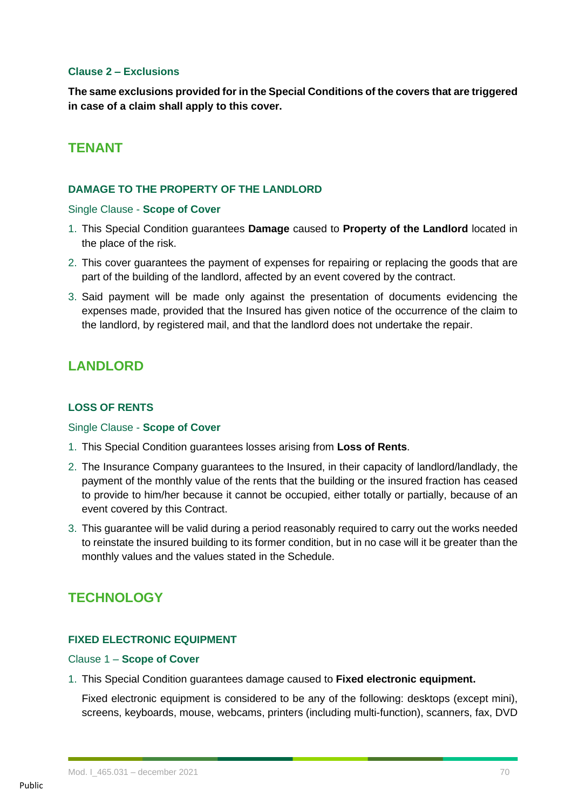### **Clause 2 – Exclusions**

**The same exclusions provided for in the Special Conditions of the covers that are triggered in case of a claim shall apply to this cover.**

# **TENANT**

# **DAMAGE TO THE PROPERTY OF THE LANDLORD**

### Single Clause - **Scope of Cover**

- 1. This Special Condition guarantees **Damage** caused to **Property of the Landlord** located in the place of the risk.
- 2. This cover guarantees the payment of expenses for repairing or replacing the goods that are part of the building of the landlord, affected by an event covered by the contract.
- 3. Said payment will be made only against the presentation of documents evidencing the expenses made, provided that the Insured has given notice of the occurrence of the claim to the landlord, by registered mail, and that the landlord does not undertake the repair.

# **LANDLORD**

# **LOSS OF RENTS**

# Single Clause - **Scope of Cover**

- 1. This Special Condition guarantees losses arising from **Loss of Rents**.
- 2. The Insurance Company guarantees to the Insured, in their capacity of landlord/landlady, the payment of the monthly value of the rents that the building or the insured fraction has ceased to provide to him/her because it cannot be occupied, either totally or partially, because of an event covered by this Contract.
- 3. This guarantee will be valid during a period reasonably required to carry out the works needed to reinstate the insured building to its former condition, but in no case will it be greater than the monthly values and the values stated in the Schedule.

# **TECHNOLOGY**

# **FIXED ELECTRONIC EQUIPMENT**

### Clause 1 – **Scope of Cover**

1. This Special Condition guarantees damage caused to **Fixed electronic equipment.**

Fixed electronic equipment is considered to be any of the following: desktops (except mini), screens, keyboards, mouse, webcams, printers (including multi-function), scanners, fax, DVD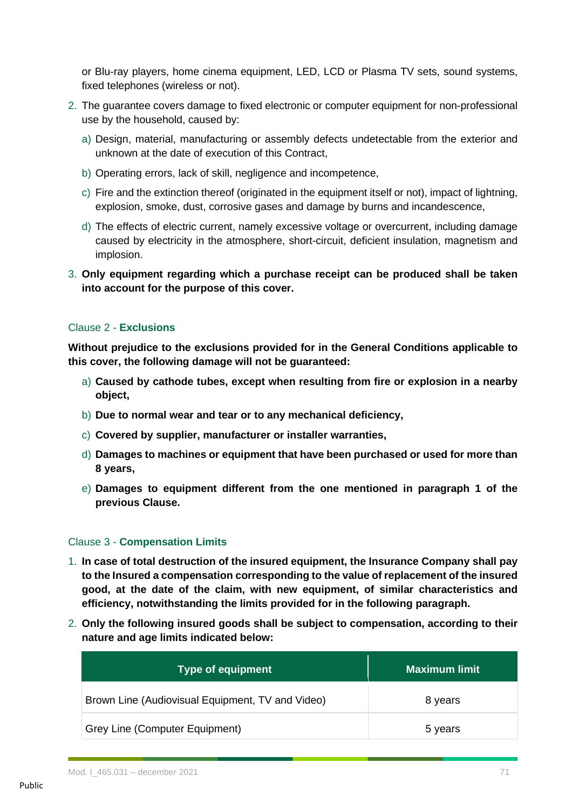or Blu-ray players, home cinema equipment, LED, LCD or Plasma TV sets, sound systems, fixed telephones (wireless or not).

- 2. The guarantee covers damage to fixed electronic or computer equipment for non-professional use by the household, caused by:
	- a) Design, material, manufacturing or assembly defects undetectable from the exterior and unknown at the date of execution of this Contract,
	- b) Operating errors, lack of skill, negligence and incompetence,
	- c) Fire and the extinction thereof (originated in the equipment itself or not), impact of lightning, explosion, smoke, dust, corrosive gases and damage by burns and incandescence,
	- d) The effects of electric current, namely excessive voltage or overcurrent, including damage caused by electricity in the atmosphere, short-circuit, deficient insulation, magnetism and implosion.
- 3. **Only equipment regarding which a purchase receipt can be produced shall be taken into account for the purpose of this cover.**

# Clause 2 - **Exclusions**

**Without prejudice to the exclusions provided for in the General Conditions applicable to this cover, the following damage will not be guaranteed:**

- a) **Caused by cathode tubes, except when resulting from fire or explosion in a nearby object,**
- b) **Due to normal wear and tear or to any mechanical deficiency,**
- c) **Covered by supplier, manufacturer or installer warranties,**
- d) **Damages to machines or equipment that have been purchased or used for more than 8 years,**
- e) **Damages to equipment different from the one mentioned in paragraph 1 of the previous Clause.**

# Clause 3 - **Compensation Limits**

- 1. **In case of total destruction of the insured equipment, the Insurance Company shall pay to the Insured a compensation corresponding to the value of replacement of the insured good, at the date of the claim, with new equipment, of similar characteristics and efficiency, notwithstanding the limits provided for in the following paragraph.**
- 2. **Only the following insured goods shall be subject to compensation, according to their nature and age limits indicated below:**

| <b>Type of equipment</b>                         | <b>Maximum limit</b> |
|--------------------------------------------------|----------------------|
| Brown Line (Audiovisual Equipment, TV and Video) | 8 years              |
| Grey Line (Computer Equipment)                   | 5 years              |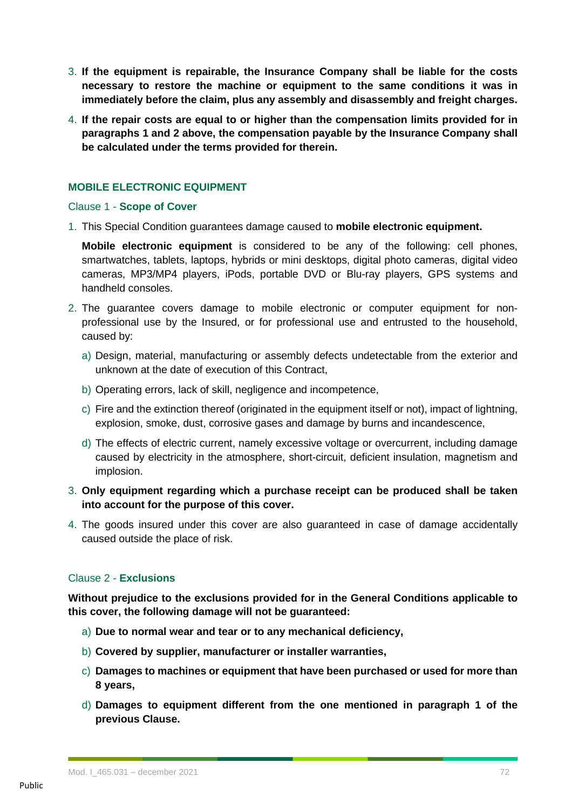- 3. **If the equipment is repairable, the Insurance Company shall be liable for the costs necessary to restore the machine or equipment to the same conditions it was in immediately before the claim, plus any assembly and disassembly and freight charges.**
- 4. **If the repair costs are equal to or higher than the compensation limits provided for in paragraphs 1 and 2 above, the compensation payable by the Insurance Company shall be calculated under the terms provided for therein.**

# **MOBILE ELECTRONIC EQUIPMENT**

### Clause 1 - **Scope of Cover**

1. This Special Condition guarantees damage caused to **mobile electronic equipment.**

**Mobile electronic equipment** is considered to be any of the following: cell phones, smartwatches, tablets, laptops, hybrids or mini desktops, digital photo cameras, digital video cameras, MP3/MP4 players, iPods, portable DVD or Blu-ray players, GPS systems and handheld consoles.

- 2. The guarantee covers damage to mobile electronic or computer equipment for nonprofessional use by the Insured, or for professional use and entrusted to the household, caused by:
	- a) Design, material, manufacturing or assembly defects undetectable from the exterior and unknown at the date of execution of this Contract,
	- b) Operating errors, lack of skill, negligence and incompetence,
	- c) Fire and the extinction thereof (originated in the equipment itself or not), impact of lightning, explosion, smoke, dust, corrosive gases and damage by burns and incandescence,
	- d) The effects of electric current, namely excessive voltage or overcurrent, including damage caused by electricity in the atmosphere, short-circuit, deficient insulation, magnetism and implosion.
- 3. **Only equipment regarding which a purchase receipt can be produced shall be taken into account for the purpose of this cover.**
- 4. The goods insured under this cover are also guaranteed in case of damage accidentally caused outside the place of risk.

# Clause 2 - **Exclusions**

**Without prejudice to the exclusions provided for in the General Conditions applicable to this cover, the following damage will not be guaranteed:**

- a) **Due to normal wear and tear or to any mechanical deficiency,**
- b) **Covered by supplier, manufacturer or installer warranties,**
- c) **Damages to machines or equipment that have been purchased or used for more than 8 years,**
- d) **Damages to equipment different from the one mentioned in paragraph 1 of the previous Clause.**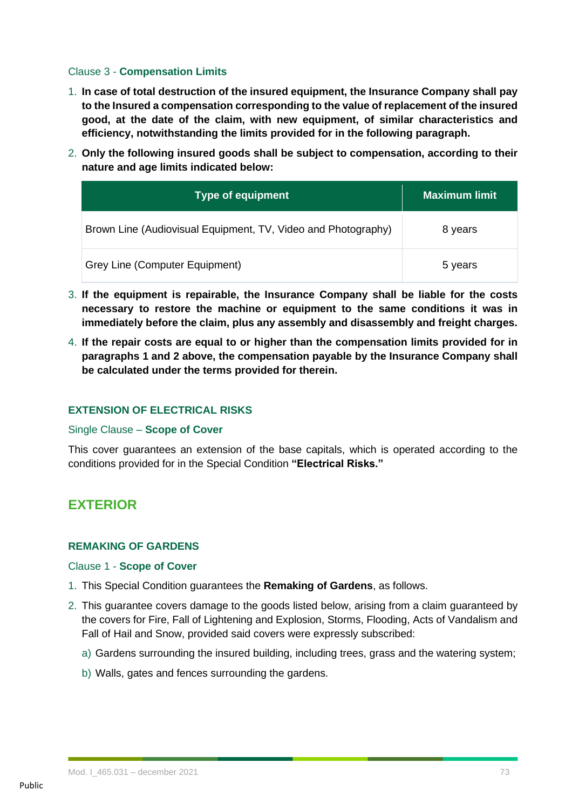#### Clause 3 - **Compensation Limits**

- 1. **In case of total destruction of the insured equipment, the Insurance Company shall pay to the Insured a compensation corresponding to the value of replacement of the insured good, at the date of the claim, with new equipment, of similar characteristics and efficiency, notwithstanding the limits provided for in the following paragraph.**
- 2. **Only the following insured goods shall be subject to compensation, according to their nature and age limits indicated below:**

| <b>Type of equipment</b>                                      | <b>Maximum limit</b> |
|---------------------------------------------------------------|----------------------|
| Brown Line (Audiovisual Equipment, TV, Video and Photography) | 8 years              |
| Grey Line (Computer Equipment)                                | 5 years              |

- 3. **If the equipment is repairable, the Insurance Company shall be liable for the costs necessary to restore the machine or equipment to the same conditions it was in immediately before the claim, plus any assembly and disassembly and freight charges.**
- 4. **If the repair costs are equal to or higher than the compensation limits provided for in paragraphs 1 and 2 above, the compensation payable by the Insurance Company shall be calculated under the terms provided for therein.**

## **EXTENSION OF ELECTRICAL RISKS**

#### Single Clause – **Scope of Cover**

This cover guarantees an extension of the base capitals, which is operated according to the conditions provided for in the Special Condition **"Electrical Risks."**

## **EXTERIOR**

## **REMAKING OF GARDENS**

#### Clause 1 - **Scope of Cover**

- 1. This Special Condition guarantees the **Remaking of Gardens**, as follows.
- 2. This guarantee covers damage to the goods listed below, arising from a claim guaranteed by the covers for Fire, Fall of Lightening and Explosion, Storms, Flooding, Acts of Vandalism and Fall of Hail and Snow, provided said covers were expressly subscribed:
	- a) Gardens surrounding the insured building, including trees, grass and the watering system;
	- b) Walls, gates and fences surrounding the gardens.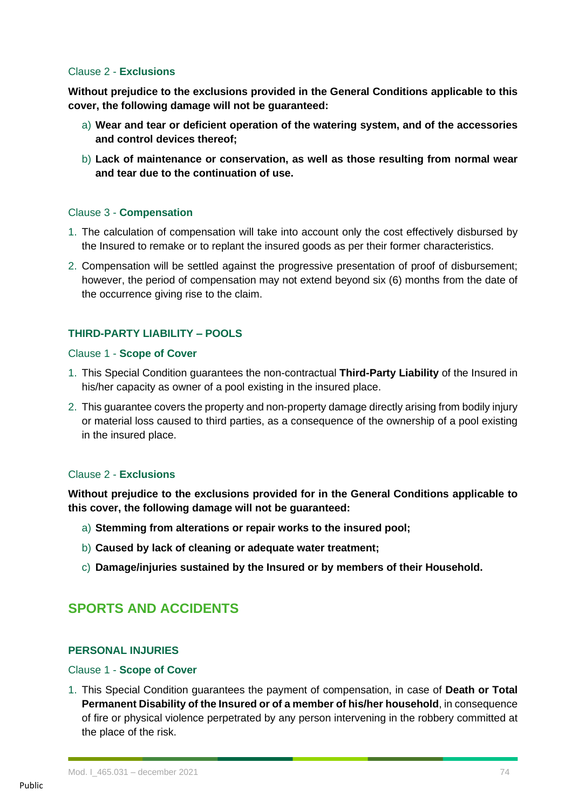#### Clause 2 - **Exclusions**

**Without prejudice to the exclusions provided in the General Conditions applicable to this cover, the following damage will not be guaranteed:**

- a) **Wear and tear or deficient operation of the watering system, and of the accessories and control devices thereof;**
- b) **Lack of maintenance or conservation, as well as those resulting from normal wear and tear due to the continuation of use.**

## Clause 3 - **Compensation**

- 1. The calculation of compensation will take into account only the cost effectively disbursed by the Insured to remake or to replant the insured goods as per their former characteristics.
- 2. Compensation will be settled against the progressive presentation of proof of disbursement; however, the period of compensation may not extend beyond six (6) months from the date of the occurrence giving rise to the claim.

## **THIRD-PARTY LIABILITY – POOLS**

#### Clause 1 - **Scope of Cover**

- 1. This Special Condition guarantees the non-contractual **Third-Party Liability** of the Insured in his/her capacity as owner of a pool existing in the insured place.
- 2. This guarantee covers the property and non-property damage directly arising from bodily injury or material loss caused to third parties, as a consequence of the ownership of a pool existing in the insured place.

## Clause 2 - **Exclusions**

**Without prejudice to the exclusions provided for in the General Conditions applicable to this cover, the following damage will not be guaranteed:**

- a) **Stemming from alterations or repair works to the insured pool;**
- b) **Caused by lack of cleaning or adequate water treatment;**
- c) **Damage/injuries sustained by the Insured or by members of their Household.**

## **SPORTS AND ACCIDENTS**

## **PERSONAL INJURIES**

## Clause 1 - **Scope of Cover**

1. This Special Condition guarantees the payment of compensation, in case of **Death or Total Permanent Disability of the Insured or of a member of his/her household**, in consequence of fire or physical violence perpetrated by any person intervening in the robbery committed at the place of the risk.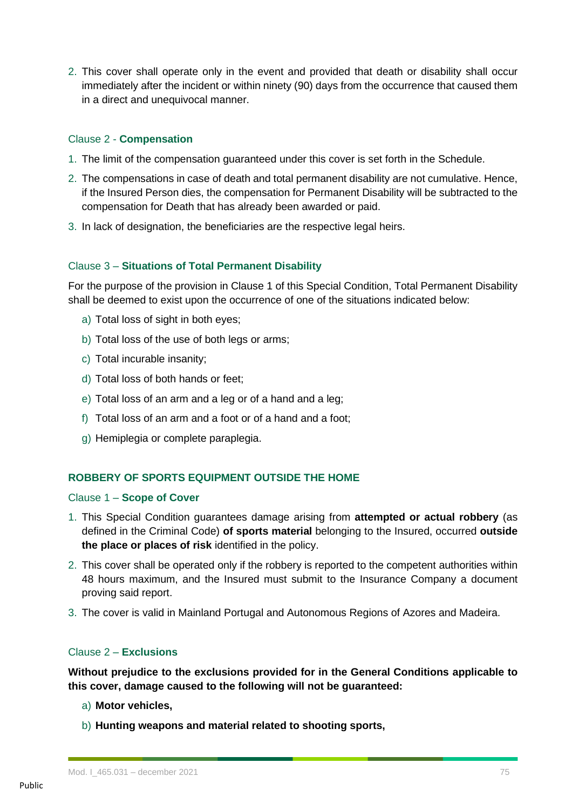2. This cover shall operate only in the event and provided that death or disability shall occur immediately after the incident or within ninety (90) days from the occurrence that caused them in a direct and unequivocal manner.

### Clause 2 - **Compensation**

- 1. The limit of the compensation guaranteed under this cover is set forth in the Schedule.
- 2. The compensations in case of death and total permanent disability are not cumulative. Hence, if the Insured Person dies, the compensation for Permanent Disability will be subtracted to the compensation for Death that has already been awarded or paid.
- 3. In lack of designation, the beneficiaries are the respective legal heirs.

## Clause 3 – **Situations of Total Permanent Disability**

For the purpose of the provision in Clause 1 of this Special Condition, Total Permanent Disability shall be deemed to exist upon the occurrence of one of the situations indicated below:

- a) Total loss of sight in both eyes;
- b) Total loss of the use of both legs or arms;
- c) Total incurable insanity;
- d) Total loss of both hands or feet;
- e) Total loss of an arm and a leg or of a hand and a leg;
- f) Total loss of an arm and a foot or of a hand and a foot;
- g) Hemiplegia or complete paraplegia.

## **ROBBERY OF SPORTS EQUIPMENT OUTSIDE THE HOME**

#### Clause 1 – **Scope of Cover**

- 1. This Special Condition guarantees damage arising from **attempted or actual robbery** (as defined in the Criminal Code) **of sports material** belonging to the Insured, occurred **outside the place or places of risk** identified in the policy.
- 2. This cover shall be operated only if the robbery is reported to the competent authorities within 48 hours maximum, and the Insured must submit to the Insurance Company a document proving said report.
- 3. The cover is valid in Mainland Portugal and Autonomous Regions of Azores and Madeira.

## Clause 2 – **Exclusions**

**Without prejudice to the exclusions provided for in the General Conditions applicable to this cover, damage caused to the following will not be guaranteed:**

- a) **Motor vehicles,**
- b) **Hunting weapons and material related to shooting sports,**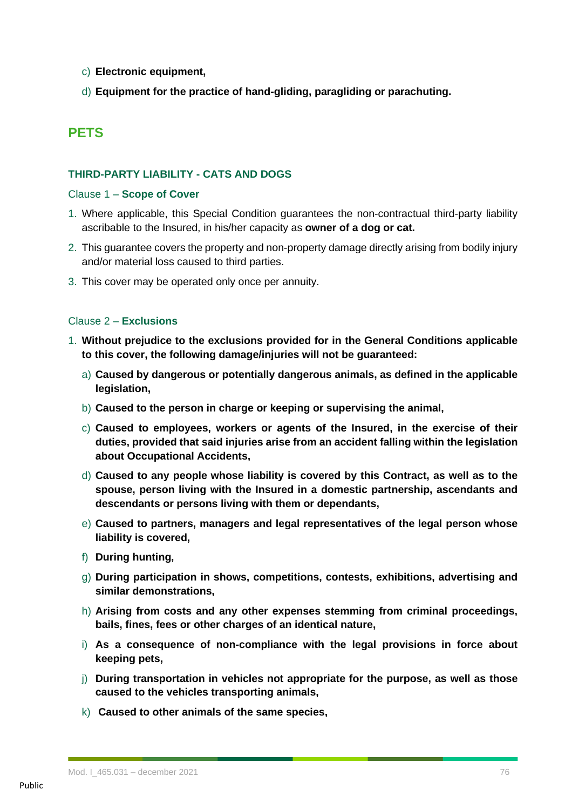- c) **Electronic equipment,**
- d) **Equipment for the practice of hand-gliding, paragliding or parachuting.**

## **PETS**

## **THIRD-PARTY LIABILITY - CATS AND DOGS**

#### Clause 1 – **Scope of Cover**

- 1. Where applicable, this Special Condition guarantees the non-contractual third-party liability ascribable to the Insured, in his/her capacity as **owner of a dog or cat.**
- 2. This guarantee covers the property and non-property damage directly arising from bodily injury and/or material loss caused to third parties.
- 3. This cover may be operated only once per annuity.

#### Clause 2 – **Exclusions**

- 1. **Without prejudice to the exclusions provided for in the General Conditions applicable to this cover, the following damage/injuries will not be guaranteed:**
	- a) **Caused by dangerous or potentially dangerous animals, as defined in the applicable legislation,**
	- b) **Caused to the person in charge or keeping or supervising the animal,**
	- c) **Caused to employees, workers or agents of the Insured, in the exercise of their duties, provided that said injuries arise from an accident falling within the legislation about Occupational Accidents,**
	- d) **Caused to any people whose liability is covered by this Contract, as well as to the spouse, person living with the Insured in a domestic partnership, ascendants and descendants or persons living with them or dependants,**
	- e) **Caused to partners, managers and legal representatives of the legal person whose liability is covered,**
	- f) **During hunting,**
	- g) **During participation in shows, competitions, contests, exhibitions, advertising and similar demonstrations,**
	- h) **Arising from costs and any other expenses stemming from criminal proceedings, bails, fines, fees or other charges of an identical nature,**
	- i) **As a consequence of non-compliance with the legal provisions in force about keeping pets,**
	- j) **During transportation in vehicles not appropriate for the purpose, as well as those caused to the vehicles transporting animals,**
	- k) **Caused to other animals of the same species,**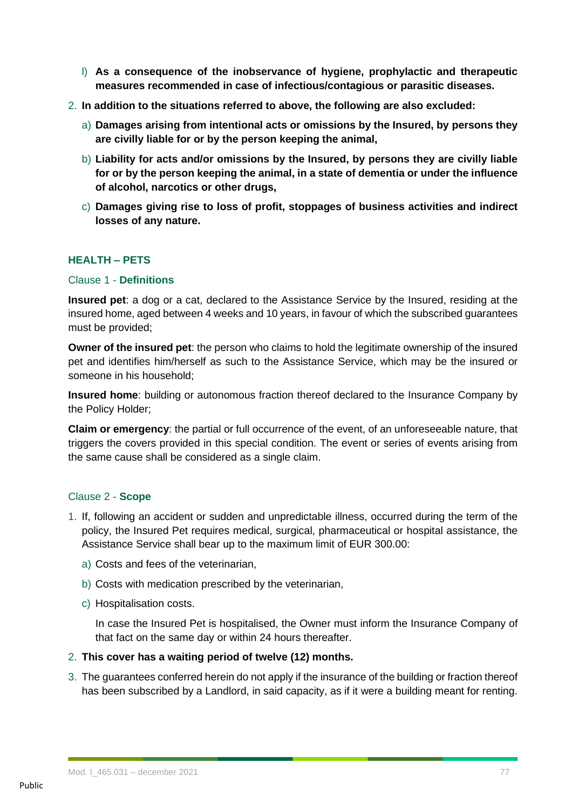- l) **As a consequence of the inobservance of hygiene, prophylactic and therapeutic measures recommended in case of infectious/contagious or parasitic diseases.**
- 2. **In addition to the situations referred to above, the following are also excluded:**
	- a) **Damages arising from intentional acts or omissions by the Insured, by persons they are civilly liable for or by the person keeping the animal,**
	- b) **Liability for acts and/or omissions by the Insured, by persons they are civilly liable for or by the person keeping the animal, in a state of dementia or under the influence of alcohol, narcotics or other drugs,**
	- c) **Damages giving rise to loss of profit, stoppages of business activities and indirect losses of any nature.**

## **HEALTH – PETS**

## Clause 1 - **Definitions**

**Insured pet**: a dog or a cat, declared to the Assistance Service by the Insured, residing at the insured home, aged between 4 weeks and 10 years, in favour of which the subscribed guarantees must be provided;

**Owner of the insured pet**: the person who claims to hold the legitimate ownership of the insured pet and identifies him/herself as such to the Assistance Service, which may be the insured or someone in his household;

**Insured home**: building or autonomous fraction thereof declared to the Insurance Company by the Policy Holder;

**Claim or emergency**: the partial or full occurrence of the event, of an unforeseeable nature, that triggers the covers provided in this special condition. The event or series of events arising from the same cause shall be considered as a single claim.

## Clause 2 - **Scope**

- 1. If, following an accident or sudden and unpredictable illness, occurred during the term of the policy, the Insured Pet requires medical, surgical, pharmaceutical or hospital assistance, the Assistance Service shall bear up to the maximum limit of EUR 300.00:
	- a) Costs and fees of the veterinarian,
	- b) Costs with medication prescribed by the veterinarian,
	- c) Hospitalisation costs.

In case the Insured Pet is hospitalised, the Owner must inform the Insurance Company of that fact on the same day or within 24 hours thereafter.

## 2. **This cover has a waiting period of twelve (12) months.**

3. The guarantees conferred herein do not apply if the insurance of the building or fraction thereof has been subscribed by a Landlord, in said capacity, as if it were a building meant for renting.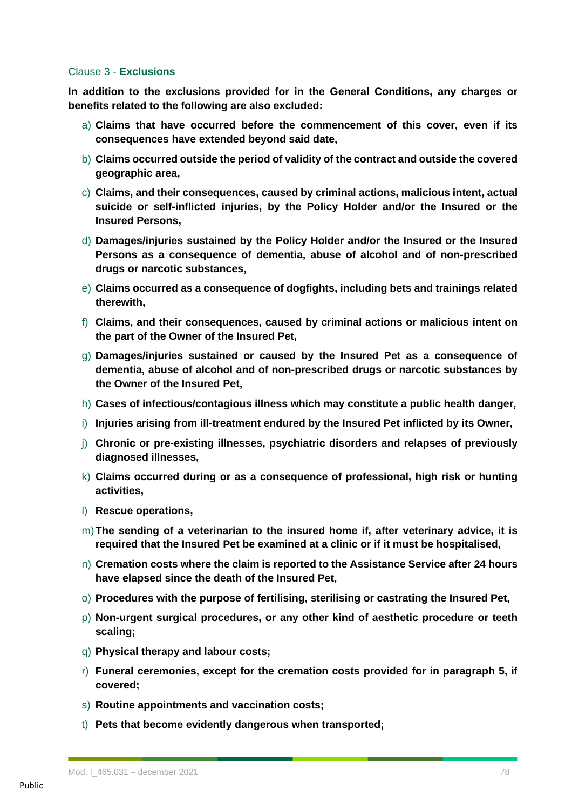#### Clause 3 - **Exclusions**

**In addition to the exclusions provided for in the General Conditions, any charges or benefits related to the following are also excluded:**

- a) **Claims that have occurred before the commencement of this cover, even if its consequences have extended beyond said date,**
- b) **Claims occurred outside the period of validity of the contract and outside the covered geographic area,**
- c) **Claims, and their consequences, caused by criminal actions, malicious intent, actual suicide or self-inflicted injuries, by the Policy Holder and/or the Insured or the Insured Persons,**
- d) **Damages/injuries sustained by the Policy Holder and/or the Insured or the Insured Persons as a consequence of dementia, abuse of alcohol and of non-prescribed drugs or narcotic substances,**
- e) **Claims occurred as a consequence of dogfights, including bets and trainings related therewith,**
- f) **Claims, and their consequences, caused by criminal actions or malicious intent on the part of the Owner of the Insured Pet,**
- g) **Damages/injuries sustained or caused by the Insured Pet as a consequence of dementia, abuse of alcohol and of non-prescribed drugs or narcotic substances by the Owner of the Insured Pet,**
- h) **Cases of infectious/contagious illness which may constitute a public health danger,**
- i) **Injuries arising from ill-treatment endured by the Insured Pet inflicted by its Owner,**
- j) **Chronic or pre-existing illnesses, psychiatric disorders and relapses of previously diagnosed illnesses,**
- k) **Claims occurred during or as a consequence of professional, high risk or hunting activities,**
- l) **Rescue operations,**
- m)**The sending of a veterinarian to the insured home if, after veterinary advice, it is required that the Insured Pet be examined at a clinic or if it must be hospitalised,**
- n) **Cremation costs where the claim is reported to the Assistance Service after 24 hours have elapsed since the death of the Insured Pet,**
- o) **Procedures with the purpose of fertilising, sterilising or castrating the Insured Pet,**
- p) **Non-urgent surgical procedures, or any other kind of aesthetic procedure or teeth scaling;**
- q) **Physical therapy and labour costs;**
- r) **Funeral ceremonies, except for the cremation costs provided for in paragraph 5, if covered;**
- s) **Routine appointments and vaccination costs;**
- t) **Pets that become evidently dangerous when transported;**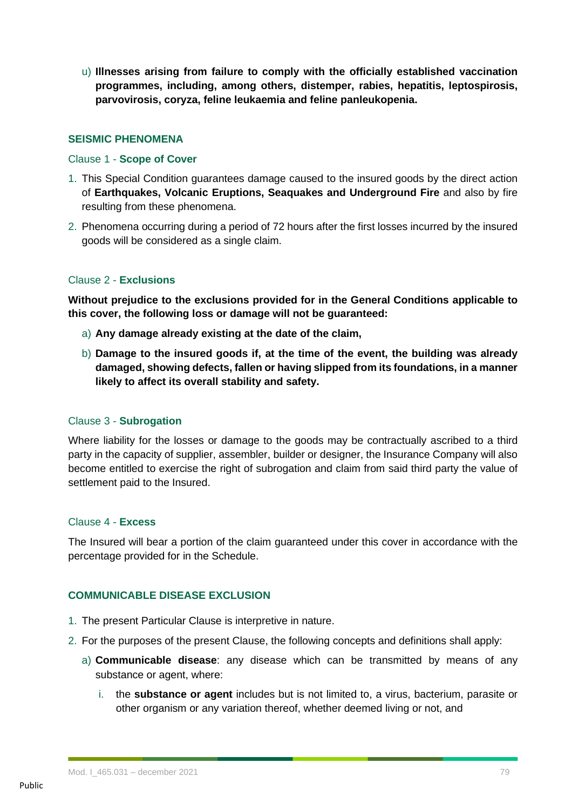u) **Illnesses arising from failure to comply with the officially established vaccination programmes, including, among others, distemper, rabies, hepatitis, leptospirosis, parvovirosis, coryza, feline leukaemia and feline panleukopenia.**

## **SEISMIC PHENOMENA**

## Clause 1 - **Scope of Cover**

- 1. This Special Condition guarantees damage caused to the insured goods by the direct action of **Earthquakes, Volcanic Eruptions, Seaquakes and Underground Fire** and also by fire resulting from these phenomena.
- 2. Phenomena occurring during a period of 72 hours after the first losses incurred by the insured goods will be considered as a single claim.

## Clause 2 - **Exclusions**

**Without prejudice to the exclusions provided for in the General Conditions applicable to this cover, the following loss or damage will not be guaranteed:**

- a) **Any damage already existing at the date of the claim,**
- b) **Damage to the insured goods if, at the time of the event, the building was already damaged, showing defects, fallen or having slipped from its foundations, in a manner likely to affect its overall stability and safety.**

## Clause 3 - **Subrogation**

Where liability for the losses or damage to the goods may be contractually ascribed to a third party in the capacity of supplier, assembler, builder or designer, the Insurance Company will also become entitled to exercise the right of subrogation and claim from said third party the value of settlement paid to the Insured.

#### Clause 4 - **Excess**

The Insured will bear a portion of the claim guaranteed under this cover in accordance with the percentage provided for in the Schedule.

## **COMMUNICABLE DISEASE EXCLUSION**

- 1. The present Particular Clause is interpretive in nature.
- 2. For the purposes of the present Clause, the following concepts and definitions shall apply:
	- a) **Communicable disease**: any disease which can be transmitted by means of any substance or agent, where:
		- i. the **substance or agent** includes but is not limited to, a virus, bacterium, parasite or other organism or any variation thereof, whether deemed living or not, and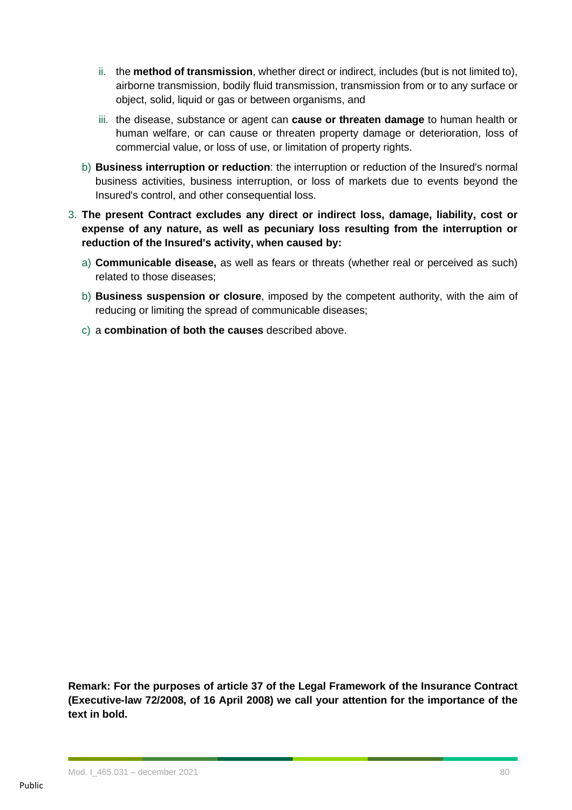- ii. the **method of transmission**, whether direct or indirect, includes (but is not limited to), airborne transmission, bodily fluid transmission, transmission from or to any surface or object, solid, liquid or gas or between organisms, and
- iii. the disease, substance or agent can **cause or threaten damage** to human health or human welfare, or can cause or threaten property damage or deterioration, loss of commercial value, or loss of use, or limitation of property rights.
- b) **Business interruption or reduction**: the interruption or reduction of the Insured's normal business activities, business interruption, or loss of markets due to events beyond the Insured's control, and other consequential loss.
- 3. **The present Contract excludes any direct or indirect loss, damage, liability, cost or expense of any nature, as well as pecuniary loss resulting from the interruption or reduction of the Insured's activity, when caused by:**
	- a) **Communicable disease,** as well as fears or threats (whether real or perceived as such) related to those diseases;
	- b) **Business suspension or closure**, imposed by the competent authority, with the aim of reducing or limiting the spread of communicable diseases;
	- c) a **combination of both the causes** described above.

**Remark: For the purposes of article 37 of the Legal Framework of the Insurance Contract (Executive-law 72/2008, of 16 April 2008) we call your attention for the importance of the text in bold.**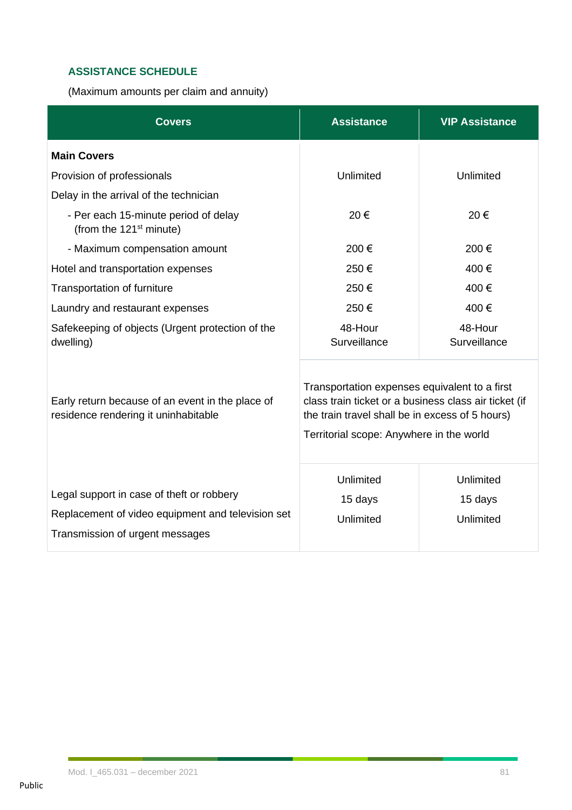## **ASSISTANCE SCHEDULE**

(Maximum amounts per claim and annuity)

| <b>Covers</b>                                                                                                                     | <b>Assistance</b>                                                                                                                                                                                     | <b>VIP Assistance</b>   |
|-----------------------------------------------------------------------------------------------------------------------------------|-------------------------------------------------------------------------------------------------------------------------------------------------------------------------------------------------------|-------------------------|
| <b>Main Covers</b>                                                                                                                |                                                                                                                                                                                                       |                         |
| Provision of professionals                                                                                                        | Unlimited                                                                                                                                                                                             | Unlimited               |
| Delay in the arrival of the technician                                                                                            |                                                                                                                                                                                                       |                         |
| - Per each 15-minute period of delay<br>(from the 121 <sup>st</sup> minute)                                                       | 20€                                                                                                                                                                                                   | 20€                     |
| - Maximum compensation amount                                                                                                     | 200€                                                                                                                                                                                                  | 200€                    |
| Hotel and transportation expenses                                                                                                 | 250€                                                                                                                                                                                                  | 400€                    |
| Transportation of furniture                                                                                                       | 250€                                                                                                                                                                                                  | 400€                    |
| Laundry and restaurant expenses                                                                                                   | 250€                                                                                                                                                                                                  | 400€                    |
| Safekeeping of objects (Urgent protection of the<br>dwelling)                                                                     | 48-Hour<br>Surveillance                                                                                                                                                                               | 48-Hour<br>Surveillance |
| Early return because of an event in the place of<br>residence rendering it uninhabitable                                          | Transportation expenses equivalent to a first<br>class train ticket or a business class air ticket (if<br>the train travel shall be in excess of 5 hours)<br>Territorial scope: Anywhere in the world |                         |
| Legal support in case of theft or robbery<br>Replacement of video equipment and television set<br>Transmission of urgent messages | Unlimited<br>15 days                                                                                                                                                                                  | Unlimited<br>15 days    |
|                                                                                                                                   | Unlimited                                                                                                                                                                                             | Unlimited               |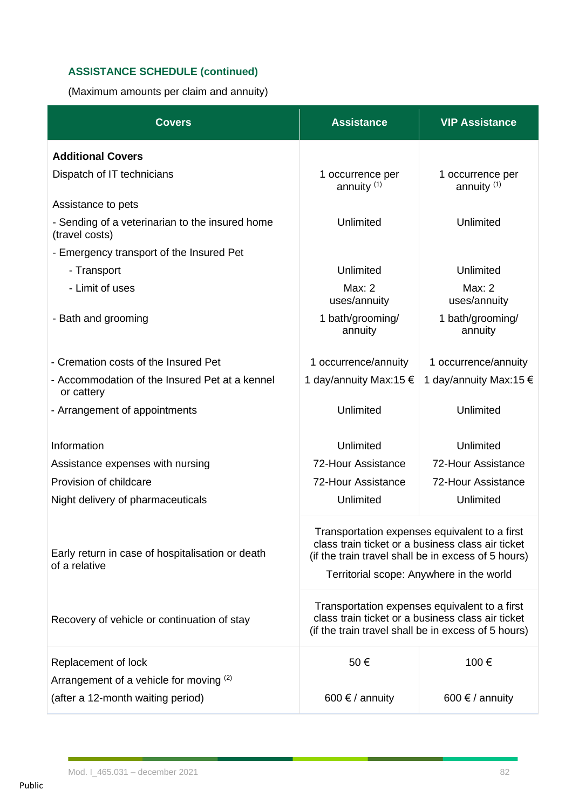# **ASSISTANCE SCHEDULE (continued)**

(Maximum amounts per claim and annuity)

| <b>Covers</b>                                                     | <b>Assistance</b>                                                                                                                                                                                     | <b>VIP Assistance</b>             |
|-------------------------------------------------------------------|-------------------------------------------------------------------------------------------------------------------------------------------------------------------------------------------------------|-----------------------------------|
| <b>Additional Covers</b>                                          |                                                                                                                                                                                                       |                                   |
| Dispatch of IT technicians                                        | 1 occurrence per<br>annuity $(1)$                                                                                                                                                                     | 1 occurrence per<br>annuity $(1)$ |
| Assistance to pets                                                |                                                                                                                                                                                                       |                                   |
| - Sending of a veterinarian to the insured home<br>(travel costs) | Unlimited                                                                                                                                                                                             | Unlimited                         |
| - Emergency transport of the Insured Pet                          |                                                                                                                                                                                                       |                                   |
| - Transport                                                       | Unlimited                                                                                                                                                                                             | Unlimited                         |
| - Limit of uses                                                   | Max: 2<br>uses/annuity                                                                                                                                                                                | Max: 2<br>uses/annuity            |
| - Bath and grooming                                               | 1 bath/grooming/<br>annuity                                                                                                                                                                           | 1 bath/grooming/<br>annuity       |
| - Cremation costs of the Insured Pet                              | 1 occurrence/annuity                                                                                                                                                                                  | 1 occurrence/annuity              |
| - Accommodation of the Insured Pet at a kennel<br>or cattery      | 1 day/annuity Max:15 €                                                                                                                                                                                | 1 day/annuity Max:15 €            |
| - Arrangement of appointments                                     | Unlimited                                                                                                                                                                                             | Unlimited                         |
| Information                                                       | Unlimited                                                                                                                                                                                             | Unlimited                         |
| Assistance expenses with nursing                                  | 72-Hour Assistance                                                                                                                                                                                    | 72-Hour Assistance                |
| Provision of childcare                                            | 72-Hour Assistance                                                                                                                                                                                    | 72-Hour Assistance                |
| Night delivery of pharmaceuticals                                 | Unlimited                                                                                                                                                                                             | <b>Unlimited</b>                  |
| Early return in case of hospitalisation or death<br>of a relative | Transportation expenses equivalent to a first<br>class train ticket or a business class air ticket<br>(if the train travel shall be in excess of 5 hours)<br>Territorial scope: Anywhere in the world |                                   |
| Recovery of vehicle or continuation of stay                       | Transportation expenses equivalent to a first<br>class train ticket or a business class air ticket<br>(if the train travel shall be in excess of 5 hours)                                             |                                   |
| Replacement of lock<br>Arrangement of a vehicle for moving (2)    | 50€                                                                                                                                                                                                   | 100€                              |
| (after a 12-month waiting period)                                 | 600 $\notin$ / annuity                                                                                                                                                                                | 600 $\notin$ / annuity            |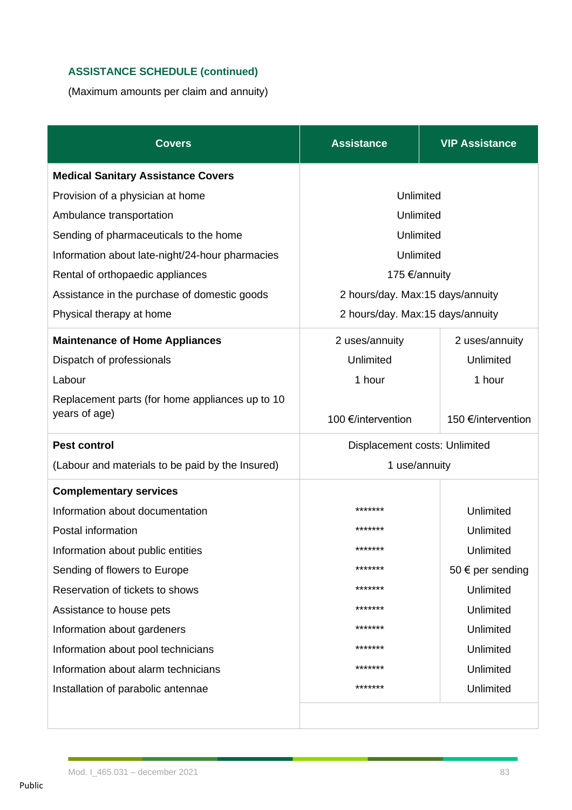## **ASSISTANCE SCHEDULE (continued)**

(Maximum amounts per claim and annuity)

| <b>Covers</b>                                                    | <b>Assistance</b>                | <b>VIP Assistance</b> |
|------------------------------------------------------------------|----------------------------------|-----------------------|
| <b>Medical Sanitary Assistance Covers</b>                        |                                  |                       |
| Provision of a physician at home                                 | Unlimited                        |                       |
| Ambulance transportation                                         | Unlimited                        |                       |
| Sending of pharmaceuticals to the home                           | Unlimited                        |                       |
| Information about late-night/24-hour pharmacies                  | Unlimited                        |                       |
| Rental of orthopaedic appliances                                 |                                  | 175 €/annuity         |
| Assistance in the purchase of domestic goods                     | 2 hours/day. Max:15 days/annuity |                       |
| Physical therapy at home                                         | 2 hours/day. Max:15 days/annuity |                       |
| <b>Maintenance of Home Appliances</b>                            | 2 uses/annuity                   | 2 uses/annuity        |
| Dispatch of professionals                                        | Unlimited                        | Unlimited             |
| Labour                                                           | 1 hour                           | 1 hour                |
| Replacement parts (for home appliances up to 10<br>years of age) | 100 €/intervention               | 150 €/intervention    |
| <b>Pest control</b>                                              | Displacement costs: Unlimited    |                       |
| (Labour and materials to be paid by the Insured)                 | 1 use/annuity                    |                       |
| <b>Complementary services</b>                                    |                                  |                       |
| Information about documentation                                  | *******                          | Unlimited             |
| Postal information                                               | *******                          | Unlimited             |
| Information about public entities                                | *******                          | Unlimited             |
| Sending of flowers to Europe                                     | *******                          | 50 € per sending      |
| Reservation of tickets to shows                                  | *******                          | Unlimited             |
| Assistance to house pets                                         | *******                          | Unlimited             |
| Information about gardeners                                      | *******                          | Unlimited             |
| Information about pool technicians                               | *******                          | Unlimited             |
| Information about alarm technicians                              | *******                          | Unlimited             |
| Installation of parabolic antennae                               | *******                          | Unlimited             |
|                                                                  |                                  |                       |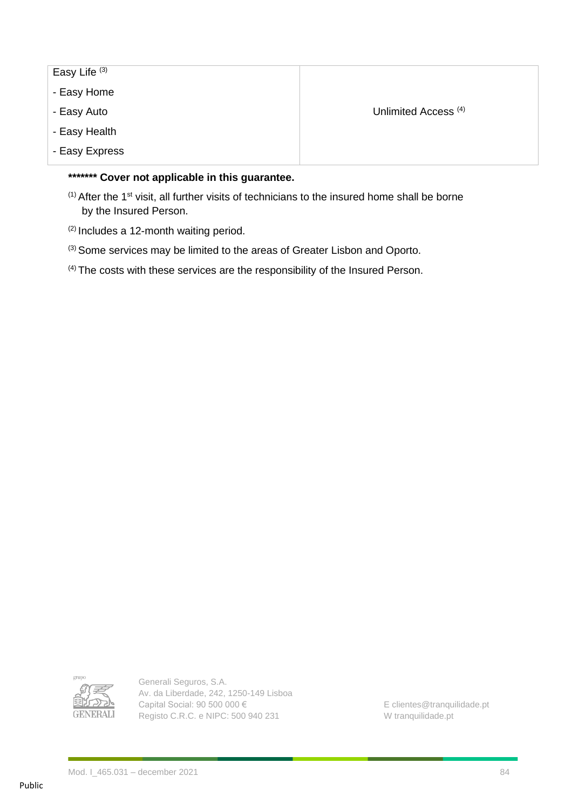Easy Life<sup>(3)</sup>

- Easy Home
- Easy Auto
- Easy Health
- Easy Express

## **\*\*\*\*\*\*\* Cover not applicable in this guarantee.**

- $<sup>(1)</sup>$  After the 1<sup>st</sup> visit, all further visits of technicians to the insured home shall be borne</sup> by the Insured Person.
- (2) Includes a 12-month waiting period.
- (3) Some services may be limited to the areas of Greater Lisbon and Oporto.
- <sup>(4)</sup> The costs with these services are the responsibility of the Insured Person.



Generali Seguros, S.A. Av. da Liberdade, 242, 1250-149 Lisboa Capital Social: 90 500 000 € Registo C.R.C. e NIPC: 500 940 231

E clientes@tranquilidade.pt W tranquilidade.pt

Unlimited Access (4)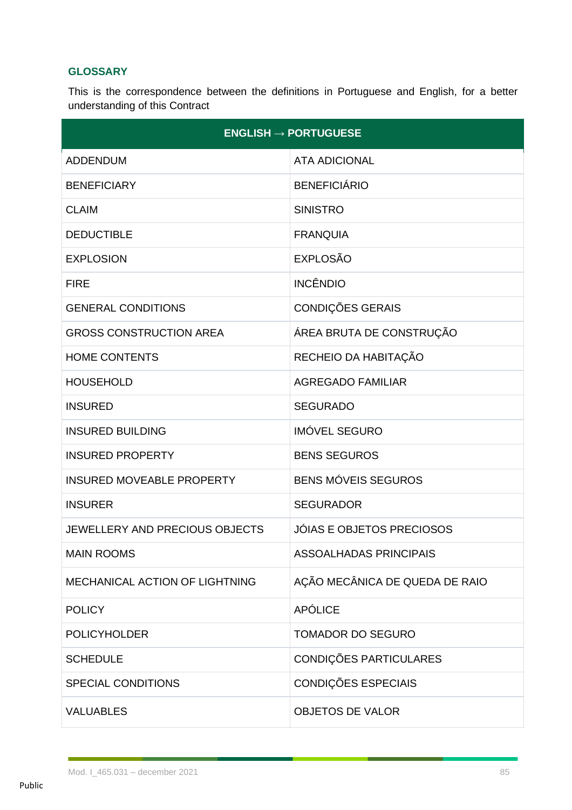## **GLOSSARY**

This is the correspondence between the definitions in Portuguese and English, for a better understanding of this Contract

| $ENGLISH \rightarrow PORTUGUESE$ |                                  |  |
|----------------------------------|----------------------------------|--|
| <b>ADDENDUM</b>                  | <b>ATA ADICIONAL</b>             |  |
| <b>BENEFICIARY</b>               | <b>BENEFICIÁRIO</b>              |  |
| <b>CLAIM</b>                     | <b>SINISTRO</b>                  |  |
| <b>DEDUCTIBLE</b>                | <b>FRANQUIA</b>                  |  |
| <b>EXPLOSION</b>                 | <b>EXPLOSÃO</b>                  |  |
| <b>FIRE</b>                      | <b>INCÊNDIO</b>                  |  |
| <b>GENERAL CONDITIONS</b>        | CONDIÇÕES GERAIS                 |  |
| <b>GROSS CONSTRUCTION AREA</b>   | ÁREA BRUTA DE CONSTRUÇÃO         |  |
| <b>HOME CONTENTS</b>             | RECHEIO DA HABITAÇÃO             |  |
| <b>HOUSEHOLD</b>                 | <b>AGREGADO FAMILIAR</b>         |  |
| <b>INSURED</b>                   | <b>SEGURADO</b>                  |  |
| <b>INSURED BUILDING</b>          | <b>IMÓVEL SEGURO</b>             |  |
| <b>INSURED PROPERTY</b>          | <b>BENS SEGUROS</b>              |  |
| <b>INSURED MOVEABLE PROPERTY</b> | <b>BENS MÓVEIS SEGUROS</b>       |  |
| <b>INSURER</b>                   | <b>SEGURADOR</b>                 |  |
| JEWELLERY AND PRECIOUS OBJECTS   | <b>JÓIAS E OBJETOS PRECIOSOS</b> |  |
| <b>MAIN ROOMS</b>                | <b>ASSOALHADAS PRINCIPAIS</b>    |  |
| MECHANICAL ACTION OF LIGHTNING   | AÇÃO MECÂNICA DE QUEDA DE RAIO   |  |
| <b>POLICY</b>                    | <b>APÓLICE</b>                   |  |
| <b>POLICYHOLDER</b>              | <b>TOMADOR DO SEGURO</b>         |  |
| <b>SCHEDULE</b>                  | CONDIÇÕES PARTICULARES           |  |
| <b>SPECIAL CONDITIONS</b>        | CONDIÇÕES ESPECIAIS              |  |
| <b>VALUABLES</b>                 | <b>OBJETOS DE VALOR</b>          |  |